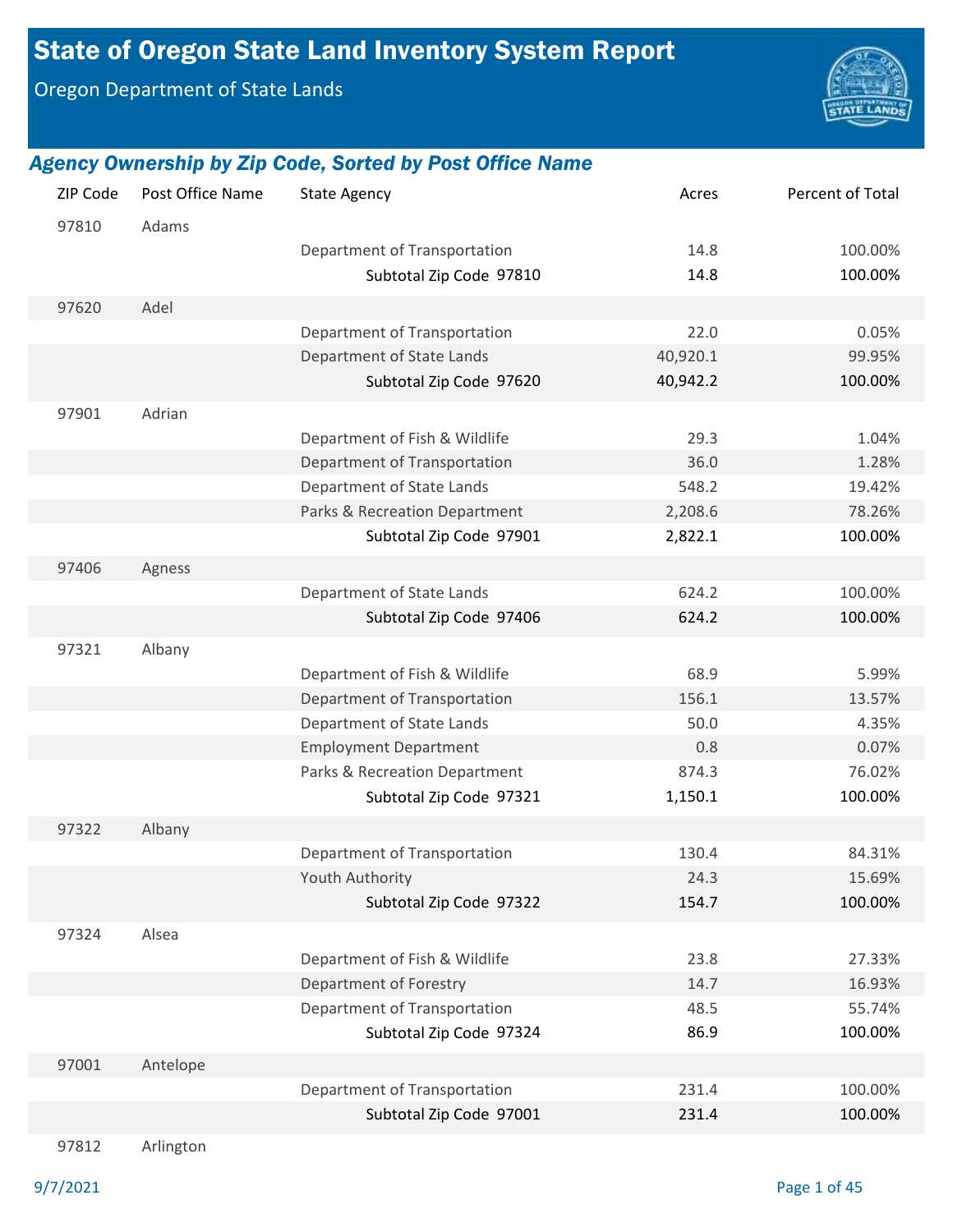# State of Oregon State Land Inventory System Report

Oregon Department of State Lands



#### *Agency Ownership by Zip Code, Sorted by Post Office Name*

| ZIP Code | Post Office Name | <b>State Agency</b>           | Acres    | Percent of Total |
|----------|------------------|-------------------------------|----------|------------------|
| 97810    | Adams            |                               |          |                  |
|          |                  | Department of Transportation  | 14.8     | 100.00%          |
|          |                  | Subtotal Zip Code 97810       | 14.8     | 100.00%          |
| 97620    | Adel             |                               |          |                  |
|          |                  | Department of Transportation  | 22.0     | 0.05%            |
|          |                  | Department of State Lands     | 40,920.1 | 99.95%           |
|          |                  | Subtotal Zip Code 97620       | 40,942.2 | 100.00%          |
| 97901    | Adrian           |                               |          |                  |
|          |                  | Department of Fish & Wildlife | 29.3     | 1.04%            |
|          |                  | Department of Transportation  | 36.0     | 1.28%            |
|          |                  | Department of State Lands     | 548.2    | 19.42%           |
|          |                  | Parks & Recreation Department | 2,208.6  | 78.26%           |
|          |                  | Subtotal Zip Code 97901       | 2,822.1  | 100.00%          |
|          |                  |                               |          |                  |
| 97406    | Agness           |                               |          |                  |
|          |                  | Department of State Lands     | 624.2    | 100.00%          |
|          |                  | Subtotal Zip Code 97406       | 624.2    | 100.00%          |
| 97321    | Albany           |                               |          |                  |
|          |                  | Department of Fish & Wildlife | 68.9     | 5.99%            |
|          |                  | Department of Transportation  | 156.1    | 13.57%           |
|          |                  | Department of State Lands     | 50.0     | 4.35%            |
|          |                  | <b>Employment Department</b>  | 0.8      | 0.07%            |
|          |                  | Parks & Recreation Department | 874.3    | 76.02%           |
|          |                  | Subtotal Zip Code 97321       | 1,150.1  | 100.00%          |
| 97322    | Albany           |                               |          |                  |
|          |                  | Department of Transportation  | 130.4    | 84.31%           |
|          |                  | <b>Youth Authority</b>        | 24.3     | 15.69%           |
|          |                  | Subtotal Zip Code 97322       | 154.7    | 100.00%          |
|          |                  |                               |          |                  |
| 97324    | Alsea            |                               |          |                  |
|          |                  | Department of Fish & Wildlife | 23.8     | 27.33%           |
|          |                  | Department of Forestry        | 14.7     | 16.93%           |
|          |                  | Department of Transportation  | 48.5     | 55.74%           |
|          |                  | Subtotal Zip Code 97324       | 86.9     | 100.00%          |
| 97001    | Antelope         |                               |          |                  |
|          |                  | Department of Transportation  | 231.4    | 100.00%          |
|          |                  | Subtotal Zip Code 97001       | 231.4    | 100.00%          |
|          |                  |                               |          |                  |

97812 Arlington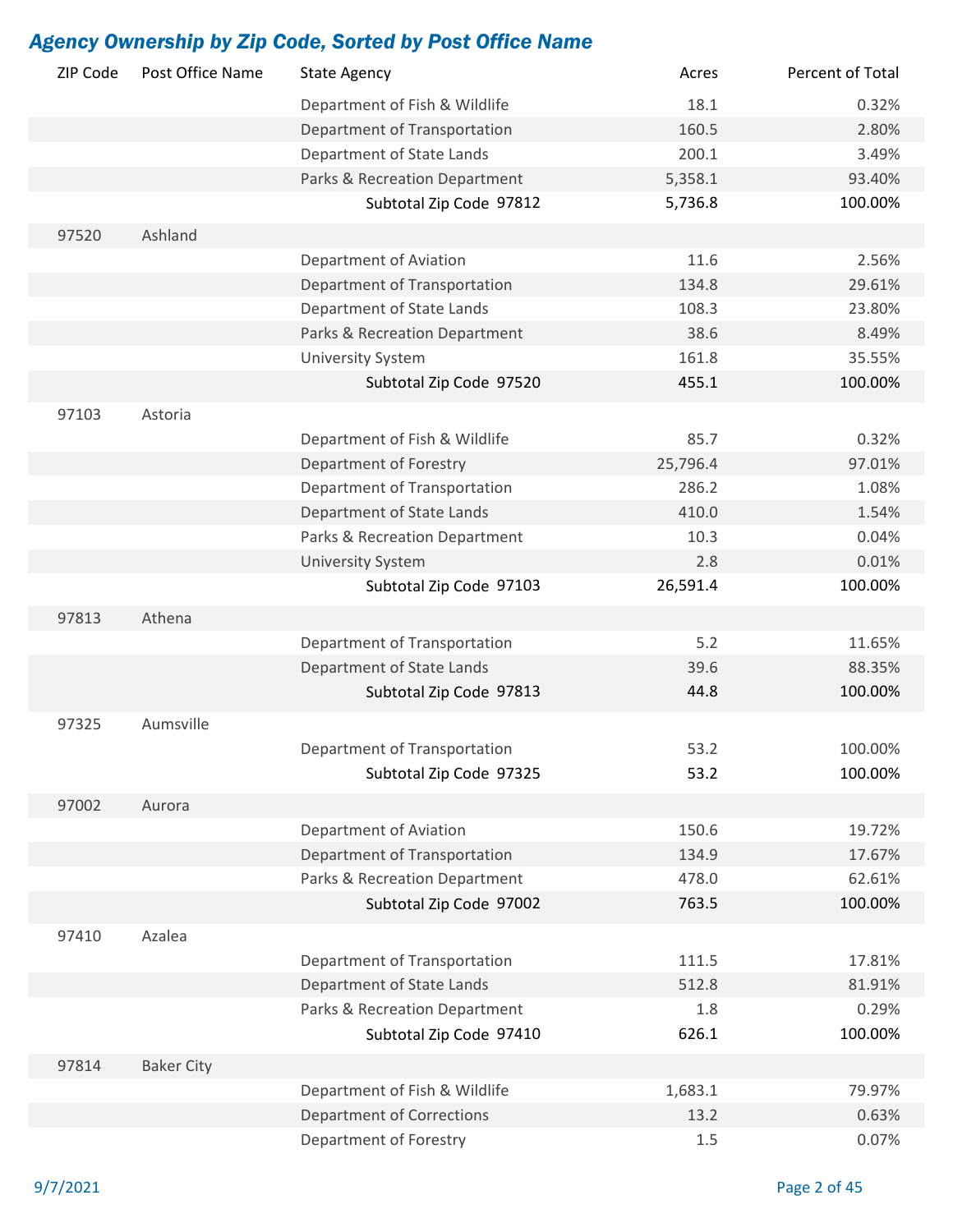| ZIP Code | Post Office Name  | <b>State Agency</b>              | Acres    | Percent of Total |
|----------|-------------------|----------------------------------|----------|------------------|
|          |                   | Department of Fish & Wildlife    | 18.1     | 0.32%            |
|          |                   | Department of Transportation     | 160.5    | 2.80%            |
|          |                   | Department of State Lands        | 200.1    | 3.49%            |
|          |                   | Parks & Recreation Department    | 5,358.1  | 93.40%           |
|          |                   | Subtotal Zip Code 97812          | 5,736.8  | 100.00%          |
| 97520    | Ashland           |                                  |          |                  |
|          |                   | Department of Aviation           | 11.6     | 2.56%            |
|          |                   | Department of Transportation     | 134.8    | 29.61%           |
|          |                   | Department of State Lands        | 108.3    | 23.80%           |
|          |                   | Parks & Recreation Department    | 38.6     | 8.49%            |
|          |                   | <b>University System</b>         | 161.8    | 35.55%           |
|          |                   | Subtotal Zip Code 97520          | 455.1    | 100.00%          |
|          |                   |                                  |          |                  |
| 97103    | Astoria           |                                  |          |                  |
|          |                   | Department of Fish & Wildlife    | 85.7     | 0.32%            |
|          |                   | Department of Forestry           | 25,796.4 | 97.01%           |
|          |                   | Department of Transportation     | 286.2    | 1.08%            |
|          |                   | Department of State Lands        | 410.0    | 1.54%            |
|          |                   | Parks & Recreation Department    | 10.3     | 0.04%            |
|          |                   | <b>University System</b>         | 2.8      | 0.01%            |
|          |                   | Subtotal Zip Code 97103          | 26,591.4 | 100.00%          |
| 97813    | Athena            |                                  |          |                  |
|          |                   | Department of Transportation     | 5.2      | 11.65%           |
|          |                   | Department of State Lands        | 39.6     | 88.35%           |
|          |                   | Subtotal Zip Code 97813          | 44.8     | 100.00%          |
| 97325    | Aumsville         |                                  |          |                  |
|          |                   |                                  |          |                  |
|          |                   | Department of Transportation     | 53.2     | 100.00%          |
|          |                   | Subtotal Zip Code 97325          | 53.2     | 100.00%          |
| 97002    | Aurora            |                                  |          |                  |
|          |                   | Department of Aviation           | 150.6    | 19.72%           |
|          |                   | Department of Transportation     | 134.9    | 17.67%           |
|          |                   | Parks & Recreation Department    | 478.0    | 62.61%           |
|          |                   | Subtotal Zip Code 97002          | 763.5    | 100.00%          |
| 97410    | Azalea            |                                  |          |                  |
|          |                   | Department of Transportation     | 111.5    | 17.81%           |
|          |                   | Department of State Lands        | 512.8    | 81.91%           |
|          |                   | Parks & Recreation Department    | 1.8      | 0.29%            |
|          |                   | Subtotal Zip Code 97410          | 626.1    | 100.00%          |
|          |                   |                                  |          |                  |
| 97814    | <b>Baker City</b> |                                  |          |                  |
|          |                   | Department of Fish & Wildlife    | 1,683.1  | 79.97%           |
|          |                   | <b>Department of Corrections</b> | 13.2     | 0.63%            |
|          |                   | Department of Forestry           | 1.5      | 0.07%            |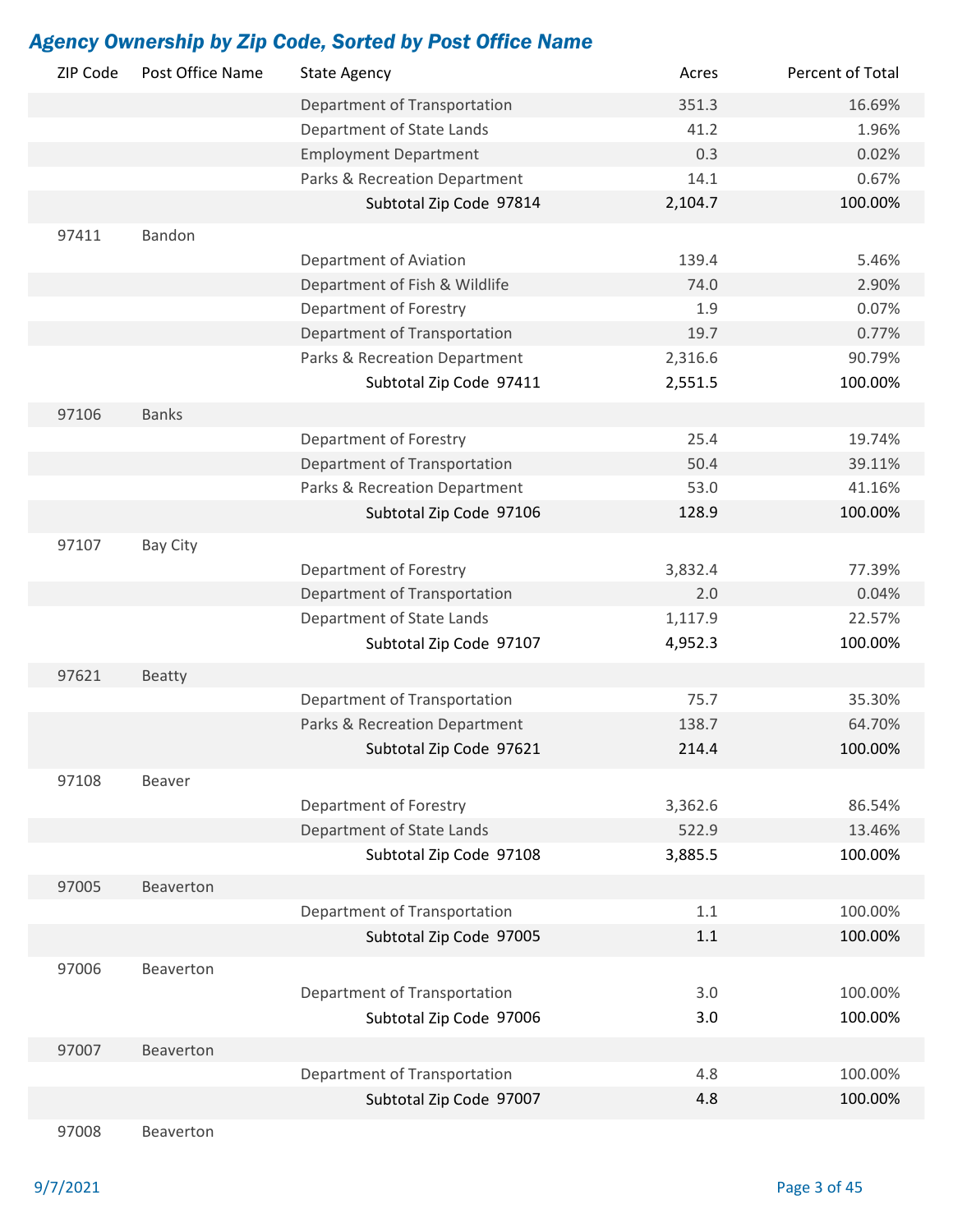| ZIP Code | Post Office Name | <b>State Agency</b>           | Acres   | Percent of Total |
|----------|------------------|-------------------------------|---------|------------------|
|          |                  | Department of Transportation  | 351.3   | 16.69%           |
|          |                  | Department of State Lands     | 41.2    | 1.96%            |
|          |                  | <b>Employment Department</b>  | 0.3     | 0.02%            |
|          |                  | Parks & Recreation Department | 14.1    | 0.67%            |
|          |                  | Subtotal Zip Code 97814       | 2,104.7 | 100.00%          |
| 97411    | Bandon           |                               |         |                  |
|          |                  | Department of Aviation        | 139.4   | 5.46%            |
|          |                  | Department of Fish & Wildlife | 74.0    | 2.90%            |
|          |                  | Department of Forestry        | 1.9     | 0.07%            |
|          |                  | Department of Transportation  | 19.7    | 0.77%            |
|          |                  | Parks & Recreation Department | 2,316.6 | 90.79%           |
|          |                  | Subtotal Zip Code 97411       | 2,551.5 | 100.00%          |
| 97106    | <b>Banks</b>     |                               |         |                  |
|          |                  | Department of Forestry        | 25.4    | 19.74%           |
|          |                  | Department of Transportation  | 50.4    | 39.11%           |
|          |                  | Parks & Recreation Department | 53.0    | 41.16%           |
|          |                  | Subtotal Zip Code 97106       | 128.9   | 100.00%          |
|          |                  |                               |         |                  |
| 97107    | Bay City         |                               |         |                  |
|          |                  | Department of Forestry        | 3,832.4 | 77.39%           |
|          |                  | Department of Transportation  | 2.0     | 0.04%            |
|          |                  | Department of State Lands     | 1,117.9 | 22.57%           |
|          |                  | Subtotal Zip Code 97107       | 4,952.3 | 100.00%          |
| 97621    | <b>Beatty</b>    |                               |         |                  |
|          |                  | Department of Transportation  | 75.7    | 35.30%           |
|          |                  | Parks & Recreation Department | 138.7   | 64.70%           |
|          |                  | Subtotal Zip Code 97621       | 214.4   | 100.00%          |
| 97108    | Beaver           |                               |         |                  |
|          |                  | Department of Forestry        | 3,362.6 | 86.54%           |
|          |                  | Department of State Lands     | 522.9   | 13.46%           |
|          |                  | Subtotal Zip Code 97108       | 3,885.5 | 100.00%          |
|          |                  |                               |         |                  |
| 97005    | Beaverton        |                               |         |                  |
|          |                  | Department of Transportation  | 1.1     | 100.00%          |
|          |                  | Subtotal Zip Code 97005       | 1.1     | 100.00%          |
| 97006    | Beaverton        |                               |         |                  |
|          |                  | Department of Transportation  | 3.0     | 100.00%          |
|          |                  | Subtotal Zip Code 97006       | 3.0     | 100.00%          |
| 97007    | Beaverton        |                               |         |                  |
|          |                  | Department of Transportation  | 4.8     | 100.00%          |
|          |                  | Subtotal Zip Code 97007       | 4.8     | 100.00%          |
| 97008    | Beaverton        |                               |         |                  |
|          |                  |                               |         |                  |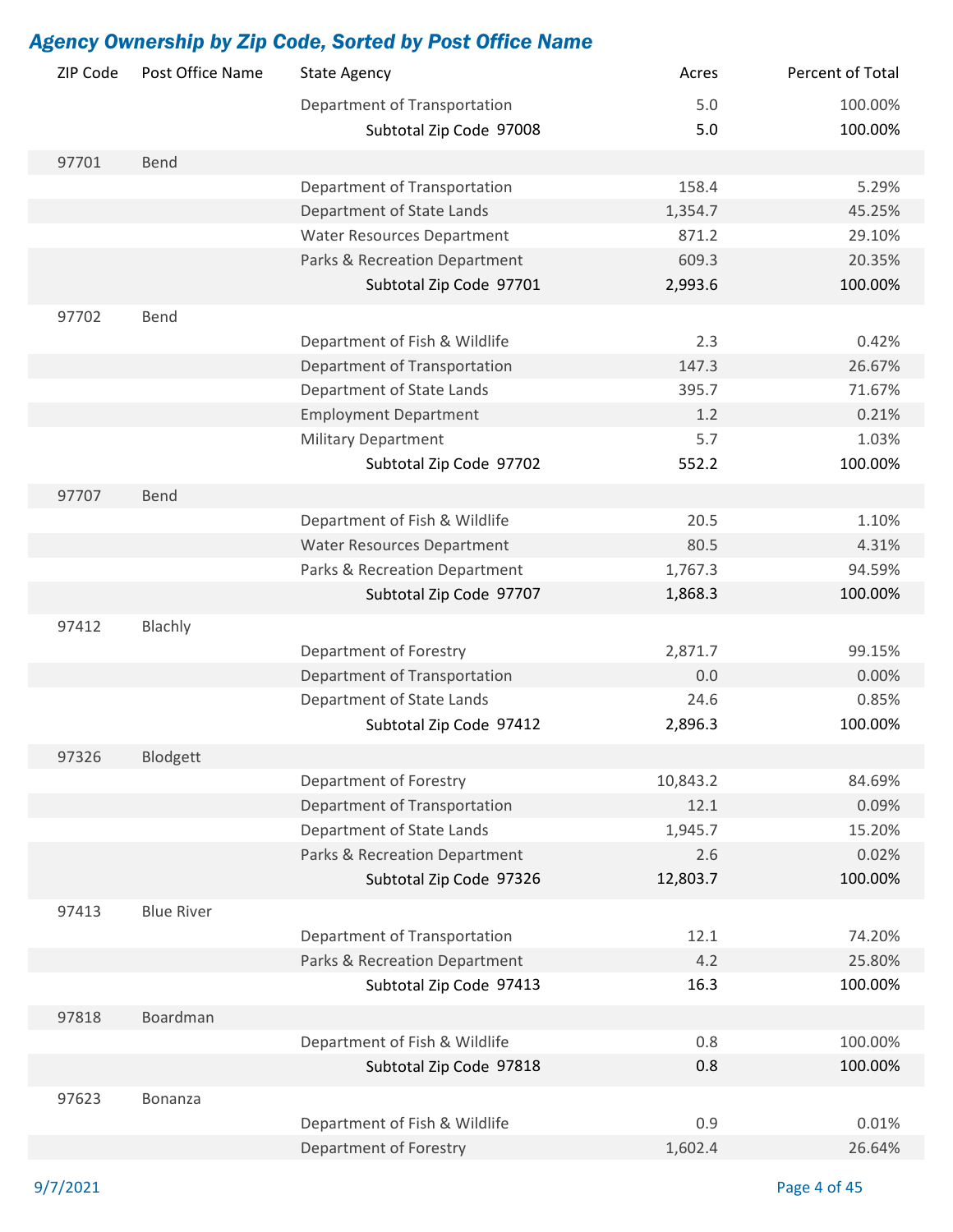| ZIP Code | Post Office Name  | <b>State Agency</b>               | Acres    | Percent of Total |
|----------|-------------------|-----------------------------------|----------|------------------|
|          |                   | Department of Transportation      | 5.0      | 100.00%          |
|          |                   | Subtotal Zip Code 97008           | 5.0      | 100.00%          |
| 97701    | Bend              |                                   |          |                  |
|          |                   | Department of Transportation      | 158.4    | 5.29%            |
|          |                   | Department of State Lands         | 1,354.7  | 45.25%           |
|          |                   | <b>Water Resources Department</b> | 871.2    | 29.10%           |
|          |                   | Parks & Recreation Department     | 609.3    | 20.35%           |
|          |                   | Subtotal Zip Code 97701           | 2,993.6  | 100.00%          |
| 97702    | Bend              |                                   |          |                  |
|          |                   | Department of Fish & Wildlife     | 2.3      | 0.42%            |
|          |                   | Department of Transportation      | 147.3    | 26.67%           |
|          |                   | Department of State Lands         | 395.7    | 71.67%           |
|          |                   | <b>Employment Department</b>      | 1.2      | 0.21%            |
|          |                   | <b>Military Department</b>        | 5.7      | 1.03%            |
|          |                   | Subtotal Zip Code 97702           | 552.2    | 100.00%          |
|          |                   |                                   |          |                  |
| 97707    | Bend              |                                   |          |                  |
|          |                   | Department of Fish & Wildlife     | 20.5     | 1.10%            |
|          |                   | <b>Water Resources Department</b> | 80.5     | 4.31%            |
|          |                   | Parks & Recreation Department     | 1,767.3  | 94.59%           |
|          |                   | Subtotal Zip Code 97707           | 1,868.3  | 100.00%          |
| 97412    | Blachly           |                                   |          |                  |
|          |                   | Department of Forestry            | 2,871.7  | 99.15%           |
|          |                   | Department of Transportation      | 0.0      | 0.00%            |
|          |                   | Department of State Lands         | 24.6     | 0.85%            |
|          |                   | Subtotal Zip Code 97412           | 2,896.3  | 100.00%          |
| 97326    | Blodgett          |                                   |          |                  |
|          |                   | Department of Forestry            | 10,843.2 | 84.69%           |
|          |                   | Department of Transportation      | 12.1     | 0.09%            |
|          |                   | Department of State Lands         | 1,945.7  | 15.20%           |
|          |                   | Parks & Recreation Department     | 2.6      | 0.02%            |
|          |                   | Subtotal Zip Code 97326           | 12,803.7 | 100.00%          |
| 97413    | <b>Blue River</b> |                                   |          |                  |
|          |                   | Department of Transportation      | 12.1     | 74.20%           |
|          |                   | Parks & Recreation Department     | 4.2      | 25.80%           |
|          |                   | Subtotal Zip Code 97413           | 16.3     | 100.00%          |
|          |                   |                                   |          |                  |
| 97818    | Boardman          |                                   |          |                  |
|          |                   | Department of Fish & Wildlife     | 0.8      | 100.00%          |
|          |                   | Subtotal Zip Code 97818           | 0.8      | 100.00%          |
| 97623    | Bonanza           |                                   |          |                  |
|          |                   | Department of Fish & Wildlife     | 0.9      | 0.01%            |
|          |                   | Department of Forestry            | 1,602.4  | 26.64%           |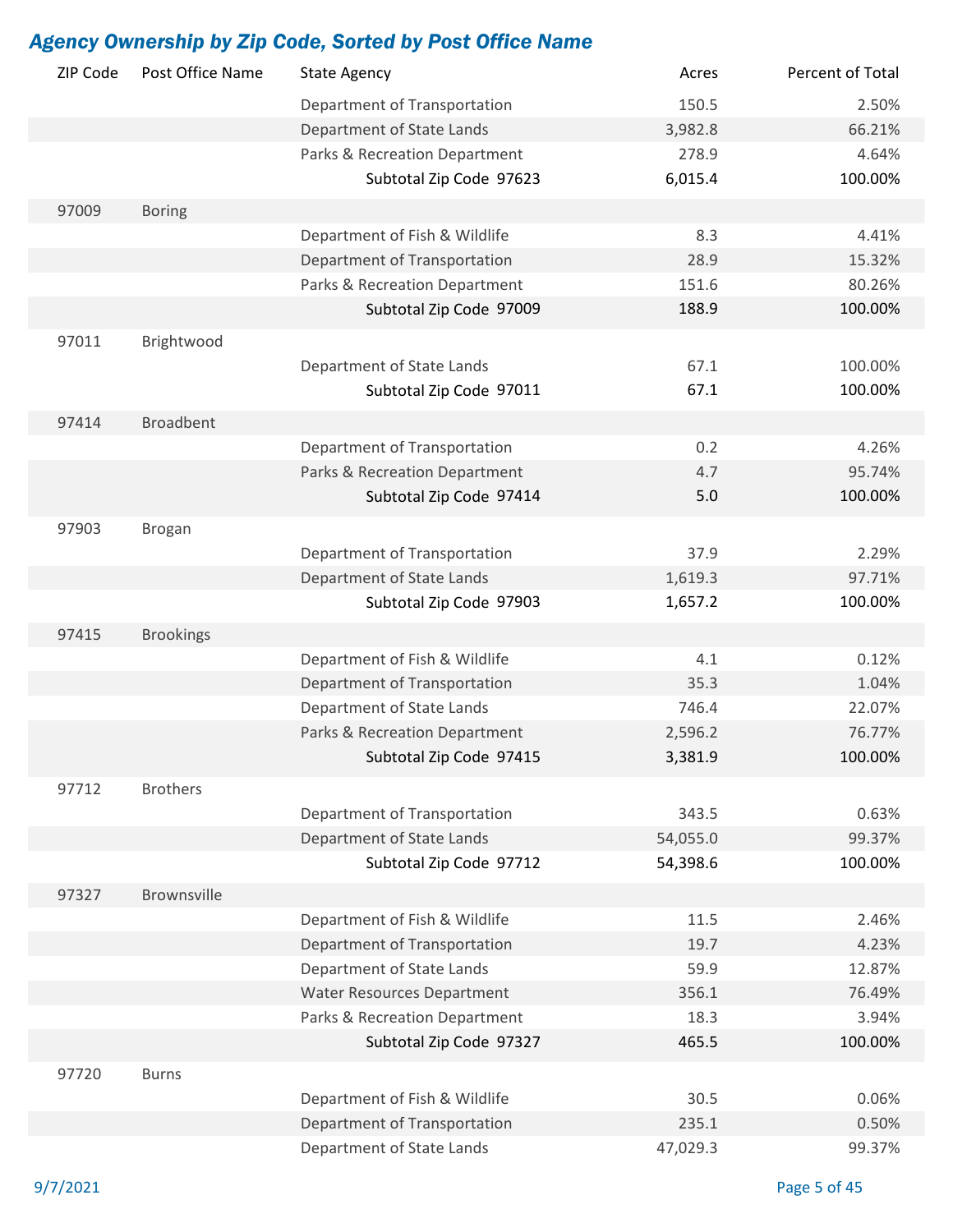| ZIP Code | Post Office Name   | <b>State Agency</b>               | Acres    | Percent of Total |
|----------|--------------------|-----------------------------------|----------|------------------|
|          |                    | Department of Transportation      | 150.5    | 2.50%            |
|          |                    | Department of State Lands         | 3,982.8  | 66.21%           |
|          |                    | Parks & Recreation Department     | 278.9    | 4.64%            |
|          |                    | Subtotal Zip Code 97623           | 6,015.4  | 100.00%          |
| 97009    | <b>Boring</b>      |                                   |          |                  |
|          |                    | Department of Fish & Wildlife     | 8.3      | 4.41%            |
|          |                    | Department of Transportation      | 28.9     | 15.32%           |
|          |                    | Parks & Recreation Department     | 151.6    | 80.26%           |
|          |                    | Subtotal Zip Code 97009           | 188.9    | 100.00%          |
| 97011    | Brightwood         |                                   |          |                  |
|          |                    | Department of State Lands         | 67.1     | 100.00%          |
|          |                    | Subtotal Zip Code 97011           | 67.1     | 100.00%          |
|          |                    |                                   |          |                  |
| 97414    | <b>Broadbent</b>   |                                   |          |                  |
|          |                    | Department of Transportation      | 0.2      | 4.26%            |
|          |                    | Parks & Recreation Department     | 4.7      | 95.74%           |
|          |                    | Subtotal Zip Code 97414           | 5.0      | 100.00%          |
| 97903    | <b>Brogan</b>      |                                   |          |                  |
|          |                    | Department of Transportation      | 37.9     | 2.29%            |
|          |                    | Department of State Lands         | 1,619.3  | 97.71%           |
|          |                    | Subtotal Zip Code 97903           | 1,657.2  | 100.00%          |
| 97415    | <b>Brookings</b>   |                                   |          |                  |
|          |                    | Department of Fish & Wildlife     | 4.1      | 0.12%            |
|          |                    | Department of Transportation      | 35.3     | 1.04%            |
|          |                    | Department of State Lands         | 746.4    | 22.07%           |
|          |                    | Parks & Recreation Department     | 2,596.2  | 76.77%           |
|          |                    | Subtotal Zip Code 97415           | 3,381.9  | 100.00%          |
| 97712    | <b>Brothers</b>    |                                   |          |                  |
|          |                    | Department of Transportation      | 343.5    | 0.63%            |
|          |                    | Department of State Lands         | 54,055.0 | 99.37%           |
|          |                    | Subtotal Zip Code 97712           | 54,398.6 | 100.00%          |
| 97327    | <b>Brownsville</b> |                                   |          |                  |
|          |                    | Department of Fish & Wildlife     | 11.5     | 2.46%            |
|          |                    | Department of Transportation      | 19.7     | 4.23%            |
|          |                    | Department of State Lands         | 59.9     | 12.87%           |
|          |                    | <b>Water Resources Department</b> | 356.1    | 76.49%           |
|          |                    | Parks & Recreation Department     | 18.3     | 3.94%            |
|          |                    | Subtotal Zip Code 97327           | 465.5    | 100.00%          |
| 97720    | <b>Burns</b>       |                                   |          |                  |
|          |                    | Department of Fish & Wildlife     | 30.5     | 0.06%            |
|          |                    | Department of Transportation      | 235.1    | 0.50%            |
|          |                    | Department of State Lands         | 47,029.3 | 99.37%           |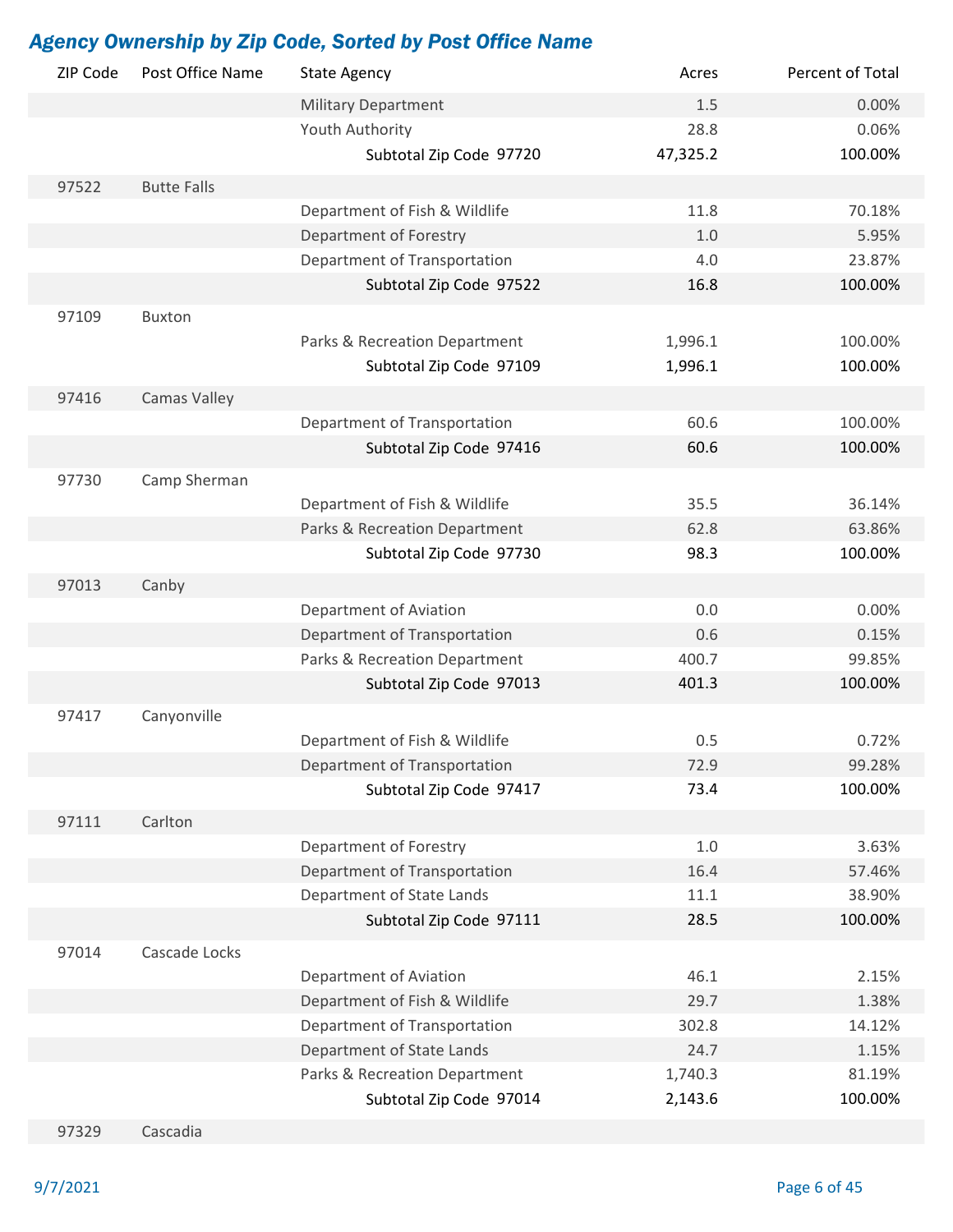| ZIP Code | Post Office Name   | <b>State Agency</b>           | Acres    | Percent of Total |
|----------|--------------------|-------------------------------|----------|------------------|
|          |                    | <b>Military Department</b>    | 1.5      | 0.00%            |
|          |                    | Youth Authority               | 28.8     | 0.06%            |
|          |                    | Subtotal Zip Code 97720       | 47,325.2 | 100.00%          |
| 97522    | <b>Butte Falls</b> |                               |          |                  |
|          |                    | Department of Fish & Wildlife | 11.8     | 70.18%           |
|          |                    | Department of Forestry        | 1.0      | 5.95%            |
|          |                    | Department of Transportation  | 4.0      | 23.87%           |
|          |                    |                               |          |                  |
|          |                    | Subtotal Zip Code 97522       | 16.8     | 100.00%          |
| 97109    | <b>Buxton</b>      |                               |          |                  |
|          |                    | Parks & Recreation Department | 1,996.1  | 100.00%          |
|          |                    | Subtotal Zip Code 97109       | 1,996.1  | 100.00%          |
| 97416    | Camas Valley       |                               |          |                  |
|          |                    | Department of Transportation  | 60.6     | 100.00%          |
|          |                    | Subtotal Zip Code 97416       | 60.6     | 100.00%          |
|          |                    |                               |          |                  |
| 97730    | Camp Sherman       |                               |          |                  |
|          |                    | Department of Fish & Wildlife | 35.5     | 36.14%           |
|          |                    | Parks & Recreation Department | 62.8     | 63.86%           |
|          |                    | Subtotal Zip Code 97730       | 98.3     | 100.00%          |
| 97013    | Canby              |                               |          |                  |
|          |                    | Department of Aviation        | 0.0      | 0.00%            |
|          |                    | Department of Transportation  | 0.6      | 0.15%            |
|          |                    | Parks & Recreation Department | 400.7    | 99.85%           |
|          |                    | Subtotal Zip Code 97013       | 401.3    | 100.00%          |
| 97417    | Canyonville        |                               |          |                  |
|          |                    | Department of Fish & Wildlife | 0.5      | 0.72%            |
|          |                    | Department of Transportation  | 72.9     | 99.28%           |
|          |                    | Subtotal Zip Code 97417       | 73.4     | 100.00%          |
|          |                    |                               |          |                  |
| 97111    | Carlton            |                               |          |                  |
|          |                    | Department of Forestry        | 1.0      | 3.63%            |
|          |                    | Department of Transportation  | 16.4     | 57.46%           |
|          |                    | Department of State Lands     | 11.1     | 38.90%           |
|          |                    | Subtotal Zip Code 97111       | 28.5     | 100.00%          |
| 97014    | Cascade Locks      |                               |          |                  |
|          |                    | Department of Aviation        | 46.1     | 2.15%            |
|          |                    | Department of Fish & Wildlife | 29.7     | 1.38%            |
|          |                    | Department of Transportation  | 302.8    | 14.12%           |
|          |                    | Department of State Lands     | 24.7     | 1.15%            |
|          |                    | Parks & Recreation Department | 1,740.3  | 81.19%           |
|          |                    | Subtotal Zip Code 97014       | 2,143.6  | 100.00%          |
| 97329    | Cascadia           |                               |          |                  |
|          |                    |                               |          |                  |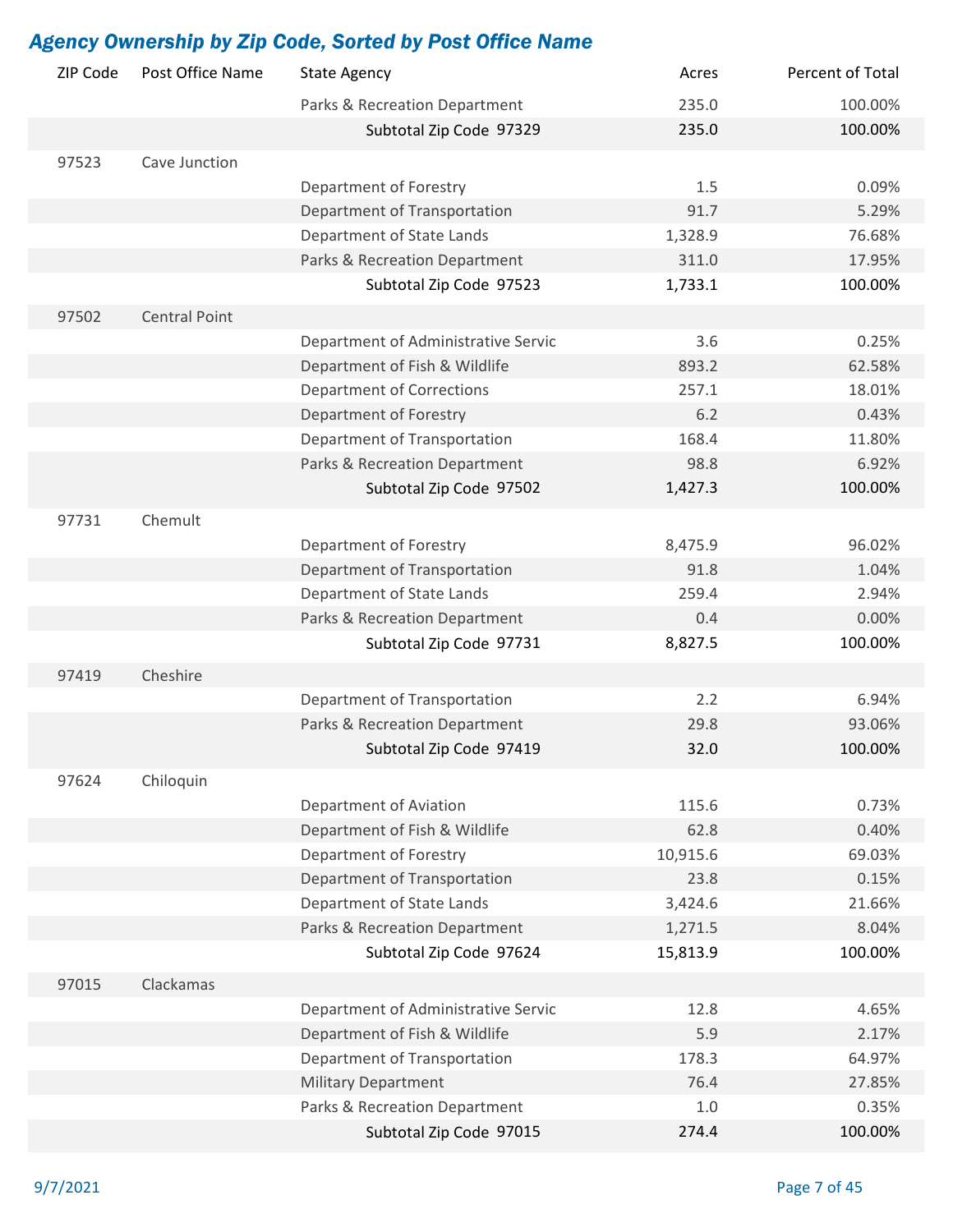| ZIP Code | Post Office Name     | <b>State Agency</b>                 | Acres    | Percent of Total |
|----------|----------------------|-------------------------------------|----------|------------------|
|          |                      | Parks & Recreation Department       | 235.0    | 100.00%          |
|          |                      | Subtotal Zip Code 97329             | 235.0    | 100.00%          |
| 97523    | Cave Junction        |                                     |          |                  |
|          |                      | Department of Forestry              | 1.5      | 0.09%            |
|          |                      | Department of Transportation        | 91.7     | 5.29%            |
|          |                      | Department of State Lands           | 1,328.9  | 76.68%           |
|          |                      | Parks & Recreation Department       | 311.0    | 17.95%           |
|          |                      | Subtotal Zip Code 97523             | 1,733.1  | 100.00%          |
| 97502    | <b>Central Point</b> |                                     |          |                  |
|          |                      | Department of Administrative Servic | 3.6      | 0.25%            |
|          |                      | Department of Fish & Wildlife       | 893.2    | 62.58%           |
|          |                      | <b>Department of Corrections</b>    | 257.1    | 18.01%           |
|          |                      | Department of Forestry              | 6.2      | 0.43%            |
|          |                      | Department of Transportation        | 168.4    | 11.80%           |
|          |                      | Parks & Recreation Department       | 98.8     | 6.92%            |
|          |                      | Subtotal Zip Code 97502             | 1,427.3  | 100.00%          |
| 97731    | Chemult              |                                     |          |                  |
|          |                      | Department of Forestry              | 8,475.9  | 96.02%           |
|          |                      | Department of Transportation        | 91.8     | 1.04%            |
|          |                      | Department of State Lands           | 259.4    | 2.94%            |
|          |                      | Parks & Recreation Department       | 0.4      | 0.00%            |
|          |                      | Subtotal Zip Code 97731             | 8,827.5  | 100.00%          |
|          |                      |                                     |          |                  |
| 97419    | Cheshire             |                                     |          |                  |
|          |                      | Department of Transportation        | 2.2      | 6.94%            |
|          |                      | Parks & Recreation Department       | 29.8     | 93.06%           |
|          |                      | Subtotal Zip Code 97419             | 32.0     | 100.00%          |
| 97624    | Chiloquin            |                                     |          |                  |
|          |                      | Department of Aviation              | 115.6    | 0.73%            |
|          |                      | Department of Fish & Wildlife       | 62.8     | 0.40%            |
|          |                      | Department of Forestry              | 10,915.6 | 69.03%           |
|          |                      | Department of Transportation        | 23.8     | 0.15%            |
|          |                      | Department of State Lands           | 3,424.6  | 21.66%           |
|          |                      | Parks & Recreation Department       | 1,271.5  | 8.04%            |
|          |                      | Subtotal Zip Code 97624             | 15,813.9 | 100.00%          |
| 97015    | Clackamas            |                                     |          |                  |
|          |                      | Department of Administrative Servic | 12.8     | 4.65%            |
|          |                      | Department of Fish & Wildlife       | 5.9      | 2.17%            |
|          |                      | Department of Transportation        | 178.3    | 64.97%           |
|          |                      | <b>Military Department</b>          | 76.4     | 27.85%           |
|          |                      | Parks & Recreation Department       | 1.0      | 0.35%            |
|          |                      | Subtotal Zip Code 97015             | 274.4    | 100.00%          |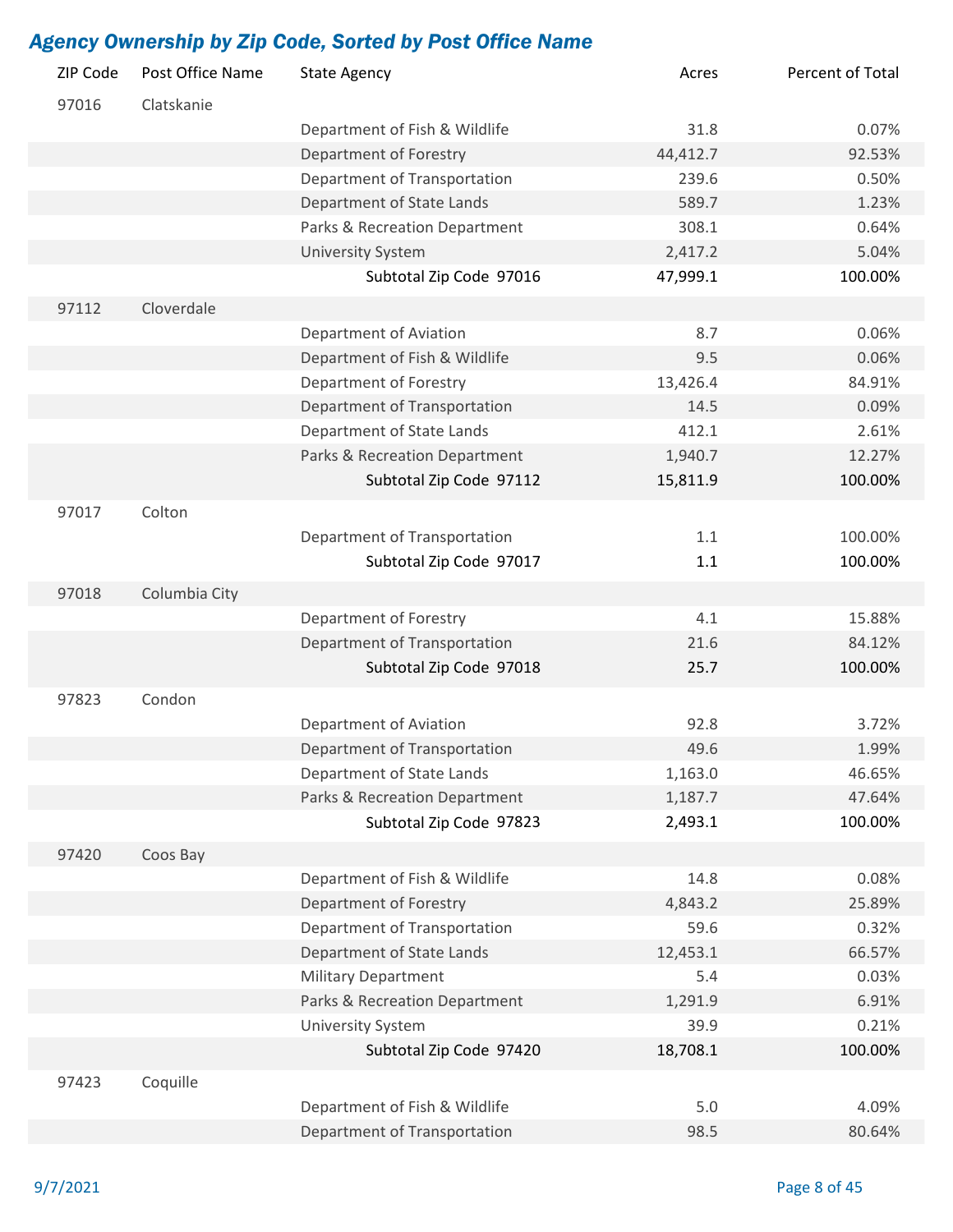| ZIP Code | Post Office Name | <b>State Agency</b>           | Acres    | Percent of Total |
|----------|------------------|-------------------------------|----------|------------------|
| 97016    | Clatskanie       |                               |          |                  |
|          |                  | Department of Fish & Wildlife | 31.8     | 0.07%            |
|          |                  | Department of Forestry        | 44,412.7 | 92.53%           |
|          |                  | Department of Transportation  | 239.6    | 0.50%            |
|          |                  | Department of State Lands     | 589.7    | 1.23%            |
|          |                  | Parks & Recreation Department | 308.1    | 0.64%            |
|          |                  | <b>University System</b>      | 2,417.2  | 5.04%            |
|          |                  | Subtotal Zip Code 97016       | 47,999.1 | 100.00%          |
| 97112    | Cloverdale       |                               |          |                  |
|          |                  | Department of Aviation        | 8.7      | 0.06%            |
|          |                  | Department of Fish & Wildlife | 9.5      | 0.06%            |
|          |                  | Department of Forestry        | 13,426.4 | 84.91%           |
|          |                  | Department of Transportation  | 14.5     | 0.09%            |
|          |                  | Department of State Lands     | 412.1    | 2.61%            |
|          |                  | Parks & Recreation Department | 1,940.7  | 12.27%           |
|          |                  | Subtotal Zip Code 97112       | 15,811.9 | 100.00%          |
| 97017    | Colton           |                               |          |                  |
|          |                  | Department of Transportation  | 1.1      | 100.00%          |
|          |                  | Subtotal Zip Code 97017       | 1.1      | 100.00%          |
| 97018    | Columbia City    |                               |          |                  |
|          |                  | Department of Forestry        | 4.1      | 15.88%           |
|          |                  | Department of Transportation  | 21.6     | 84.12%           |
|          |                  | Subtotal Zip Code 97018       | 25.7     | 100.00%          |
| 97823    | Condon           |                               |          |                  |
|          |                  | Department of Aviation        | 92.8     | 3.72%            |
|          |                  | Department of Transportation  | 49.6     | 1.99%            |
|          |                  | Department of State Lands     | 1,163.0  | 46.65%           |
|          |                  | Parks & Recreation Department | 1,187.7  | 47.64%           |
|          |                  | Subtotal Zip Code 97823       | 2,493.1  | 100.00%          |
| 97420    | Coos Bay         |                               |          |                  |
|          |                  | Department of Fish & Wildlife | 14.8     | 0.08%            |
|          |                  | Department of Forestry        | 4,843.2  | 25.89%           |
|          |                  | Department of Transportation  | 59.6     | 0.32%            |
|          |                  | Department of State Lands     | 12,453.1 | 66.57%           |
|          |                  | <b>Military Department</b>    | 5.4      | 0.03%            |
|          |                  | Parks & Recreation Department | 1,291.9  | 6.91%            |
|          |                  | <b>University System</b>      | 39.9     | 0.21%            |
|          |                  | Subtotal Zip Code 97420       | 18,708.1 | 100.00%          |
| 97423    | Coquille         |                               |          |                  |
|          |                  | Department of Fish & Wildlife | 5.0      | 4.09%            |
|          |                  | Department of Transportation  | 98.5     | 80.64%           |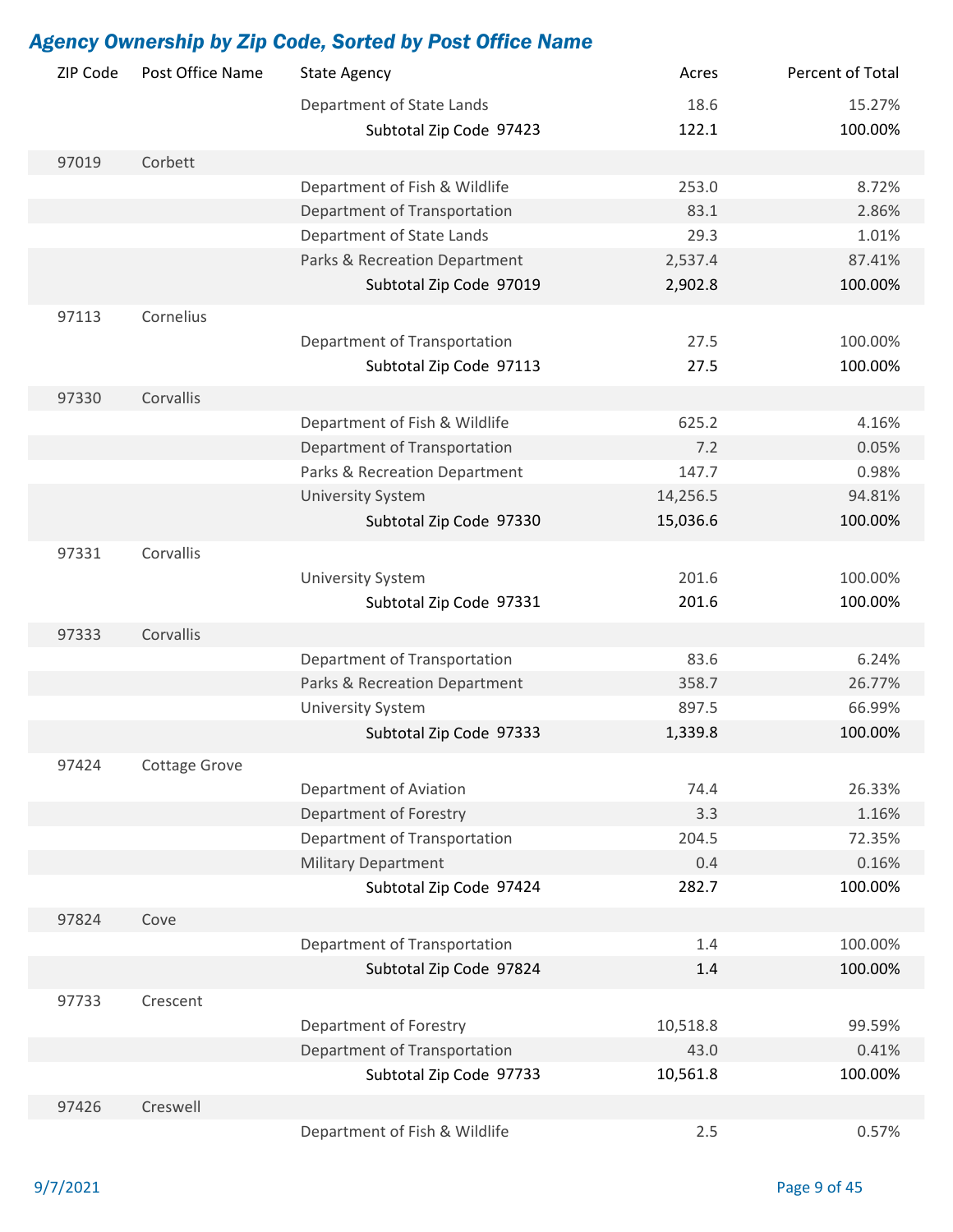| ZIP Code | Post Office Name | <b>State Agency</b>           | Acres    | Percent of Total |
|----------|------------------|-------------------------------|----------|------------------|
|          |                  | Department of State Lands     | 18.6     | 15.27%           |
|          |                  | Subtotal Zip Code 97423       | 122.1    | 100.00%          |
| 97019    | Corbett          |                               |          |                  |
|          |                  | Department of Fish & Wildlife | 253.0    | 8.72%            |
|          |                  | Department of Transportation  | 83.1     | 2.86%            |
|          |                  | Department of State Lands     | 29.3     | 1.01%            |
|          |                  | Parks & Recreation Department | 2,537.4  | 87.41%           |
|          |                  | Subtotal Zip Code 97019       | 2,902.8  | 100.00%          |
| 97113    | Cornelius        |                               |          |                  |
|          |                  | Department of Transportation  | 27.5     | 100.00%          |
|          |                  | Subtotal Zip Code 97113       | 27.5     | 100.00%          |
|          |                  |                               |          |                  |
| 97330    | Corvallis        |                               |          |                  |
|          |                  | Department of Fish & Wildlife | 625.2    | 4.16%            |
|          |                  | Department of Transportation  | 7.2      | 0.05%            |
|          |                  | Parks & Recreation Department | 147.7    | 0.98%            |
|          |                  | <b>University System</b>      | 14,256.5 | 94.81%           |
|          |                  | Subtotal Zip Code 97330       | 15,036.6 | 100.00%          |
| 97331    | Corvallis        |                               |          |                  |
|          |                  | <b>University System</b>      | 201.6    | 100.00%          |
|          |                  | Subtotal Zip Code 97331       | 201.6    | 100.00%          |
| 97333    | Corvallis        |                               |          |                  |
|          |                  | Department of Transportation  | 83.6     | 6.24%            |
|          |                  | Parks & Recreation Department | 358.7    | 26.77%           |
|          |                  | <b>University System</b>      | 897.5    | 66.99%           |
|          |                  | Subtotal Zip Code 97333       | 1,339.8  | 100.00%          |
| 97424    | Cottage Grove    |                               |          |                  |
|          |                  | Department of Aviation        | 74.4     | 26.33%           |
|          |                  | Department of Forestry        | 3.3      | 1.16%            |
|          |                  | Department of Transportation  | 204.5    | 72.35%           |
|          |                  | <b>Military Department</b>    | 0.4      | 0.16%            |
|          |                  | Subtotal Zip Code 97424       | 282.7    | 100.00%          |
|          |                  |                               |          |                  |
| 97824    | Cove             |                               |          |                  |
|          |                  | Department of Transportation  | 1.4      | 100.00%          |
|          |                  | Subtotal Zip Code 97824       | 1.4      | 100.00%          |
| 97733    | Crescent         |                               |          |                  |
|          |                  | Department of Forestry        | 10,518.8 | 99.59%           |
|          |                  | Department of Transportation  | 43.0     | 0.41%            |
|          |                  | Subtotal Zip Code 97733       | 10,561.8 | 100.00%          |
| 97426    | Creswell         |                               |          |                  |
|          |                  | Department of Fish & Wildlife | 2.5      | 0.57%            |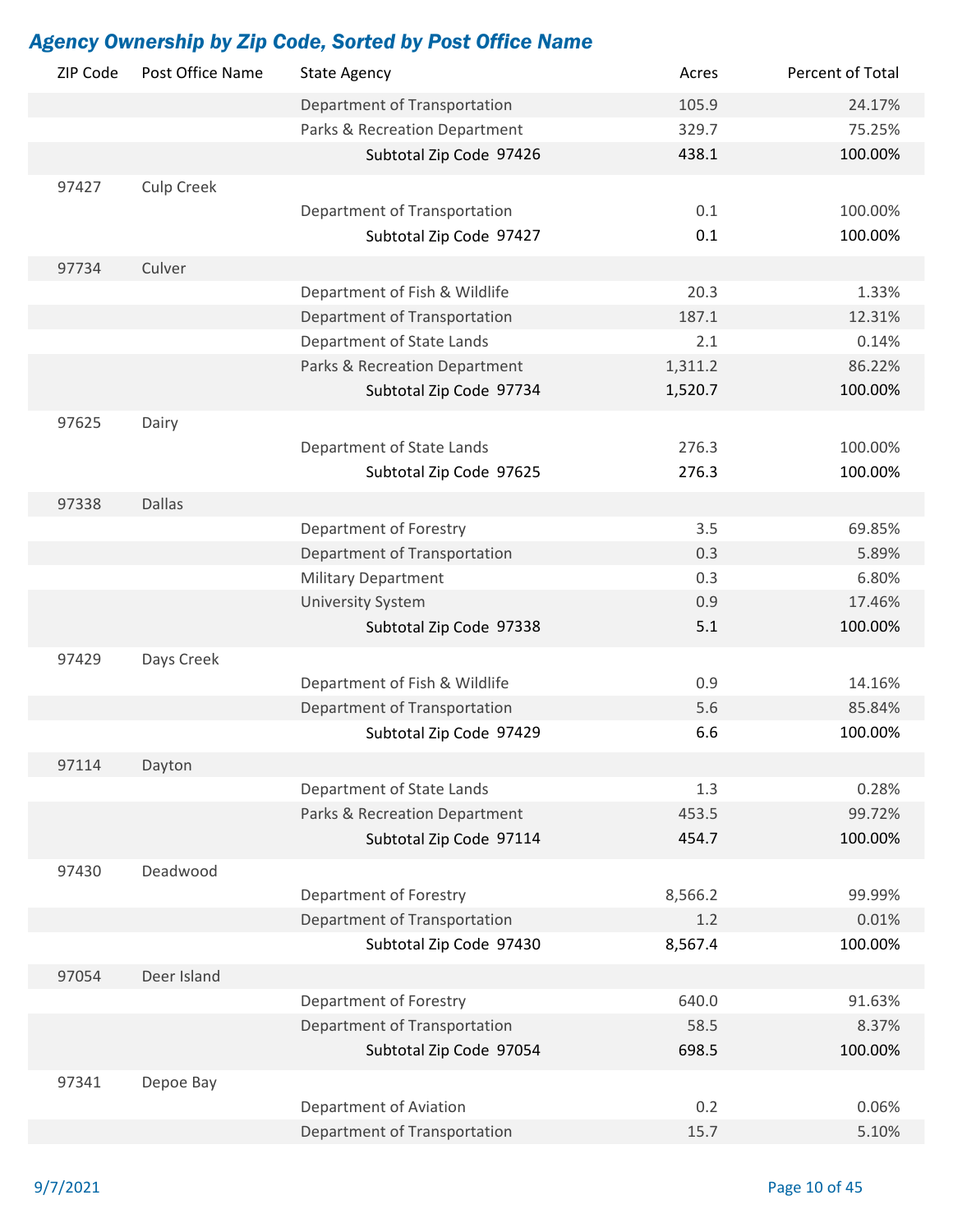| ZIP Code | Post Office Name  | <b>State Agency</b>                                        | Acres   | Percent of Total |
|----------|-------------------|------------------------------------------------------------|---------|------------------|
|          |                   | Department of Transportation                               | 105.9   | 24.17%           |
|          |                   | Parks & Recreation Department                              | 329.7   | 75.25%           |
|          |                   | Subtotal Zip Code 97426                                    | 438.1   | 100.00%          |
| 97427    | <b>Culp Creek</b> |                                                            |         |                  |
|          |                   | Department of Transportation                               | 0.1     | 100.00%          |
|          |                   | Subtotal Zip Code 97427                                    | 0.1     | 100.00%          |
|          | Culver            |                                                            |         |                  |
| 97734    |                   | Department of Fish & Wildlife                              | 20.3    | 1.33%            |
|          |                   | Department of Transportation                               | 187.1   | 12.31%           |
|          |                   | Department of State Lands                                  | 2.1     | 0.14%            |
|          |                   |                                                            |         | 86.22%           |
|          |                   | Parks & Recreation Department                              | 1,311.2 | 100.00%          |
|          |                   | Subtotal Zip Code 97734                                    | 1,520.7 |                  |
| 97625    | Dairy             |                                                            |         |                  |
|          |                   | Department of State Lands                                  | 276.3   | 100.00%          |
|          |                   | Subtotal Zip Code 97625                                    | 276.3   | 100.00%          |
| 97338    | <b>Dallas</b>     |                                                            |         |                  |
|          |                   | Department of Forestry                                     | 3.5     | 69.85%           |
|          |                   | Department of Transportation                               | 0.3     | 5.89%            |
|          |                   | <b>Military Department</b>                                 | 0.3     | 6.80%            |
|          |                   | <b>University System</b>                                   | 0.9     | 17.46%           |
|          |                   | Subtotal Zip Code 97338                                    | 5.1     | 100.00%          |
| 97429    | Days Creek        |                                                            |         |                  |
|          |                   | Department of Fish & Wildlife                              | 0.9     | 14.16%           |
|          |                   | Department of Transportation                               | 5.6     | 85.84%           |
|          |                   | Subtotal Zip Code 97429                                    | 6.6     | 100.00%          |
| 97114    |                   |                                                            |         |                  |
|          | Dayton            |                                                            | 1.3     | 0.28%            |
|          |                   | Department of State Lands<br>Parks & Recreation Department | 453.5   | 99.72%           |
|          |                   | Subtotal Zip Code 97114                                    | 454.7   | 100.00%          |
|          |                   |                                                            |         |                  |
| 97430    | Deadwood          |                                                            |         |                  |
|          |                   | Department of Forestry                                     | 8,566.2 | 99.99%           |
|          |                   | Department of Transportation                               | 1.2     | 0.01%            |
|          |                   | Subtotal Zip Code 97430                                    | 8,567.4 | 100.00%          |
| 97054    | Deer Island       |                                                            |         |                  |
|          |                   | Department of Forestry                                     | 640.0   | 91.63%           |
|          |                   | Department of Transportation                               | 58.5    | 8.37%            |
|          |                   | Subtotal Zip Code 97054                                    | 698.5   | 100.00%          |
| 97341    | Depoe Bay         |                                                            |         |                  |
|          |                   | Department of Aviation                                     | 0.2     | 0.06%            |
|          |                   | Department of Transportation                               | 15.7    | 5.10%            |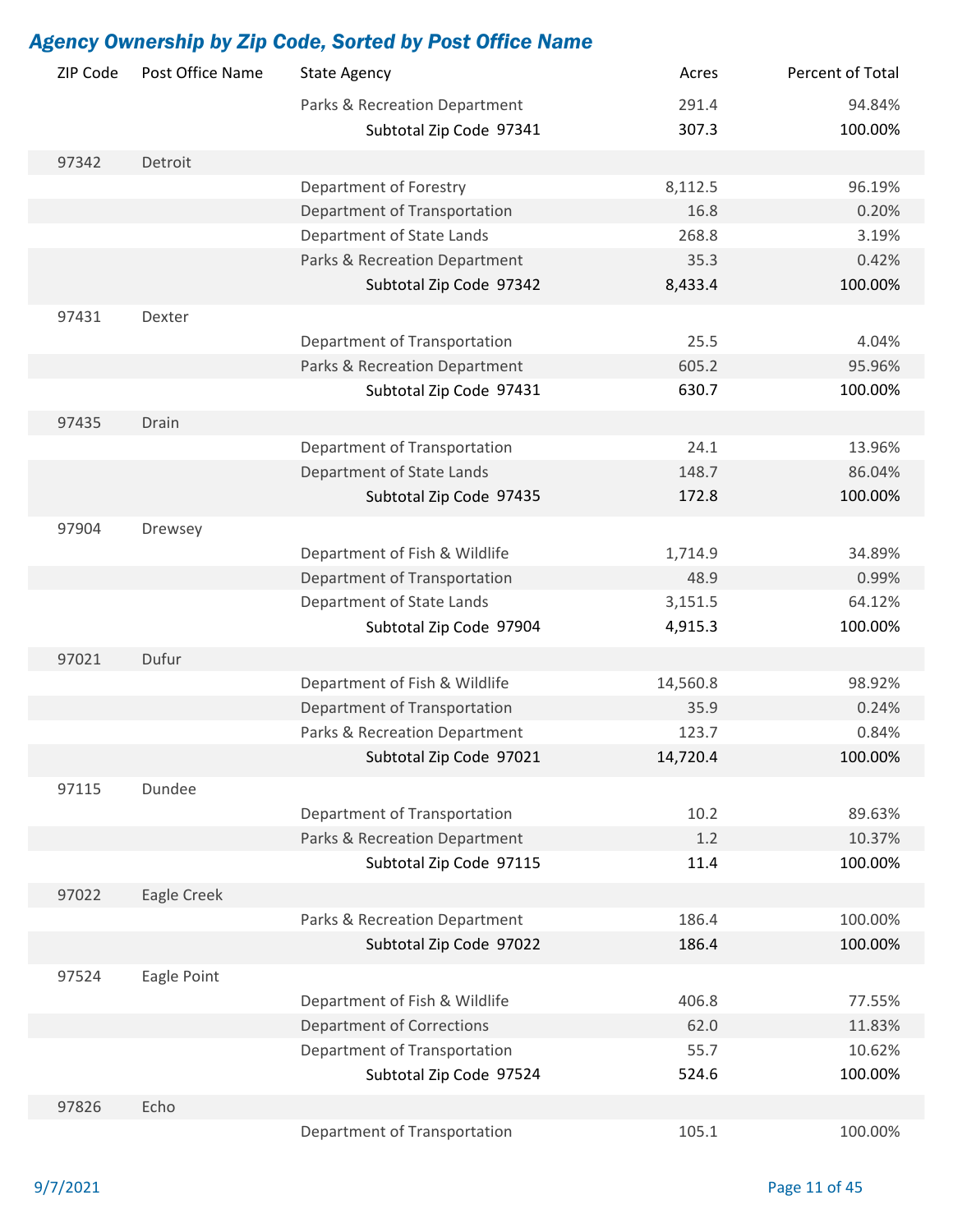|          |                  | <b>Agency Ownership by Zip Code, Sorted by Post Office Name</b> |          |                  |
|----------|------------------|-----------------------------------------------------------------|----------|------------------|
| ZIP Code | Post Office Name | <b>State Agency</b>                                             | Acres    | Percent of Total |
|          |                  | Parks & Recreation Department                                   | 291.4    | 94.84%           |
|          |                  | Subtotal Zip Code 97341                                         | 307.3    | 100.00%          |
| 97342    | Detroit          |                                                                 |          |                  |
|          |                  | Department of Forestry                                          | 8,112.5  | 96.19%           |
|          |                  | Department of Transportation                                    | 16.8     | 0.20%            |
|          |                  | Department of State Lands                                       | 268.8    | 3.19%            |
|          |                  | Parks & Recreation Department                                   | 35.3     | 0.42%            |
|          |                  | Subtotal Zip Code 97342                                         | 8,433.4  | 100.00%          |
| 97431    | Dexter           |                                                                 |          |                  |
|          |                  | Department of Transportation                                    | 25.5     | 4.04%            |
|          |                  | Parks & Recreation Department                                   | 605.2    | 95.96%           |
|          |                  | Subtotal Zip Code 97431                                         | 630.7    | 100.00%          |
| 97435    | Drain            |                                                                 |          |                  |
|          |                  | Department of Transportation                                    | 24.1     | 13.96%           |
|          |                  | Department of State Lands                                       | 148.7    | 86.04%           |
|          |                  | Subtotal Zip Code 97435                                         | 172.8    | 100.00%          |
| 97904    | Drewsey          |                                                                 |          |                  |
|          |                  | Department of Fish & Wildlife                                   | 1,714.9  | 34.89%           |
|          |                  | Department of Transportation                                    | 48.9     | 0.99%            |
|          |                  | Department of State Lands                                       | 3,151.5  | 64.12%           |
|          |                  | Subtotal Zip Code 97904                                         | 4,915.3  | 100.00%          |
| 97021    | Dufur            |                                                                 |          |                  |
|          |                  | Department of Fish & Wildlife                                   | 14,560.8 | 98.92%           |
|          |                  | Department of Transportation                                    | 35.9     | 0.24%            |
|          |                  | Parks & Recreation Department                                   | 123.7    | 0.84%            |
|          |                  | Subtotal Zip Code 97021                                         | 14,720.4 | 100.00%          |
| 97115    | Dundee           |                                                                 |          |                  |
|          |                  | Department of Transportation                                    | 10.2     | 89.63%           |
|          |                  | Parks & Recreation Department                                   | 1.2      | 10.37%           |
|          |                  | Subtotal Zip Code 97115                                         | 11.4     | 100.00%          |
| 97022    | Eagle Creek      |                                                                 |          |                  |
|          |                  | Parks & Recreation Department                                   | 186.4    | 100.00%          |
|          |                  | Subtotal Zip Code 97022                                         | 186.4    | 100.00%          |
| 97524    | Eagle Point      |                                                                 |          |                  |
|          |                  | Department of Fish & Wildlife                                   | 406.8    | 77.55%           |
|          |                  | <b>Department of Corrections</b>                                | 62.0     | 11.83%           |
|          |                  | Department of Transportation                                    | 55.7     | 10.62%           |
|          |                  | Subtotal Zip Code 97524                                         | 524.6    | 100.00%          |
| 97826    | Echo             |                                                                 |          |                  |
|          |                  | Department of Transportation                                    | 105.1    | 100.00%          |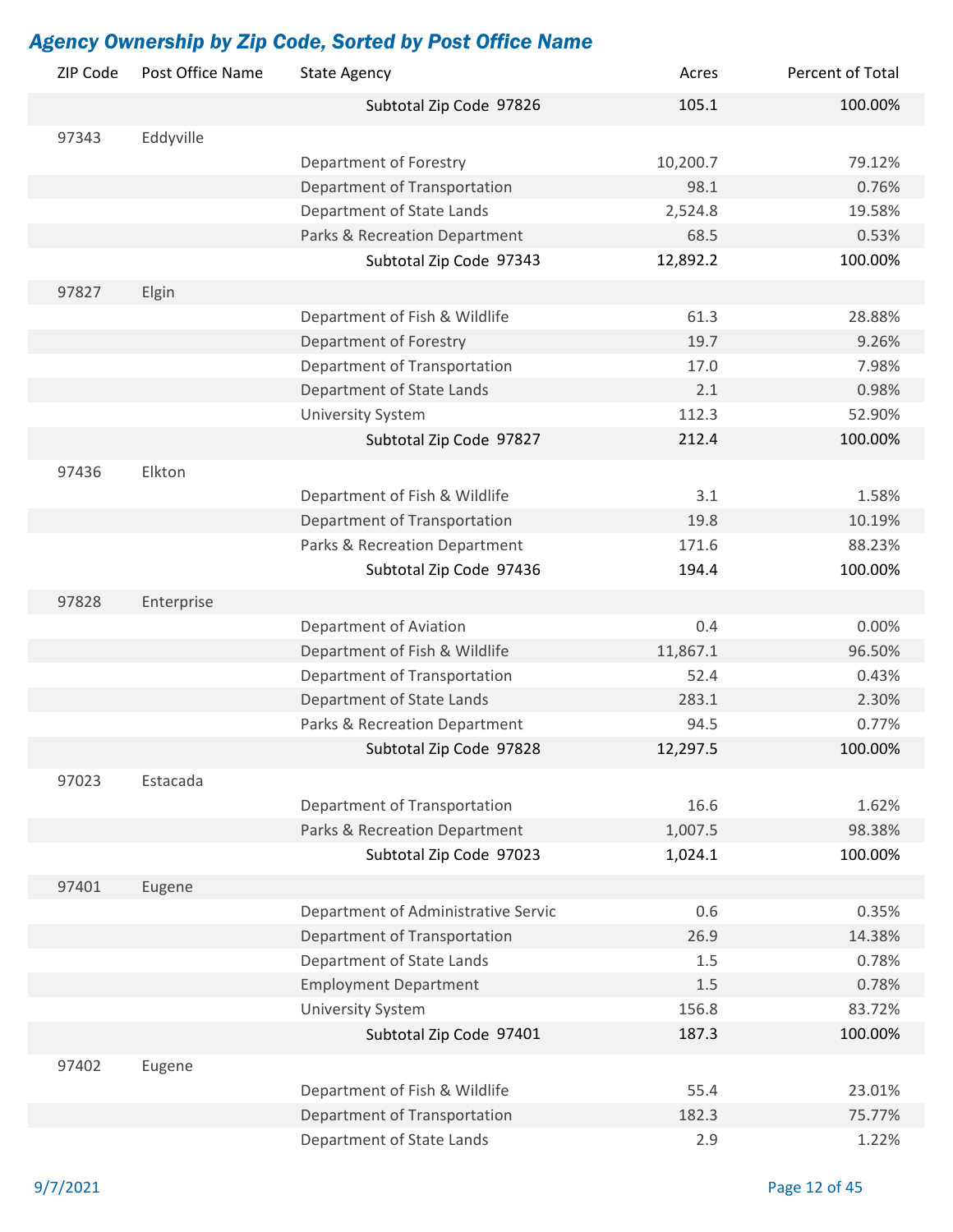| ZIP Code | Post Office Name | <b>State Agency</b>                 | Acres    | Percent of Total |
|----------|------------------|-------------------------------------|----------|------------------|
|          |                  | Subtotal Zip Code 97826             | 105.1    | 100.00%          |
| 97343    | Eddyville        |                                     |          |                  |
|          |                  | Department of Forestry              | 10,200.7 | 79.12%           |
|          |                  | Department of Transportation        | 98.1     | 0.76%            |
|          |                  | Department of State Lands           | 2,524.8  | 19.58%           |
|          |                  | Parks & Recreation Department       | 68.5     | 0.53%            |
|          |                  | Subtotal Zip Code 97343             | 12,892.2 | 100.00%          |
| 97827    | Elgin            |                                     |          |                  |
|          |                  | Department of Fish & Wildlife       | 61.3     | 28.88%           |
|          |                  | Department of Forestry              | 19.7     | 9.26%            |
|          |                  | Department of Transportation        | 17.0     | 7.98%            |
|          |                  | Department of State Lands           | 2.1      | 0.98%            |
|          |                  | <b>University System</b>            | 112.3    | 52.90%           |
|          |                  | Subtotal Zip Code 97827             | 212.4    | 100.00%          |
| 97436    | Elkton           |                                     |          |                  |
|          |                  | Department of Fish & Wildlife       | 3.1      | 1.58%            |
|          |                  | Department of Transportation        | 19.8     | 10.19%           |
|          |                  | Parks & Recreation Department       | 171.6    | 88.23%           |
|          |                  | Subtotal Zip Code 97436             | 194.4    | 100.00%          |
| 97828    | Enterprise       |                                     |          |                  |
|          |                  | Department of Aviation              | 0.4      | 0.00%            |
|          |                  | Department of Fish & Wildlife       | 11,867.1 | 96.50%           |
|          |                  | Department of Transportation        | 52.4     | 0.43%            |
|          |                  | Department of State Lands           | 283.1    | 2.30%            |
|          |                  | Parks & Recreation Department       | 94.5     | 0.77%            |
|          |                  | Subtotal Zip Code 97828             | 12,297.5 | 100.00%          |
| 97023    | Estacada         |                                     |          |                  |
|          |                  | Department of Transportation        | 16.6     | 1.62%            |
|          |                  | Parks & Recreation Department       | 1,007.5  | 98.38%           |
|          |                  | Subtotal Zip Code 97023             | 1,024.1  | 100.00%          |
| 97401    | Eugene           |                                     |          |                  |
|          |                  | Department of Administrative Servic | 0.6      | 0.35%            |
|          |                  | Department of Transportation        | 26.9     | 14.38%           |
|          |                  | Department of State Lands           | 1.5      | 0.78%            |
|          |                  | <b>Employment Department</b>        | $1.5\,$  | 0.78%            |
|          |                  | <b>University System</b>            | 156.8    | 83.72%           |
|          |                  | Subtotal Zip Code 97401             | 187.3    | 100.00%          |
| 97402    | Eugene           |                                     |          |                  |
|          |                  | Department of Fish & Wildlife       | 55.4     | 23.01%           |
|          |                  | Department of Transportation        | 182.3    | 75.77%           |
|          |                  | Department of State Lands           | 2.9      | 1.22%            |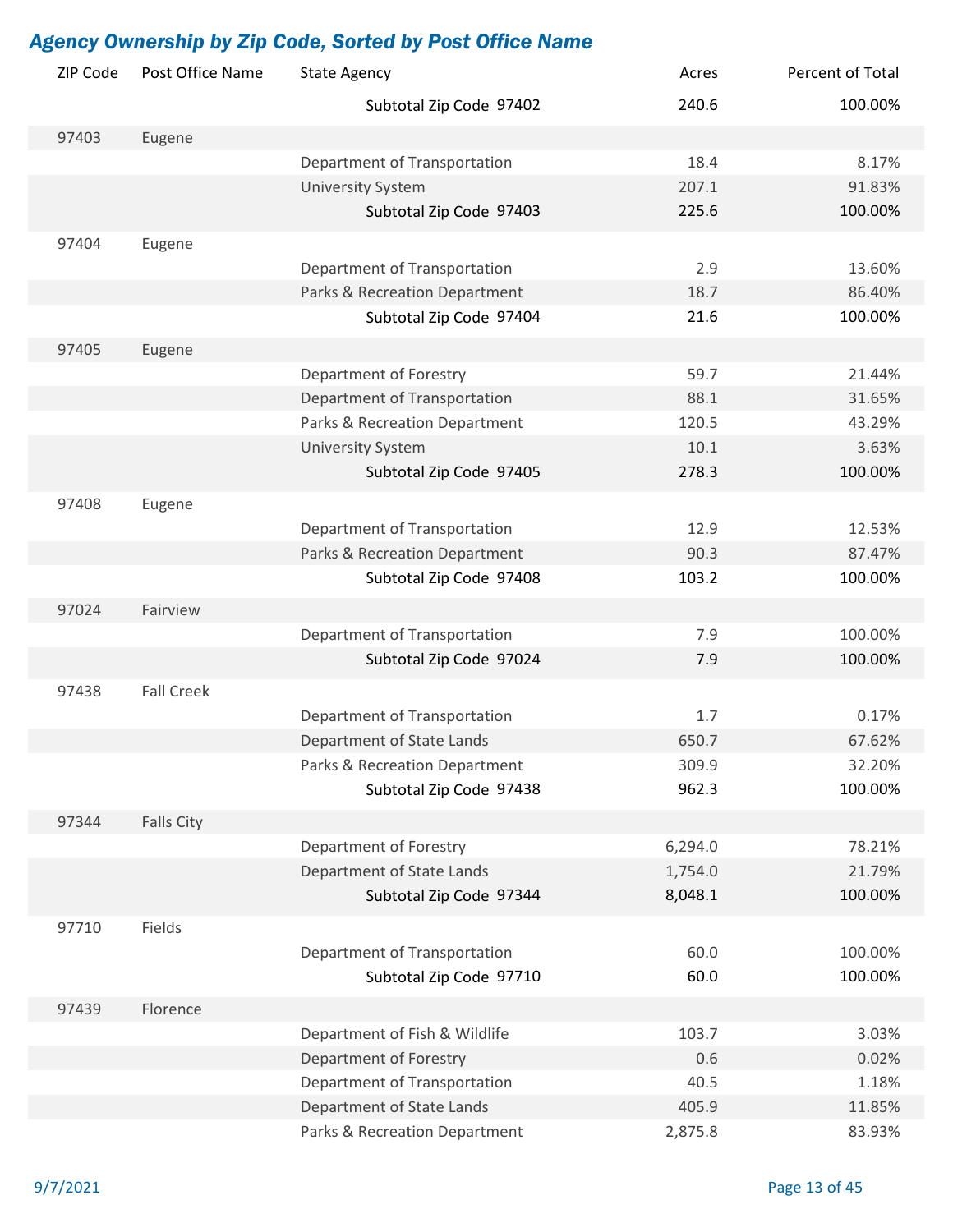| ZIP Code | Post Office Name  | <b>State Agency</b>           | Acres   | Percent of Total |
|----------|-------------------|-------------------------------|---------|------------------|
|          |                   | Subtotal Zip Code 97402       | 240.6   | 100.00%          |
| 97403    | Eugene            |                               |         |                  |
|          |                   | Department of Transportation  | 18.4    | 8.17%            |
|          |                   | <b>University System</b>      | 207.1   | 91.83%           |
|          |                   | Subtotal Zip Code 97403       | 225.6   | 100.00%          |
| 97404    | Eugene            |                               |         |                  |
|          |                   | Department of Transportation  | 2.9     | 13.60%           |
|          |                   | Parks & Recreation Department | 18.7    | 86.40%           |
|          |                   | Subtotal Zip Code 97404       | 21.6    | 100.00%          |
| 97405    | Eugene            |                               |         |                  |
|          |                   | Department of Forestry        | 59.7    | 21.44%           |
|          |                   | Department of Transportation  | 88.1    | 31.65%           |
|          |                   | Parks & Recreation Department | 120.5   | 43.29%           |
|          |                   | <b>University System</b>      | 10.1    | 3.63%            |
|          |                   | Subtotal Zip Code 97405       | 278.3   | 100.00%          |
|          |                   |                               |         |                  |
| 97408    | Eugene            |                               |         |                  |
|          |                   | Department of Transportation  | 12.9    | 12.53%           |
|          |                   | Parks & Recreation Department | 90.3    | 87.47%           |
|          |                   | Subtotal Zip Code 97408       | 103.2   | 100.00%          |
| 97024    | Fairview          |                               |         |                  |
|          |                   | Department of Transportation  | 7.9     | 100.00%          |
|          |                   | Subtotal Zip Code 97024       | 7.9     | 100.00%          |
|          |                   |                               |         |                  |
| 97438    | <b>Fall Creek</b> |                               |         |                  |
|          |                   | Department of Transportation  | 1.7     | 0.17%            |
|          |                   | Department of State Lands     | 650.7   | 67.62%           |
|          |                   | Parks & Recreation Department | 309.9   | 32.20%           |
|          |                   | Subtotal Zip Code 97438       | 962.3   | 100.00%          |
| 97344    | <b>Falls City</b> |                               |         |                  |
|          |                   | Department of Forestry        | 6,294.0 | 78.21%           |
|          |                   | Department of State Lands     | 1,754.0 | 21.79%           |
|          |                   | Subtotal Zip Code 97344       | 8,048.1 | 100.00%          |
| 97710    | Fields            |                               |         |                  |
|          |                   |                               | 60.0    | 100.00%          |
|          |                   | Department of Transportation  | 60.0    |                  |
|          |                   | Subtotal Zip Code 97710       |         | 100.00%          |
| 97439    | Florence          |                               |         |                  |
|          |                   | Department of Fish & Wildlife | 103.7   | 3.03%            |
|          |                   | Department of Forestry        | 0.6     | 0.02%            |
|          |                   | Department of Transportation  | 40.5    | 1.18%            |
|          |                   | Department of State Lands     | 405.9   | 11.85%           |
|          |                   | Parks & Recreation Department | 2,875.8 | 83.93%           |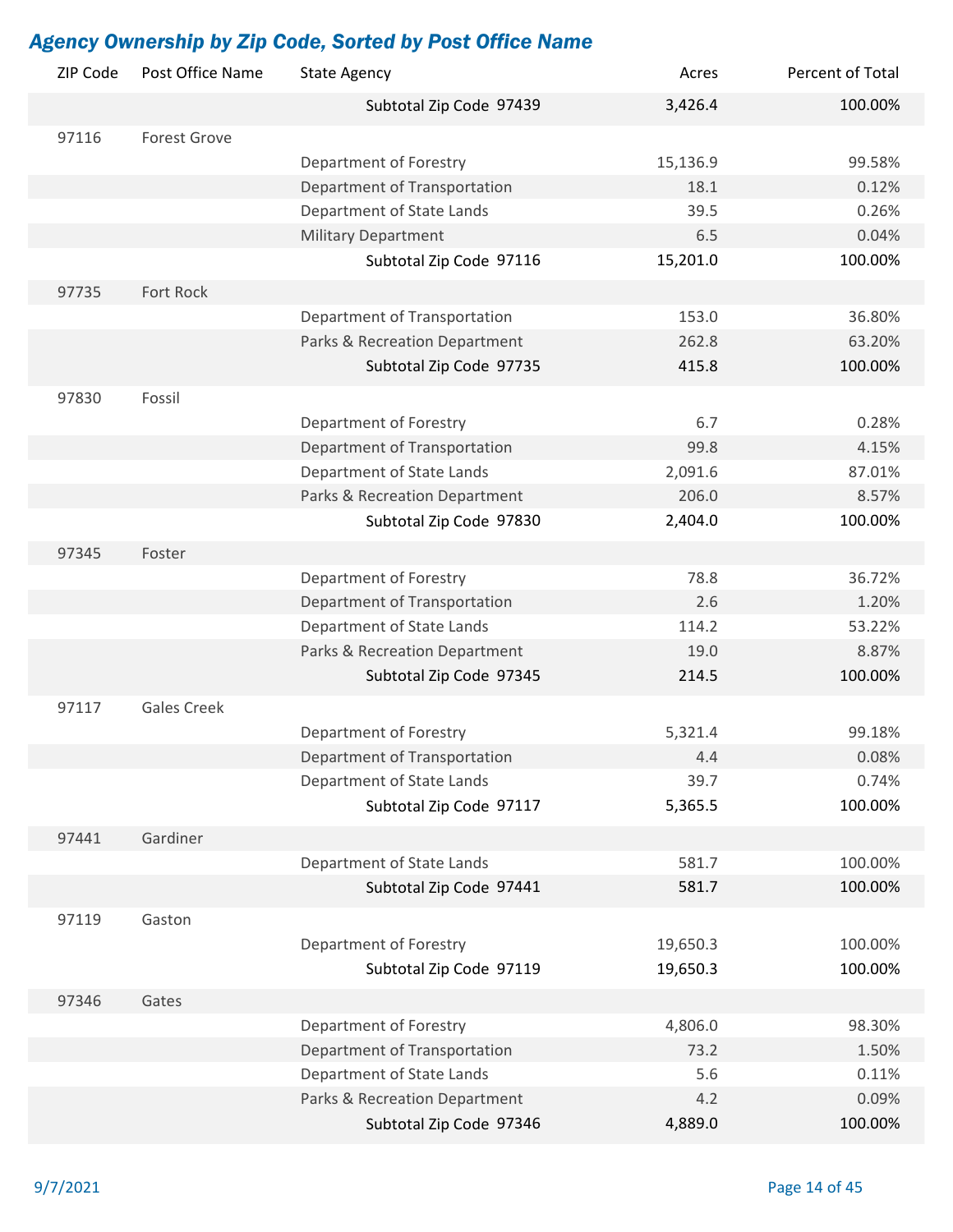| ZIP Code | Post Office Name    | <b>State Agency</b>           | Acres    | Percent of Total |
|----------|---------------------|-------------------------------|----------|------------------|
|          |                     | Subtotal Zip Code 97439       | 3,426.4  | 100.00%          |
| 97116    | <b>Forest Grove</b> |                               |          |                  |
|          |                     | Department of Forestry        | 15,136.9 | 99.58%           |
|          |                     | Department of Transportation  | 18.1     | 0.12%            |
|          |                     | Department of State Lands     | 39.5     | 0.26%            |
|          |                     | <b>Military Department</b>    | 6.5      | 0.04%            |
|          |                     | Subtotal Zip Code 97116       | 15,201.0 | 100.00%          |
| 97735    | Fort Rock           |                               |          |                  |
|          |                     | Department of Transportation  | 153.0    | 36.80%           |
|          |                     | Parks & Recreation Department | 262.8    | 63.20%           |
|          |                     | Subtotal Zip Code 97735       | 415.8    | 100.00%          |
| 97830    | Fossil              |                               |          |                  |
|          |                     | Department of Forestry        | 6.7      | 0.28%            |
|          |                     | Department of Transportation  | 99.8     | 4.15%            |
|          |                     | Department of State Lands     | 2,091.6  | 87.01%           |
|          |                     | Parks & Recreation Department | 206.0    | 8.57%            |
|          |                     | Subtotal Zip Code 97830       | 2,404.0  | 100.00%          |
| 97345    | Foster              |                               |          |                  |
|          |                     | Department of Forestry        | 78.8     | 36.72%           |
|          |                     | Department of Transportation  | 2.6      | 1.20%            |
|          |                     | Department of State Lands     | 114.2    | 53.22%           |
|          |                     | Parks & Recreation Department | 19.0     | 8.87%            |
|          |                     | Subtotal Zip Code 97345       | 214.5    | 100.00%          |
| 97117    | <b>Gales Creek</b>  |                               |          |                  |
|          |                     | Department of Forestry        | 5,321.4  | 99.18%           |
|          |                     | Department of Transportation  | 4.4      | 0.08%            |
|          |                     | Department of State Lands     | 39.7     | 0.74%            |
|          |                     | Subtotal Zip Code 97117       | 5,365.5  | 100.00%          |
| 97441    | Gardiner            |                               |          |                  |
|          |                     | Department of State Lands     | 581.7    | 100.00%          |
|          |                     | Subtotal Zip Code 97441       | 581.7    | 100.00%          |
| 97119    | Gaston              |                               |          |                  |
|          |                     | Department of Forestry        | 19,650.3 | 100.00%          |
|          |                     | Subtotal Zip Code 97119       | 19,650.3 | 100.00%          |
| 97346    | Gates               |                               |          |                  |
|          |                     | Department of Forestry        | 4,806.0  | 98.30%           |
|          |                     | Department of Transportation  | 73.2     | 1.50%            |
|          |                     | Department of State Lands     | 5.6      | 0.11%            |
|          |                     | Parks & Recreation Department | 4.2      | 0.09%            |
|          |                     | Subtotal Zip Code 97346       | 4,889.0  | 100.00%          |
|          |                     |                               |          |                  |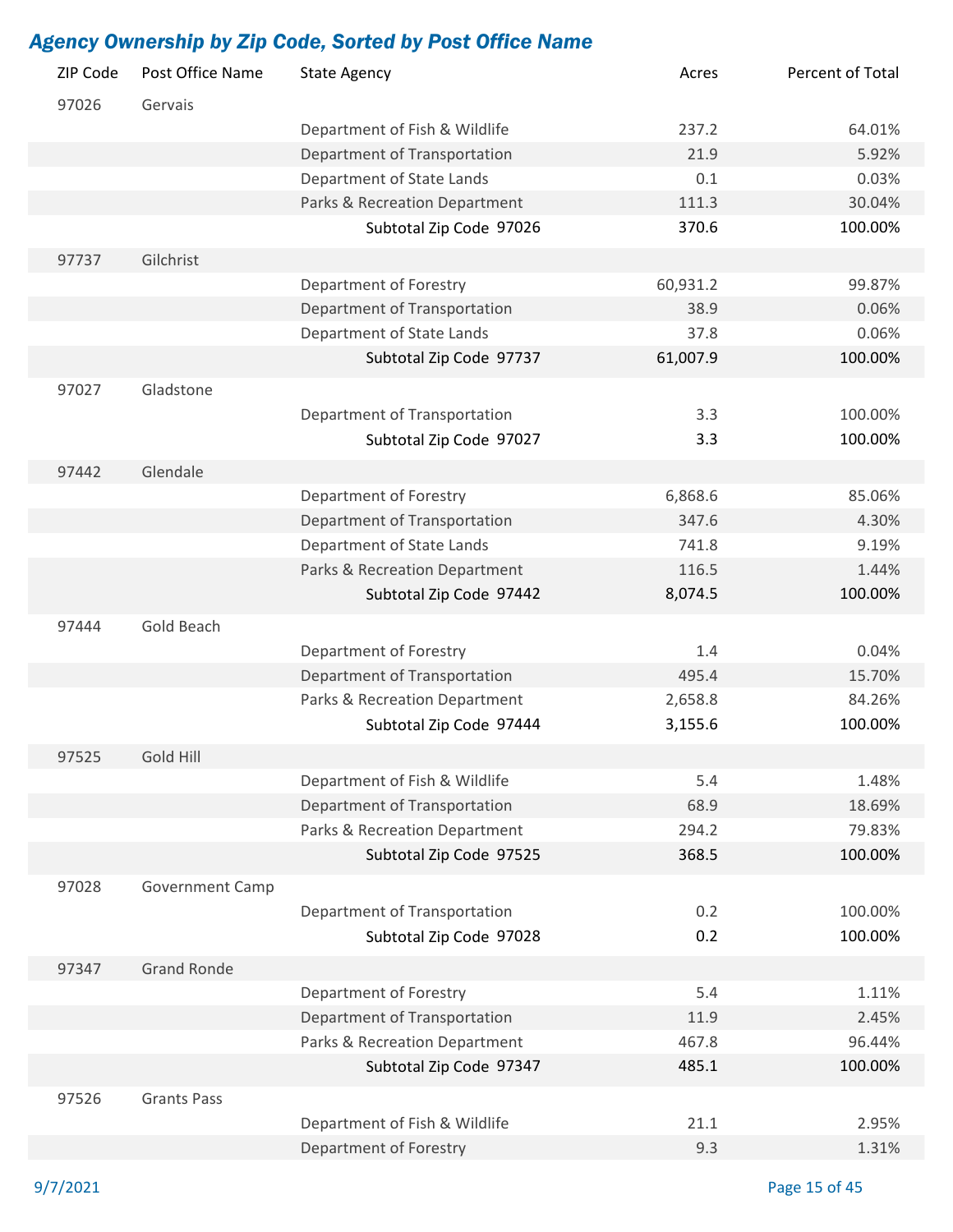| ZIP Code | Post Office Name   | <b>State Agency</b>           | Acres    | Percent of Total |
|----------|--------------------|-------------------------------|----------|------------------|
| 97026    | Gervais            |                               |          |                  |
|          |                    | Department of Fish & Wildlife | 237.2    | 64.01%           |
|          |                    | Department of Transportation  | 21.9     | 5.92%            |
|          |                    | Department of State Lands     | 0.1      | 0.03%            |
|          |                    | Parks & Recreation Department | 111.3    | 30.04%           |
|          |                    | Subtotal Zip Code 97026       | 370.6    | 100.00%          |
| 97737    | Gilchrist          |                               |          |                  |
|          |                    | Department of Forestry        | 60,931.2 | 99.87%           |
|          |                    | Department of Transportation  | 38.9     | 0.06%            |
|          |                    | Department of State Lands     | 37.8     | 0.06%            |
|          |                    | Subtotal Zip Code 97737       | 61,007.9 | 100.00%          |
|          |                    |                               |          |                  |
| 97027    | Gladstone          |                               |          |                  |
|          |                    | Department of Transportation  | 3.3      | 100.00%          |
|          |                    | Subtotal Zip Code 97027       | 3.3      | 100.00%          |
| 97442    | Glendale           |                               |          |                  |
|          |                    | Department of Forestry        | 6,868.6  | 85.06%           |
|          |                    | Department of Transportation  | 347.6    | 4.30%            |
|          |                    | Department of State Lands     | 741.8    | 9.19%            |
|          |                    | Parks & Recreation Department | 116.5    | 1.44%            |
|          |                    | Subtotal Zip Code 97442       | 8,074.5  | 100.00%          |
| 97444    | Gold Beach         |                               |          |                  |
|          |                    | Department of Forestry        | 1.4      | 0.04%            |
|          |                    | Department of Transportation  | 495.4    | 15.70%           |
|          |                    | Parks & Recreation Department | 2,658.8  | 84.26%           |
|          |                    | Subtotal Zip Code 97444       | 3,155.6  | 100.00%          |
| 97525    | Gold Hill          |                               |          |                  |
|          |                    | Department of Fish & Wildlife | 5.4      | 1.48%            |
|          |                    | Department of Transportation  | 68.9     | 18.69%           |
|          |                    | Parks & Recreation Department | 294.2    | 79.83%           |
|          |                    | Subtotal Zip Code 97525       | 368.5    | 100.00%          |
|          |                    |                               |          |                  |
| 97028    | Government Camp    |                               |          |                  |
|          |                    | Department of Transportation  | 0.2      | 100.00%          |
|          |                    | Subtotal Zip Code 97028       | 0.2      | 100.00%          |
| 97347    | <b>Grand Ronde</b> |                               |          |                  |
|          |                    | Department of Forestry        | 5.4      | 1.11%            |
|          |                    | Department of Transportation  | 11.9     | 2.45%            |
|          |                    | Parks & Recreation Department | 467.8    | 96.44%           |
|          |                    | Subtotal Zip Code 97347       | 485.1    | 100.00%          |
| 97526    | <b>Grants Pass</b> |                               |          |                  |
|          |                    | Department of Fish & Wildlife | 21.1     | 2.95%            |
|          |                    | Department of Forestry        | 9.3      | 1.31%            |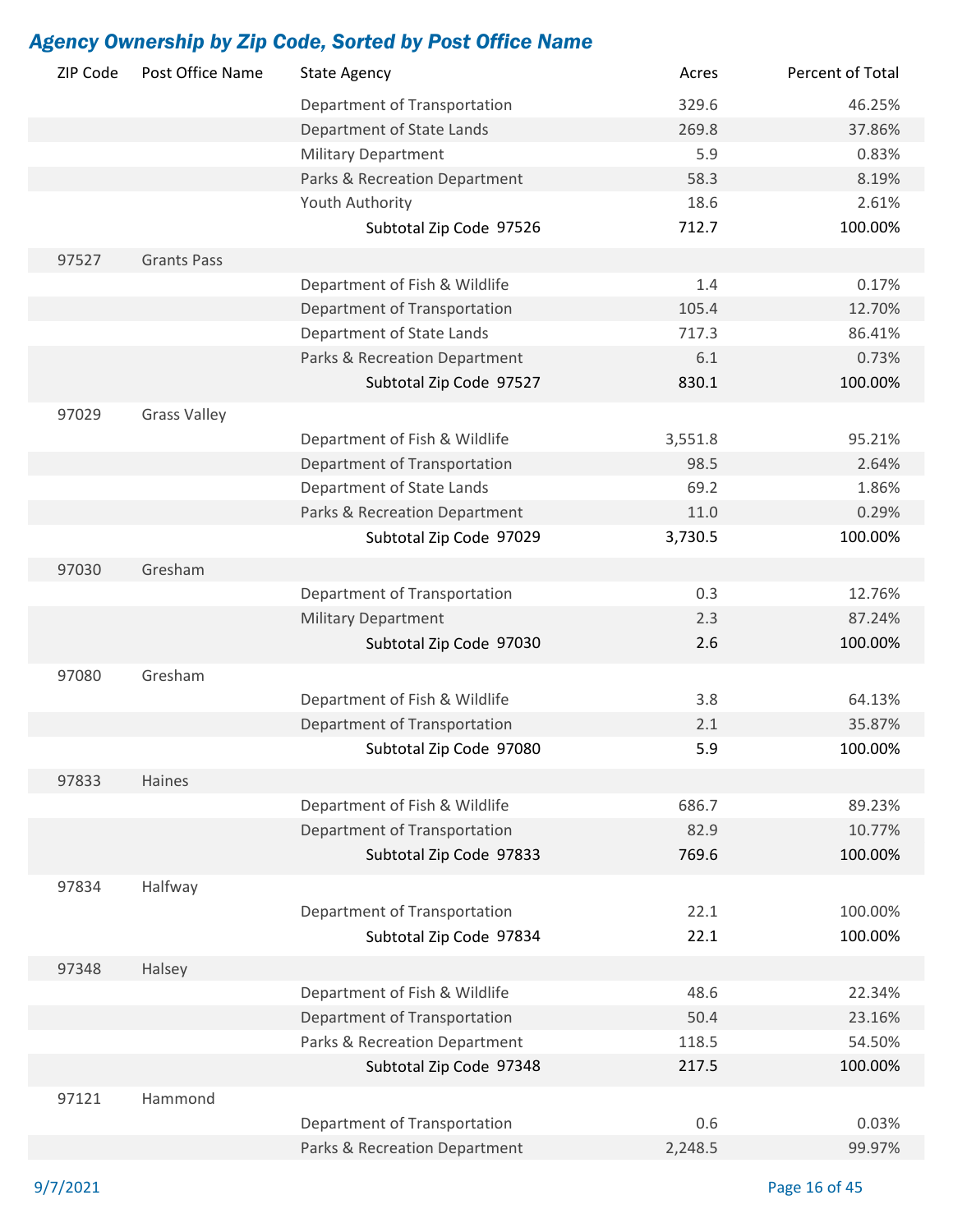| ZIP Code | Post Office Name    | <b>State Agency</b>           | Acres      | Percent of Total |
|----------|---------------------|-------------------------------|------------|------------------|
|          |                     | Department of Transportation  | 329.6      | 46.25%           |
|          |                     | Department of State Lands     | 269.8      | 37.86%           |
|          |                     | <b>Military Department</b>    | 5.9        | 0.83%            |
|          |                     | Parks & Recreation Department | 58.3       | 8.19%            |
|          |                     | Youth Authority               | 18.6       | 2.61%            |
|          |                     | Subtotal Zip Code 97526       | 712.7      | 100.00%          |
| 97527    | <b>Grants Pass</b>  |                               |            |                  |
|          |                     | Department of Fish & Wildlife | 1.4        | 0.17%            |
|          |                     | Department of Transportation  | 105.4      | 12.70%           |
|          |                     | Department of State Lands     | 717.3      | 86.41%           |
|          |                     | Parks & Recreation Department | 6.1        | 0.73%            |
|          |                     | Subtotal Zip Code 97527       | 830.1      | 100.00%          |
| 97029    | <b>Grass Valley</b> |                               |            |                  |
|          |                     | Department of Fish & Wildlife | 3,551.8    | 95.21%           |
|          |                     | Department of Transportation  | 98.5       | 2.64%            |
|          |                     | Department of State Lands     | 69.2       | 1.86%            |
|          |                     | Parks & Recreation Department | 11.0       | 0.29%            |
|          |                     | Subtotal Zip Code 97029       | 3,730.5    | 100.00%          |
| 97030    | Gresham             |                               |            |                  |
|          |                     |                               | 0.3        |                  |
|          |                     | Department of Transportation  |            | 12.76%           |
|          |                     | <b>Military Department</b>    | 2.3<br>2.6 | 87.24%           |
|          |                     | Subtotal Zip Code 97030       |            | 100.00%          |
| 97080    | Gresham             |                               |            |                  |
|          |                     | Department of Fish & Wildlife | 3.8        | 64.13%           |
|          |                     | Department of Transportation  | 2.1        | 35.87%           |
|          |                     | Subtotal Zip Code 97080       | 5.9        | 100.00%          |
| 97833    | Haines              |                               |            |                  |
|          |                     | Department of Fish & Wildlife | 686.7      | 89.23%           |
|          |                     | Department of Transportation  | 82.9       | 10.77%           |
|          |                     | Subtotal Zip Code 97833       | 769.6      | 100.00%          |
| 97834    | Halfway             |                               |            |                  |
|          |                     | Department of Transportation  | 22.1       | 100.00%          |
|          |                     | Subtotal Zip Code 97834       | 22.1       | 100.00%          |
| 97348    | Halsey              |                               |            |                  |
|          |                     | Department of Fish & Wildlife | 48.6       | 22.34%           |
|          |                     | Department of Transportation  | 50.4       | 23.16%           |
|          |                     | Parks & Recreation Department | 118.5      | 54.50%           |
|          |                     | Subtotal Zip Code 97348       | 217.5      | 100.00%          |
|          |                     |                               |            |                  |
| 97121    | Hammond             |                               |            |                  |
|          |                     | Department of Transportation  | 0.6        | 0.03%            |
|          |                     | Parks & Recreation Department | 2,248.5    | 99.97%           |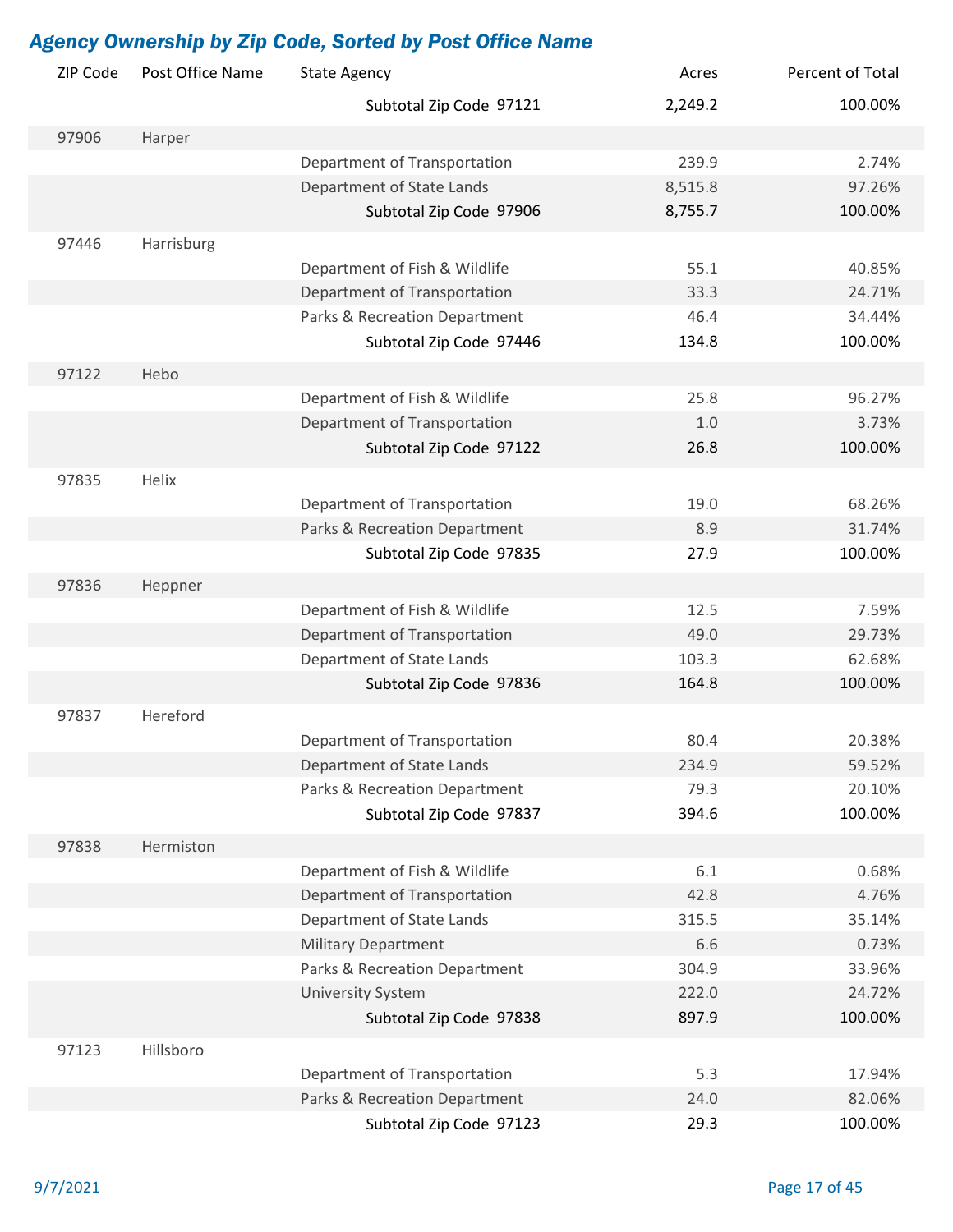| ZIP Code | Post Office Name | <b>State Agency</b>           | Acres   | Percent of Total |
|----------|------------------|-------------------------------|---------|------------------|
|          |                  | Subtotal Zip Code 97121       | 2,249.2 | 100.00%          |
| 97906    | Harper           |                               |         |                  |
|          |                  | Department of Transportation  | 239.9   | 2.74%            |
|          |                  | Department of State Lands     | 8,515.8 | 97.26%           |
|          |                  | Subtotal Zip Code 97906       | 8,755.7 | 100.00%          |
| 97446    | Harrisburg       |                               |         |                  |
|          |                  | Department of Fish & Wildlife | 55.1    | 40.85%           |
|          |                  | Department of Transportation  | 33.3    | 24.71%           |
|          |                  | Parks & Recreation Department | 46.4    | 34.44%           |
|          |                  | Subtotal Zip Code 97446       | 134.8   | 100.00%          |
| 97122    | Hebo             |                               |         |                  |
|          |                  | Department of Fish & Wildlife | 25.8    | 96.27%           |
|          |                  | Department of Transportation  | 1.0     | 3.73%            |
|          |                  | Subtotal Zip Code 97122       | 26.8    | 100.00%          |
| 97835    | Helix            |                               |         |                  |
|          |                  | Department of Transportation  | 19.0    | 68.26%           |
|          |                  | Parks & Recreation Department | 8.9     | 31.74%           |
|          |                  | Subtotal Zip Code 97835       | 27.9    | 100.00%          |
| 97836    | Heppner          |                               |         |                  |
|          |                  | Department of Fish & Wildlife | 12.5    | 7.59%            |
|          |                  | Department of Transportation  | 49.0    | 29.73%           |
|          |                  | Department of State Lands     | 103.3   | 62.68%           |
|          |                  | Subtotal Zip Code 97836       | 164.8   | 100.00%          |
|          |                  |                               |         |                  |
| 97837    | Hereford         |                               |         |                  |
|          |                  | Department of Transportation  | 80.4    | 20.38%           |
|          |                  | Department of State Lands     | 234.9   | 59.52%           |
|          |                  | Parks & Recreation Department | 79.3    | 20.10%           |
|          |                  | Subtotal Zip Code 97837       | 394.6   | 100.00%          |
| 97838    | Hermiston        |                               |         |                  |
|          |                  | Department of Fish & Wildlife | 6.1     | 0.68%            |
|          |                  | Department of Transportation  | 42.8    | 4.76%            |
|          |                  | Department of State Lands     | 315.5   | 35.14%           |
|          |                  | <b>Military Department</b>    | 6.6     | 0.73%            |
|          |                  | Parks & Recreation Department | 304.9   | 33.96%           |
|          |                  | <b>University System</b>      | 222.0   | 24.72%           |
|          |                  | Subtotal Zip Code 97838       | 897.9   | 100.00%          |
| 97123    | Hillsboro        |                               |         |                  |
|          |                  | Department of Transportation  | 5.3     | 17.94%           |
|          |                  | Parks & Recreation Department | 24.0    | 82.06%           |
|          |                  | Subtotal Zip Code 97123       | 29.3    | 100.00%          |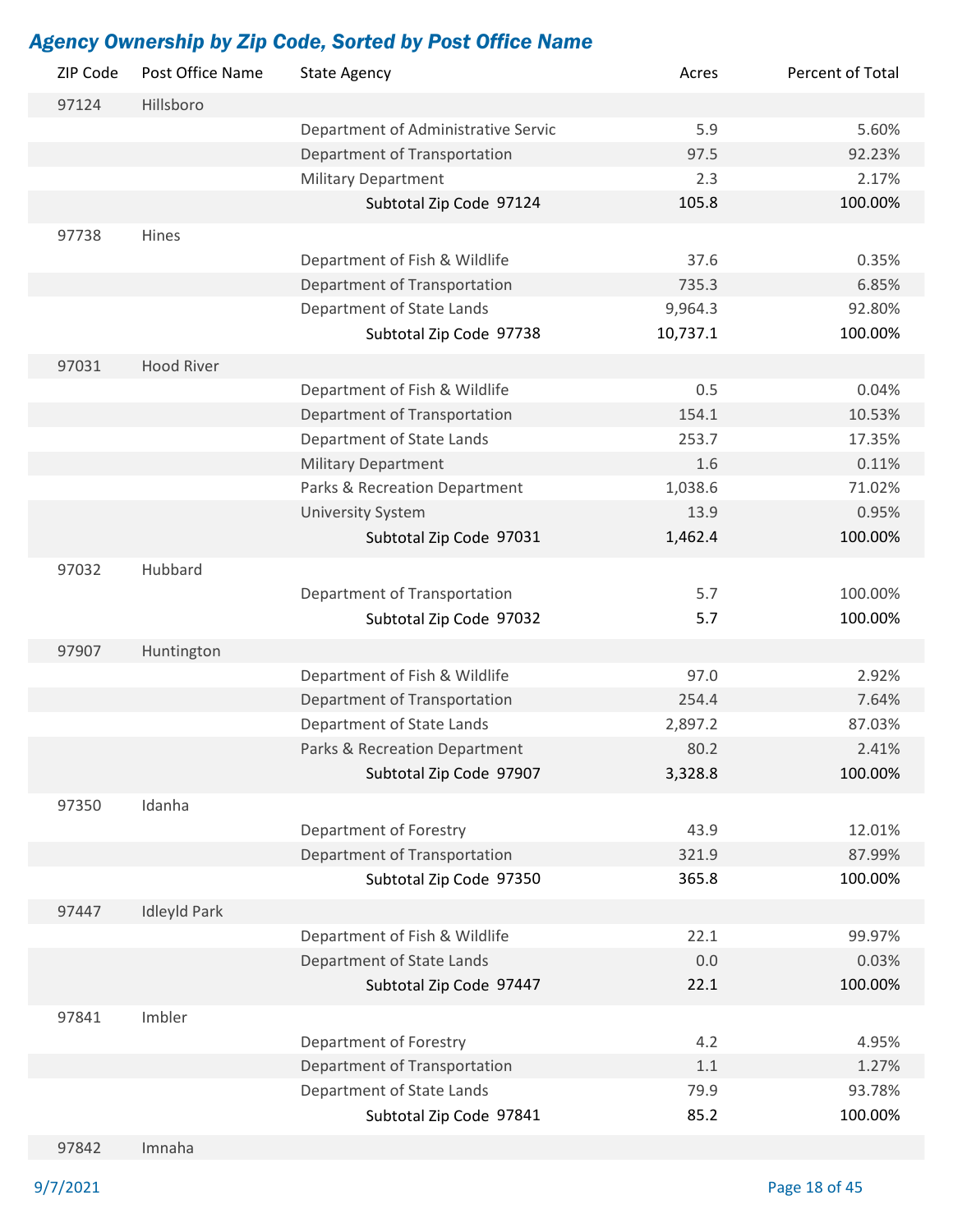| ZIP Code | Post Office Name    | <b>State Agency</b>                 | Acres    | Percent of Total |
|----------|---------------------|-------------------------------------|----------|------------------|
| 97124    | Hillsboro           |                                     |          |                  |
|          |                     | Department of Administrative Servic | 5.9      | 5.60%            |
|          |                     | Department of Transportation        | 97.5     | 92.23%           |
|          |                     | <b>Military Department</b>          | 2.3      | 2.17%            |
|          |                     | Subtotal Zip Code 97124             | 105.8    | 100.00%          |
| 97738    | Hines               |                                     |          |                  |
|          |                     | Department of Fish & Wildlife       | 37.6     | 0.35%            |
|          |                     | Department of Transportation        | 735.3    | 6.85%            |
|          |                     | Department of State Lands           | 9,964.3  | 92.80%           |
|          |                     | Subtotal Zip Code 97738             | 10,737.1 | 100.00%          |
|          |                     |                                     |          |                  |
| 97031    | <b>Hood River</b>   |                                     |          |                  |
|          |                     | Department of Fish & Wildlife       | 0.5      | 0.04%            |
|          |                     | Department of Transportation        | 154.1    | 10.53%           |
|          |                     | Department of State Lands           | 253.7    | 17.35%           |
|          |                     | <b>Military Department</b>          | 1.6      | 0.11%            |
|          |                     | Parks & Recreation Department       | 1,038.6  | 71.02%           |
|          |                     | <b>University System</b>            | 13.9     | 0.95%            |
|          |                     | Subtotal Zip Code 97031             | 1,462.4  | 100.00%          |
| 97032    | Hubbard             |                                     |          |                  |
|          |                     | Department of Transportation        | 5.7      | 100.00%          |
|          |                     | Subtotal Zip Code 97032             | 5.7      | 100.00%          |
| 97907    | Huntington          |                                     |          |                  |
|          |                     | Department of Fish & Wildlife       | 97.0     | 2.92%            |
|          |                     | Department of Transportation        | 254.4    | 7.64%            |
|          |                     | Department of State Lands           | 2,897.2  | 87.03%           |
|          |                     | Parks & Recreation Department       | 80.2     | 2.41%            |
|          |                     | Subtotal Zip Code 97907             | 3,328.8  | 100.00%          |
|          |                     |                                     |          |                  |
| 97350    | Idanha              |                                     |          |                  |
|          |                     | Department of Forestry              | 43.9     | 12.01%           |
|          |                     | Department of Transportation        | 321.9    | 87.99%           |
|          |                     | Subtotal Zip Code 97350             | 365.8    | 100.00%          |
| 97447    | <b>Idleyld Park</b> |                                     |          |                  |
|          |                     | Department of Fish & Wildlife       | 22.1     | 99.97%           |
|          |                     | Department of State Lands           | 0.0      | 0.03%            |
|          |                     | Subtotal Zip Code 97447             | 22.1     | 100.00%          |
| 97841    | Imbler              |                                     |          |                  |
|          |                     | Department of Forestry              | 4.2      | 4.95%            |
|          |                     | Department of Transportation        | 1.1      | 1.27%            |
|          |                     | Department of State Lands           | 79.9     | 93.78%           |
|          |                     | Subtotal Zip Code 97841             | 85.2     | 100.00%          |
|          |                     |                                     |          |                  |

97842 Imnaha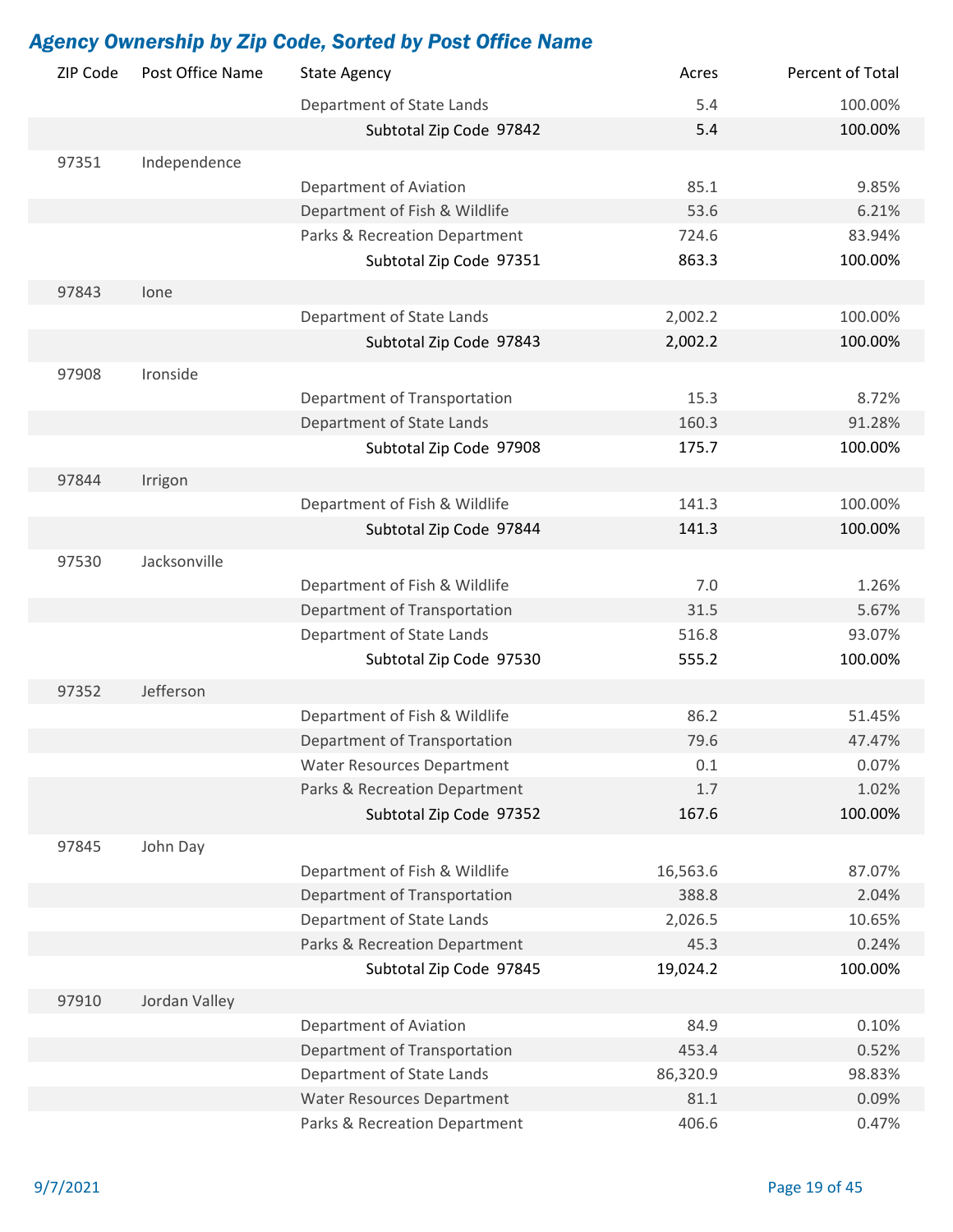| ZIP Code | Post Office Name | <b>State Agency</b>               | Acres    | Percent of Total |
|----------|------------------|-----------------------------------|----------|------------------|
|          |                  | Department of State Lands         | 5.4      | 100.00%          |
|          |                  | Subtotal Zip Code 97842           | 5.4      | 100.00%          |
| 97351    | Independence     |                                   |          |                  |
|          |                  | Department of Aviation            | 85.1     | 9.85%            |
|          |                  | Department of Fish & Wildlife     | 53.6     | 6.21%            |
|          |                  | Parks & Recreation Department     | 724.6    | 83.94%           |
|          |                  | Subtotal Zip Code 97351           | 863.3    | 100.00%          |
|          |                  |                                   |          |                  |
| 97843    | lone             | Department of State Lands         | 2,002.2  | 100.00%          |
|          |                  |                                   |          | 100.00%          |
|          |                  | Subtotal Zip Code 97843           | 2,002.2  |                  |
| 97908    | Ironside         |                                   |          |                  |
|          |                  | Department of Transportation      | 15.3     | 8.72%            |
|          |                  | Department of State Lands         | 160.3    | 91.28%           |
|          |                  | Subtotal Zip Code 97908           | 175.7    | 100.00%          |
| 97844    | Irrigon          |                                   |          |                  |
|          |                  | Department of Fish & Wildlife     | 141.3    | 100.00%          |
|          |                  | Subtotal Zip Code 97844           | 141.3    | 100.00%          |
| 97530    | Jacksonville     |                                   |          |                  |
|          |                  | Department of Fish & Wildlife     | 7.0      | 1.26%            |
|          |                  | Department of Transportation      | 31.5     | 5.67%            |
|          |                  | Department of State Lands         | 516.8    | 93.07%           |
|          |                  | Subtotal Zip Code 97530           | 555.2    | 100.00%          |
|          |                  |                                   |          |                  |
| 97352    | Jefferson        |                                   |          |                  |
|          |                  | Department of Fish & Wildlife     | 86.2     | 51.45%           |
|          |                  | Department of Transportation      | 79.6     | 47.47%           |
|          |                  | <b>Water Resources Department</b> | 0.1      | 0.07%            |
|          |                  | Parks & Recreation Department     | 1.7      | 1.02%            |
|          |                  | Subtotal Zip Code 97352           | 167.6    | 100.00%          |
| 97845    | John Day         |                                   |          |                  |
|          |                  | Department of Fish & Wildlife     | 16,563.6 | 87.07%           |
|          |                  | Department of Transportation      | 388.8    | 2.04%            |
|          |                  | Department of State Lands         | 2,026.5  | 10.65%           |
|          |                  | Parks & Recreation Department     | 45.3     | 0.24%            |
|          |                  | Subtotal Zip Code 97845           | 19,024.2 | 100.00%          |
| 97910    | Jordan Valley    |                                   |          |                  |
|          |                  | Department of Aviation            | 84.9     | 0.10%            |
|          |                  | Department of Transportation      | 453.4    | 0.52%            |
|          |                  | Department of State Lands         | 86,320.9 | 98.83%           |
|          |                  | <b>Water Resources Department</b> | 81.1     | 0.09%            |
|          |                  | Parks & Recreation Department     | 406.6    | 0.47%            |
|          |                  |                                   |          |                  |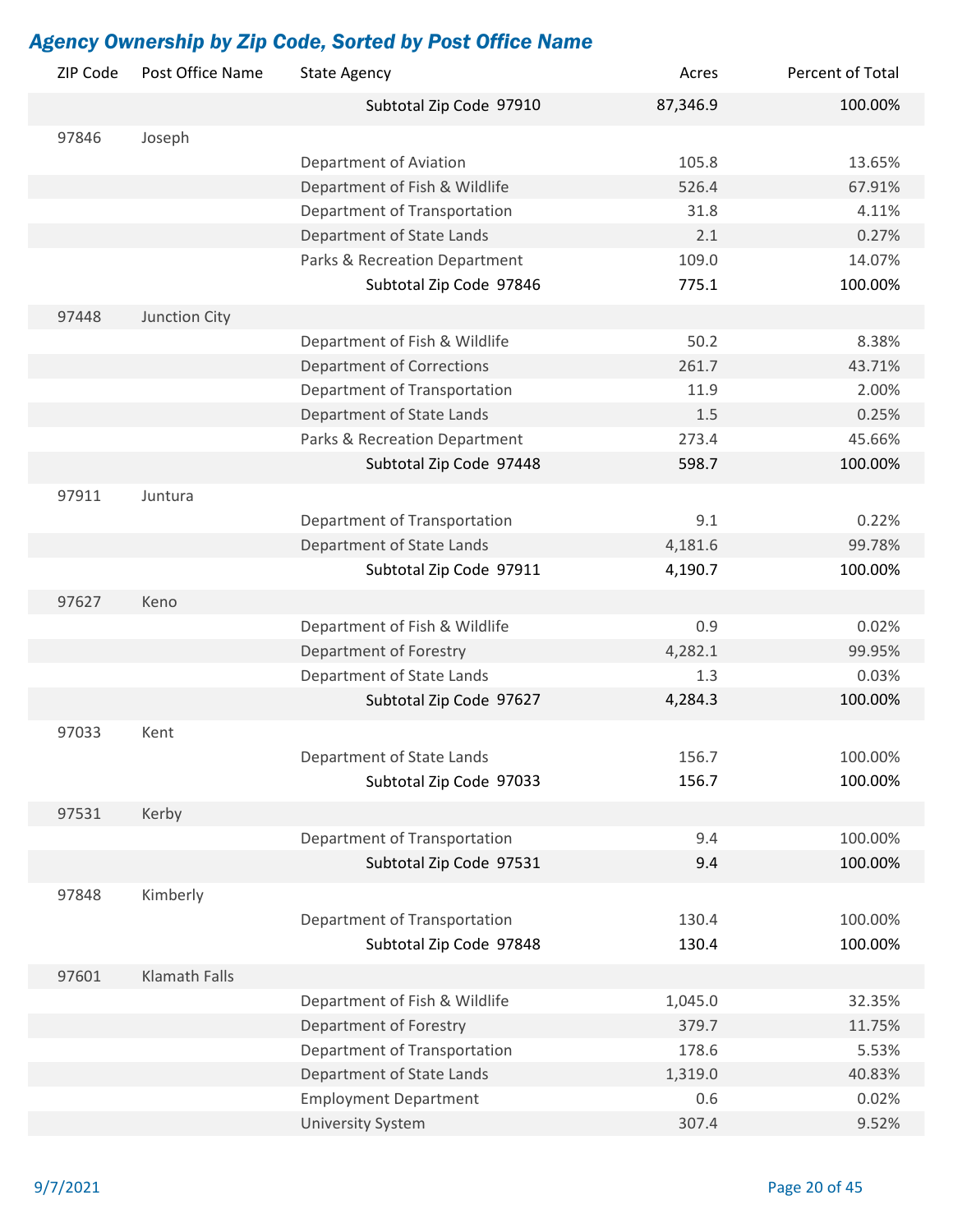| ZIP Code | Post Office Name     | <b>State Agency</b>              | Acres    | Percent of Total |
|----------|----------------------|----------------------------------|----------|------------------|
|          |                      | Subtotal Zip Code 97910          | 87,346.9 | 100.00%          |
| 97846    | Joseph               |                                  |          |                  |
|          |                      | Department of Aviation           | 105.8    | 13.65%           |
|          |                      | Department of Fish & Wildlife    | 526.4    | 67.91%           |
|          |                      | Department of Transportation     | 31.8     | 4.11%            |
|          |                      | Department of State Lands        | 2.1      | 0.27%            |
|          |                      | Parks & Recreation Department    | 109.0    | 14.07%           |
|          |                      | Subtotal Zip Code 97846          | 775.1    | 100.00%          |
| 97448    | Junction City        |                                  |          |                  |
|          |                      | Department of Fish & Wildlife    | 50.2     | 8.38%            |
|          |                      | <b>Department of Corrections</b> | 261.7    | 43.71%           |
|          |                      | Department of Transportation     | 11.9     | 2.00%            |
|          |                      | Department of State Lands        | 1.5      | 0.25%            |
|          |                      | Parks & Recreation Department    | 273.4    | 45.66%           |
|          |                      | Subtotal Zip Code 97448          | 598.7    | 100.00%          |
| 97911    | Juntura              |                                  |          |                  |
|          |                      | Department of Transportation     | 9.1      | 0.22%            |
|          |                      | Department of State Lands        | 4,181.6  | 99.78%           |
|          |                      | Subtotal Zip Code 97911          | 4,190.7  | 100.00%          |
| 97627    | Keno                 |                                  |          |                  |
|          |                      | Department of Fish & Wildlife    | 0.9      | 0.02%            |
|          |                      | Department of Forestry           | 4,282.1  | 99.95%           |
|          |                      | Department of State Lands        | 1.3      | 0.03%            |
|          |                      | Subtotal Zip Code 97627          | 4,284.3  | 100.00%          |
| 97033    | Kent                 |                                  |          |                  |
|          |                      | Department of State Lands        | 156.7    | 100.00%          |
|          |                      | Subtotal Zip Code 97033          | 156.7    | 100.00%          |
|          |                      |                                  |          |                  |
| 97531    | Kerby                |                                  |          |                  |
|          |                      | Department of Transportation     | 9.4      | 100.00%          |
|          |                      | Subtotal Zip Code 97531          | 9.4      | 100.00%          |
| 97848    | Kimberly             |                                  |          |                  |
|          |                      | Department of Transportation     | 130.4    | 100.00%          |
|          |                      | Subtotal Zip Code 97848          | 130.4    | 100.00%          |
| 97601    | <b>Klamath Falls</b> |                                  |          |                  |
|          |                      | Department of Fish & Wildlife    | 1,045.0  | 32.35%           |
|          |                      | Department of Forestry           | 379.7    | 11.75%           |
|          |                      | Department of Transportation     | 178.6    | 5.53%            |
|          |                      | Department of State Lands        | 1,319.0  | 40.83%           |
|          |                      | <b>Employment Department</b>     | 0.6      | 0.02%            |
|          |                      | <b>University System</b>         | 307.4    | 9.52%            |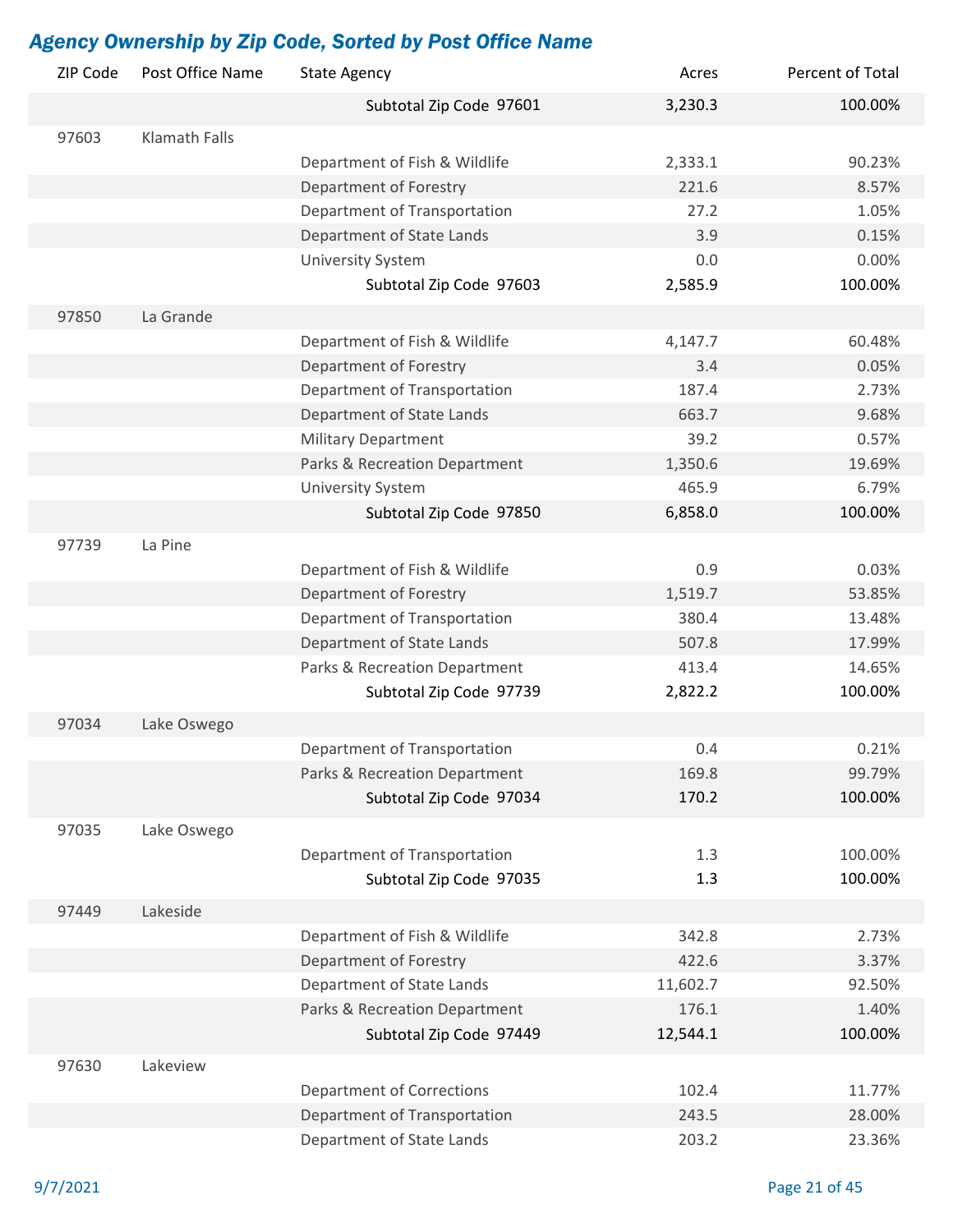| ZIP Code | Post Office Name     | <b>State Agency</b>              | Acres    | Percent of Total |
|----------|----------------------|----------------------------------|----------|------------------|
|          |                      | Subtotal Zip Code 97601          | 3,230.3  | 100.00%          |
| 97603    | <b>Klamath Falls</b> |                                  |          |                  |
|          |                      | Department of Fish & Wildlife    | 2,333.1  | 90.23%           |
|          |                      | Department of Forestry           | 221.6    | 8.57%            |
|          |                      | Department of Transportation     | 27.2     | 1.05%            |
|          |                      | Department of State Lands        | 3.9      | 0.15%            |
|          |                      | <b>University System</b>         | 0.0      | 0.00%            |
|          |                      | Subtotal Zip Code 97603          | 2,585.9  | 100.00%          |
| 97850    | La Grande            |                                  |          |                  |
|          |                      | Department of Fish & Wildlife    | 4,147.7  | 60.48%           |
|          |                      | Department of Forestry           | 3.4      | 0.05%            |
|          |                      | Department of Transportation     | 187.4    | 2.73%            |
|          |                      | Department of State Lands        | 663.7    | 9.68%            |
|          |                      | <b>Military Department</b>       | 39.2     | 0.57%            |
|          |                      | Parks & Recreation Department    | 1,350.6  | 19.69%           |
|          |                      | <b>University System</b>         | 465.9    | 6.79%            |
|          |                      | Subtotal Zip Code 97850          | 6,858.0  | 100.00%          |
| 97739    | La Pine              |                                  |          |                  |
|          |                      | Department of Fish & Wildlife    | 0.9      | 0.03%            |
|          |                      | Department of Forestry           | 1,519.7  | 53.85%           |
|          |                      | Department of Transportation     | 380.4    | 13.48%           |
|          |                      | Department of State Lands        | 507.8    | 17.99%           |
|          |                      | Parks & Recreation Department    | 413.4    | 14.65%           |
|          |                      | Subtotal Zip Code 97739          | 2,822.2  | 100.00%          |
|          |                      |                                  |          |                  |
| 97034    | Lake Oswego          |                                  |          |                  |
|          |                      | Department of Transportation     | 0.4      | 0.21%            |
|          |                      | Parks & Recreation Department    | 169.8    | 99.79%           |
|          |                      | Subtotal Zip Code 97034          | 170.2    | 100.00%          |
| 97035    | Lake Oswego          |                                  |          |                  |
|          |                      | Department of Transportation     | 1.3      | 100.00%          |
|          |                      | Subtotal Zip Code 97035          | 1.3      | 100.00%          |
| 97449    | Lakeside             |                                  |          |                  |
|          |                      | Department of Fish & Wildlife    | 342.8    | 2.73%            |
|          |                      | Department of Forestry           | 422.6    | 3.37%            |
|          |                      | Department of State Lands        | 11,602.7 | 92.50%           |
|          |                      | Parks & Recreation Department    | 176.1    | 1.40%            |
|          |                      | Subtotal Zip Code 97449          | 12,544.1 | 100.00%          |
|          |                      |                                  |          |                  |
| 97630    | Lakeview             |                                  |          |                  |
|          |                      | <b>Department of Corrections</b> | 102.4    | 11.77%           |
|          |                      | Department of Transportation     | 243.5    | 28.00%           |
|          |                      | Department of State Lands        | 203.2    | 23.36%           |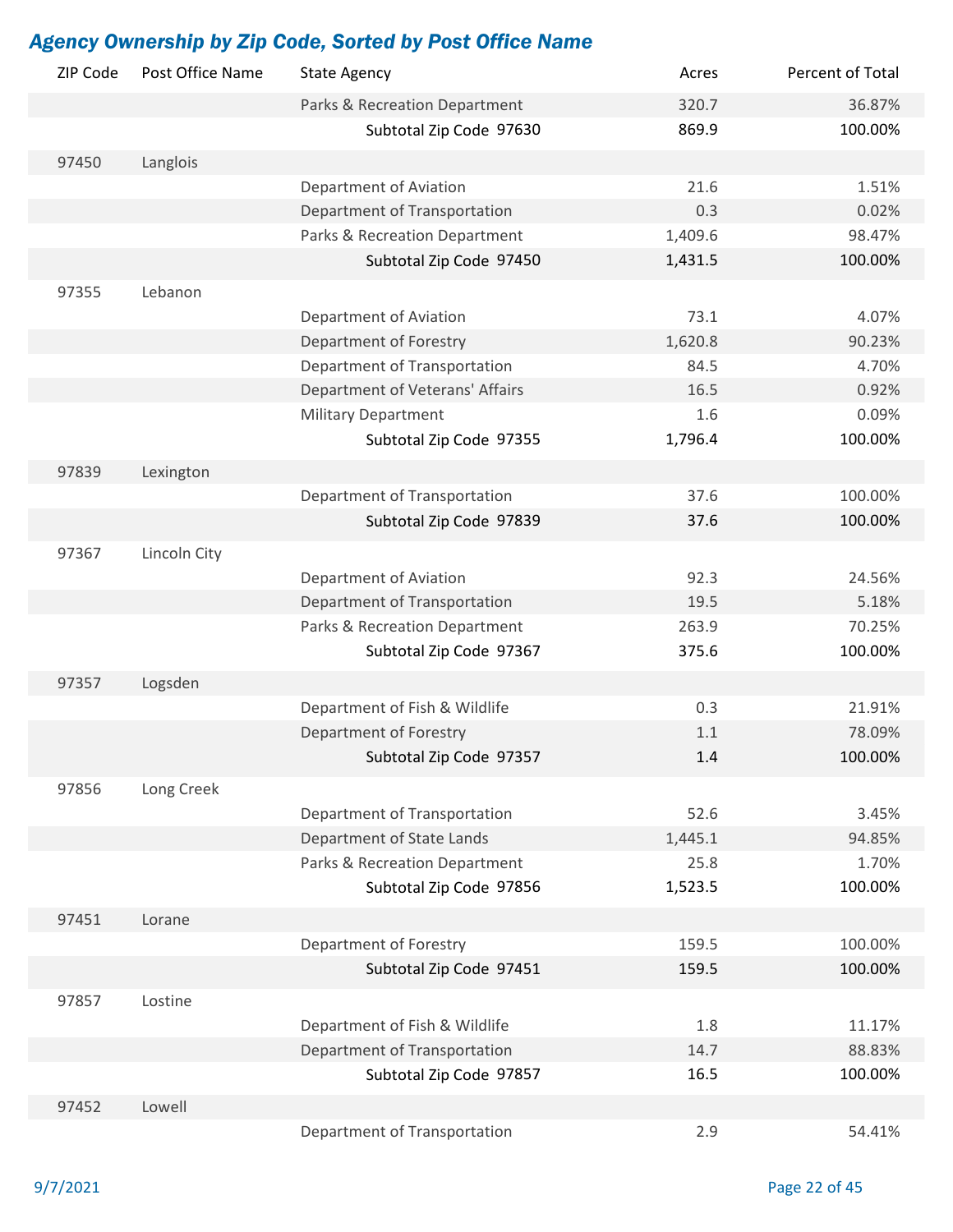| ZIP Code | Post Office Name | <b>State Agency</b>             | Acres   | Percent of Total |
|----------|------------------|---------------------------------|---------|------------------|
|          |                  | Parks & Recreation Department   | 320.7   | 36.87%           |
|          |                  | Subtotal Zip Code 97630         | 869.9   | 100.00%          |
| 97450    | Langlois         |                                 |         |                  |
|          |                  | Department of Aviation          | 21.6    | 1.51%            |
|          |                  | Department of Transportation    | 0.3     | 0.02%            |
|          |                  | Parks & Recreation Department   | 1,409.6 | 98.47%           |
|          |                  | Subtotal Zip Code 97450         | 1,431.5 | 100.00%          |
|          |                  |                                 |         |                  |
| 97355    | Lebanon          |                                 | 73.1    |                  |
|          |                  | Department of Aviation          |         | 4.07%            |
|          |                  | Department of Forestry          | 1,620.8 | 90.23%           |
|          |                  | Department of Transportation    | 84.5    | 4.70%            |
|          |                  | Department of Veterans' Affairs | 16.5    | 0.92%            |
|          |                  | <b>Military Department</b>      | 1.6     | 0.09%<br>100.00% |
|          |                  | Subtotal Zip Code 97355         | 1,796.4 |                  |
| 97839    | Lexington        |                                 |         |                  |
|          |                  | Department of Transportation    | 37.6    | 100.00%          |
|          |                  | Subtotal Zip Code 97839         | 37.6    | 100.00%          |
| 97367    | Lincoln City     |                                 |         |                  |
|          |                  | Department of Aviation          | 92.3    | 24.56%           |
|          |                  | Department of Transportation    | 19.5    | 5.18%            |
|          |                  | Parks & Recreation Department   | 263.9   | 70.25%           |
|          |                  | Subtotal Zip Code 97367         | 375.6   | 100.00%          |
| 97357    | Logsden          |                                 |         |                  |
|          |                  | Department of Fish & Wildlife   | 0.3     | 21.91%           |
|          |                  | Department of Forestry          | 1.1     | 78.09%           |
|          |                  | Subtotal Zip Code 97357         | $1.4\,$ | 100.00%          |
|          |                  |                                 |         |                  |
| 97856    | Long Creek       |                                 |         |                  |
|          |                  | Department of Transportation    | 52.6    | 3.45%            |
|          |                  | Department of State Lands       | 1,445.1 | 94.85%           |
|          |                  | Parks & Recreation Department   | 25.8    | 1.70%            |
|          |                  | Subtotal Zip Code 97856         | 1,523.5 | 100.00%          |
| 97451    | Lorane           |                                 |         |                  |
|          |                  | Department of Forestry          | 159.5   | 100.00%          |
|          |                  | Subtotal Zip Code 97451         | 159.5   | 100.00%          |
| 97857    | Lostine          |                                 |         |                  |
|          |                  | Department of Fish & Wildlife   | 1.8     | 11.17%           |
|          |                  | Department of Transportation    | 14.7    | 88.83%           |
|          |                  | Subtotal Zip Code 97857         | 16.5    | 100.00%          |
| 97452    | Lowell           |                                 |         |                  |
|          |                  | Department of Transportation    | 2.9     | 54.41%           |
|          |                  |                                 |         |                  |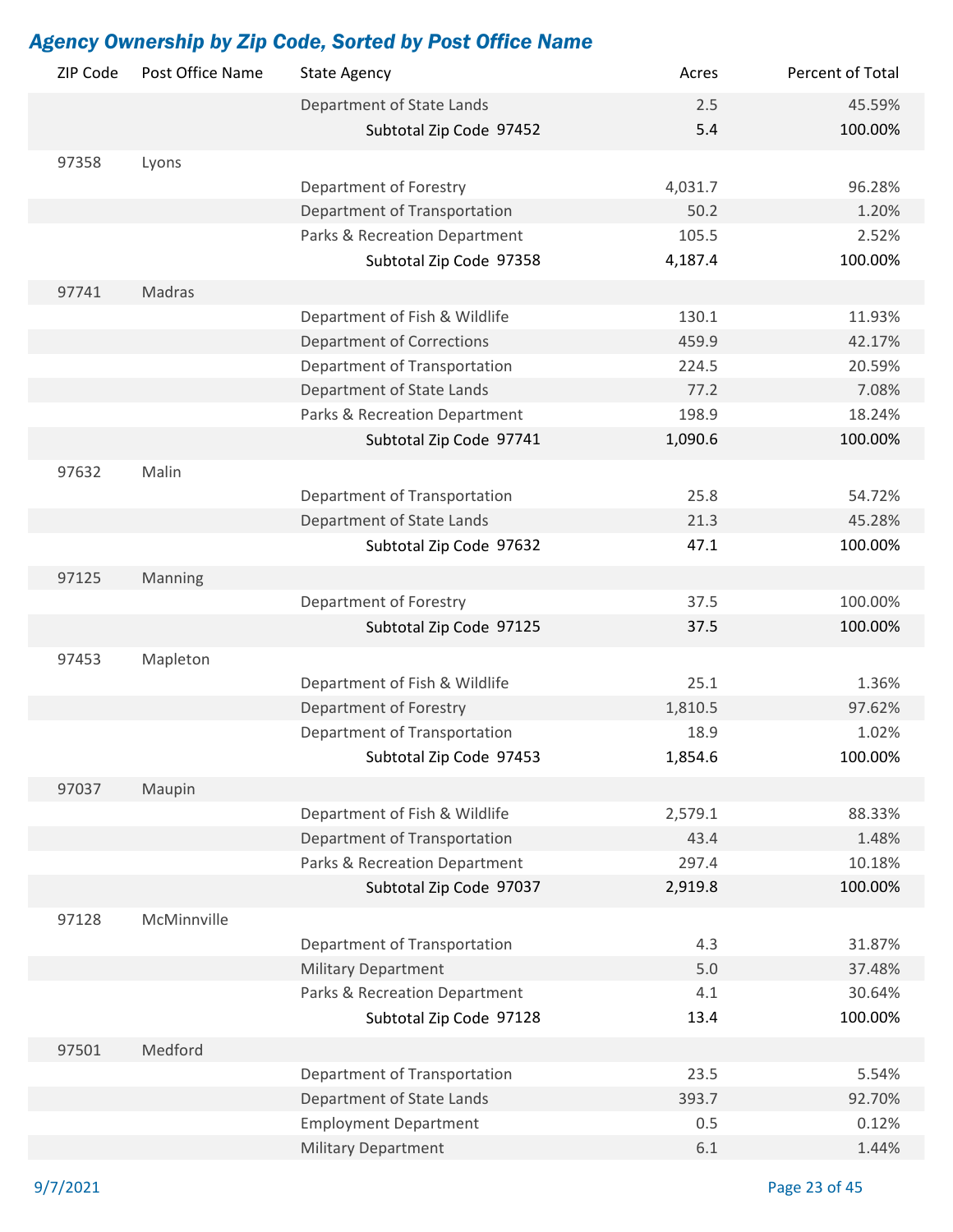| ZIP Code | Post Office Name | <b>State Agency</b>                                         | Acres      | Percent of Total |
|----------|------------------|-------------------------------------------------------------|------------|------------------|
|          |                  | Department of State Lands                                   | 2.5        | 45.59%           |
|          |                  | Subtotal Zip Code 97452                                     | 5.4        | 100.00%          |
| 97358    | Lyons            |                                                             |            |                  |
|          |                  | Department of Forestry                                      | 4,031.7    | 96.28%           |
|          |                  | Department of Transportation                                | 50.2       | 1.20%            |
|          |                  | Parks & Recreation Department                               | 105.5      | 2.52%            |
|          |                  | Subtotal Zip Code 97358                                     | 4,187.4    | 100.00%          |
| 97741    | Madras           |                                                             |            |                  |
|          |                  | Department of Fish & Wildlife                               | 130.1      | 11.93%           |
|          |                  | <b>Department of Corrections</b>                            | 459.9      | 42.17%           |
|          |                  | Department of Transportation                                | 224.5      | 20.59%           |
|          |                  | Department of State Lands                                   | 77.2       | 7.08%            |
|          |                  | Parks & Recreation Department                               | 198.9      | 18.24%           |
|          |                  | Subtotal Zip Code 97741                                     | 1,090.6    | 100.00%          |
|          | Malin            |                                                             |            |                  |
| 97632    |                  |                                                             | 25.8       |                  |
|          |                  | Department of Transportation<br>Department of State Lands   | 21.3       | 54.72%<br>45.28% |
|          |                  | Subtotal Zip Code 97632                                     | 47.1       | 100.00%          |
|          |                  |                                                             |            |                  |
| 97125    | Manning          |                                                             |            |                  |
|          |                  | Department of Forestry                                      | 37.5       | 100.00%          |
|          |                  | Subtotal Zip Code 97125                                     | 37.5       | 100.00%          |
| 97453    | Mapleton         |                                                             |            |                  |
|          |                  | Department of Fish & Wildlife                               | 25.1       | 1.36%            |
|          |                  | Department of Forestry                                      | 1,810.5    | 97.62%           |
|          |                  | Department of Transportation                                | 18.9       | 1.02%            |
|          |                  | Subtotal Zip Code 97453                                     | 1,854.6    | 100.00%          |
| 97037    | Maupin           |                                                             |            |                  |
|          |                  | Department of Fish & Wildlife                               | 2,579.1    | 88.33%           |
|          |                  | Department of Transportation                                | 43.4       | 1.48%            |
|          |                  | Parks & Recreation Department                               | 297.4      | 10.18%           |
|          |                  | Subtotal Zip Code 97037                                     | 2,919.8    | 100.00%          |
|          | McMinnville      |                                                             |            |                  |
| 97128    |                  |                                                             |            |                  |
|          |                  | Department of Transportation                                | 4.3        | 31.87%           |
|          |                  | <b>Military Department</b><br>Parks & Recreation Department | 5.0<br>4.1 | 37.48%<br>30.64% |
|          |                  | Subtotal Zip Code 97128                                     | 13.4       | 100.00%          |
|          |                  |                                                             |            |                  |
| 97501    | Medford          |                                                             |            |                  |
|          |                  | Department of Transportation                                | 23.5       | 5.54%            |
|          |                  | Department of State Lands                                   | 393.7      | 92.70%           |
|          |                  | <b>Employment Department</b>                                | 0.5        | 0.12%            |
|          |                  | <b>Military Department</b>                                  | 6.1        | 1.44%            |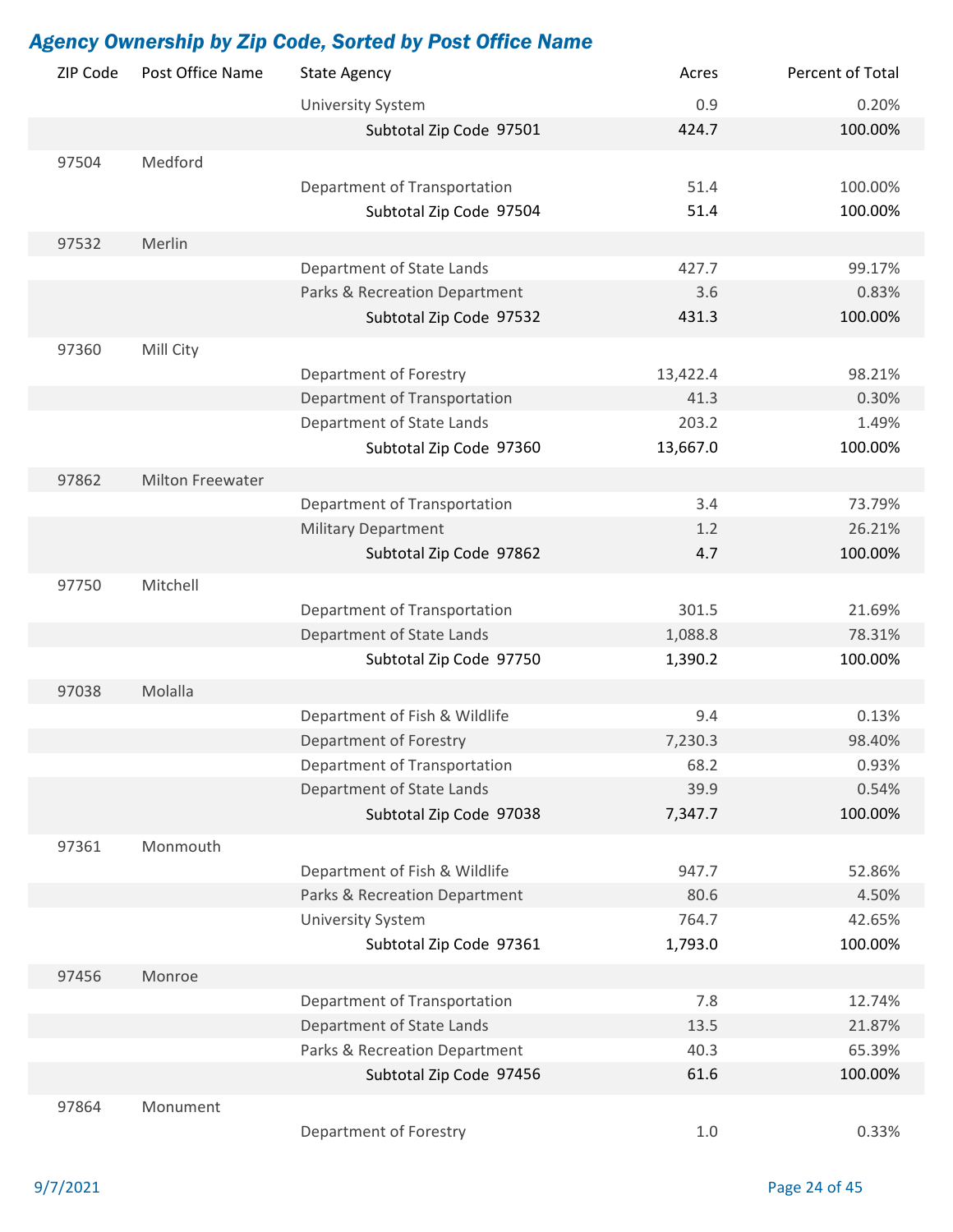| ZIP Code | Post Office Name | <b>State Agency</b>           | Acres    | Percent of Total |
|----------|------------------|-------------------------------|----------|------------------|
|          |                  | <b>University System</b>      | 0.9      | 0.20%            |
|          |                  | Subtotal Zip Code 97501       | 424.7    | 100.00%          |
| 97504    | Medford          |                               |          |                  |
|          |                  | Department of Transportation  | 51.4     | 100.00%          |
|          |                  | Subtotal Zip Code 97504       | 51.4     | 100.00%          |
|          |                  |                               |          |                  |
| 97532    | Merlin           |                               |          |                  |
|          |                  | Department of State Lands     | 427.7    | 99.17%           |
|          |                  | Parks & Recreation Department | 3.6      | 0.83%            |
|          |                  | Subtotal Zip Code 97532       | 431.3    | 100.00%          |
| 97360    | Mill City        |                               |          |                  |
|          |                  | Department of Forestry        | 13,422.4 | 98.21%           |
|          |                  | Department of Transportation  | 41.3     | 0.30%            |
|          |                  | Department of State Lands     | 203.2    | 1.49%            |
|          |                  | Subtotal Zip Code 97360       | 13,667.0 | 100.00%          |
| 97862    | Milton Freewater |                               |          |                  |
|          |                  | Department of Transportation  | 3.4      | 73.79%           |
|          |                  | <b>Military Department</b>    | 1.2      | 26.21%           |
|          |                  | Subtotal Zip Code 97862       | 4.7      | 100.00%          |
|          |                  |                               |          |                  |
| 97750    | Mitchell         |                               |          |                  |
|          |                  | Department of Transportation  | 301.5    | 21.69%           |
|          |                  | Department of State Lands     | 1,088.8  | 78.31%           |
|          |                  | Subtotal Zip Code 97750       | 1,390.2  | 100.00%          |
| 97038    | Molalla          |                               |          |                  |
|          |                  | Department of Fish & Wildlife | 9.4      | 0.13%            |
|          |                  | Department of Forestry        | 7,230.3  | 98.40%           |
|          |                  | Department of Transportation  | 68.2     | 0.93%            |
|          |                  | Department of State Lands     | 39.9     | 0.54%            |
|          |                  | Subtotal Zip Code 97038       | 7,347.7  | 100.00%          |
| 97361    | Monmouth         |                               |          |                  |
|          |                  | Department of Fish & Wildlife | 947.7    | 52.86%           |
|          |                  | Parks & Recreation Department | 80.6     | 4.50%            |
|          |                  | <b>University System</b>      | 764.7    | 42.65%           |
|          |                  | Subtotal Zip Code 97361       | 1,793.0  | 100.00%          |
| 97456    | Monroe           |                               |          |                  |
|          |                  | Department of Transportation  | 7.8      | 12.74%           |
|          |                  | Department of State Lands     | 13.5     | 21.87%           |
|          |                  | Parks & Recreation Department | 40.3     | 65.39%           |
|          |                  | Subtotal Zip Code 97456       | 61.6     | 100.00%          |
|          |                  |                               |          |                  |
| 97864    | Monument         |                               |          |                  |
|          |                  | Department of Forestry        | 1.0      | 0.33%            |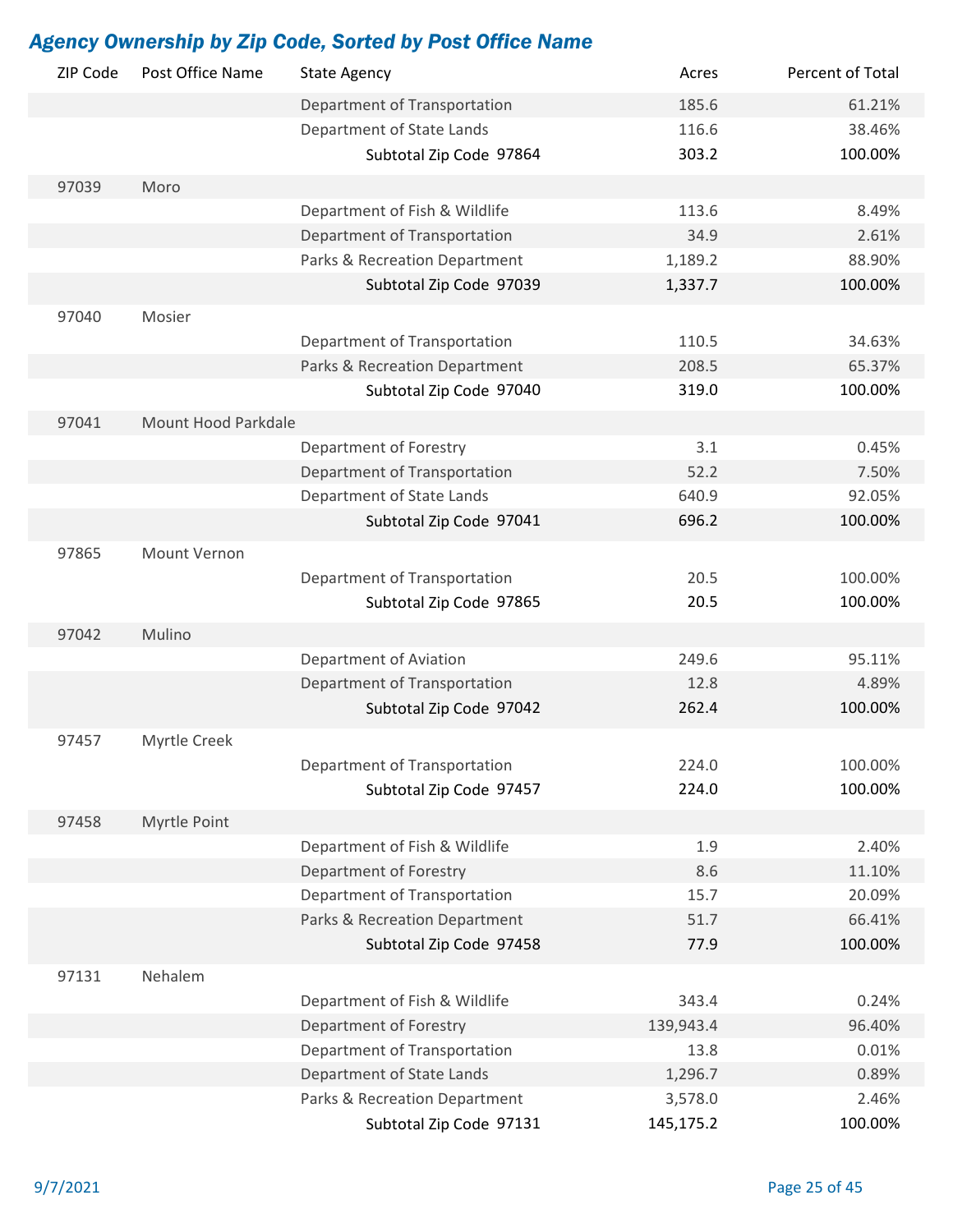| ZIP Code | Post Office Name    | <b>State Agency</b>                                     | Acres              | Percent of Total |
|----------|---------------------|---------------------------------------------------------|--------------------|------------------|
|          |                     | Department of Transportation                            | 185.6              | 61.21%           |
|          |                     | Department of State Lands                               | 116.6              | 38.46%           |
|          |                     | Subtotal Zip Code 97864                                 | 303.2              | 100.00%          |
| 97039    | Moro                |                                                         |                    |                  |
|          |                     | Department of Fish & Wildlife                           | 113.6              | 8.49%            |
|          |                     | Department of Transportation                            | 34.9               | 2.61%            |
|          |                     | Parks & Recreation Department                           | 1,189.2            | 88.90%           |
|          |                     | Subtotal Zip Code 97039                                 | 1,337.7            | 100.00%          |
|          |                     |                                                         |                    |                  |
| 97040    | Mosier              |                                                         |                    |                  |
|          |                     | Department of Transportation                            | 110.5              | 34.63%           |
|          |                     | Parks & Recreation Department                           | 208.5              | 65.37%           |
|          |                     | Subtotal Zip Code 97040                                 | 319.0              | 100.00%          |
| 97041    | Mount Hood Parkdale |                                                         |                    |                  |
|          |                     | Department of Forestry                                  | 3.1                | 0.45%            |
|          |                     | Department of Transportation                            | 52.2               | 7.50%            |
|          |                     | Department of State Lands                               | 640.9              | 92.05%           |
|          |                     | Subtotal Zip Code 97041                                 | 696.2              | 100.00%          |
| 97865    | Mount Vernon        |                                                         |                    |                  |
|          |                     | Department of Transportation                            | 20.5               | 100.00%          |
|          |                     | Subtotal Zip Code 97865                                 | 20.5               | 100.00%          |
|          |                     |                                                         |                    |                  |
| 97042    | Mulino              |                                                         |                    |                  |
|          |                     | Department of Aviation                                  | 249.6              | 95.11%           |
|          |                     | Department of Transportation                            | 12.8               | 4.89%            |
|          |                     | Subtotal Zip Code 97042                                 | 262.4              | 100.00%          |
| 97457    | Myrtle Creek        |                                                         |                    |                  |
|          |                     | Department of Transportation                            | 224.0              | 100.00%          |
|          |                     | Subtotal Zip Code 97457                                 | 224.0              | 100.00%          |
| 97458    | Myrtle Point        |                                                         |                    |                  |
|          |                     | Department of Fish & Wildlife                           | 1.9                | 2.40%            |
|          |                     | Department of Forestry                                  | 8.6                | 11.10%           |
|          |                     | Department of Transportation                            | 15.7               | 20.09%           |
|          |                     | Parks & Recreation Department                           | 51.7               | 66.41%           |
|          |                     | Subtotal Zip Code 97458                                 | 77.9               | 100.00%          |
|          |                     |                                                         |                    |                  |
| 97131    | Nehalem             |                                                         |                    | 0.24%            |
|          |                     | Department of Fish & Wildlife<br>Department of Forestry | 343.4<br>139,943.4 | 96.40%           |
|          |                     | Department of Transportation                            | 13.8               | 0.01%            |
|          |                     |                                                         |                    |                  |
|          |                     | Department of State Lands                               | 1,296.7            | 0.89%<br>2.46%   |
|          |                     | Parks & Recreation Department                           | 3,578.0            |                  |
|          |                     | Subtotal Zip Code 97131                                 | 145,175.2          | 100.00%          |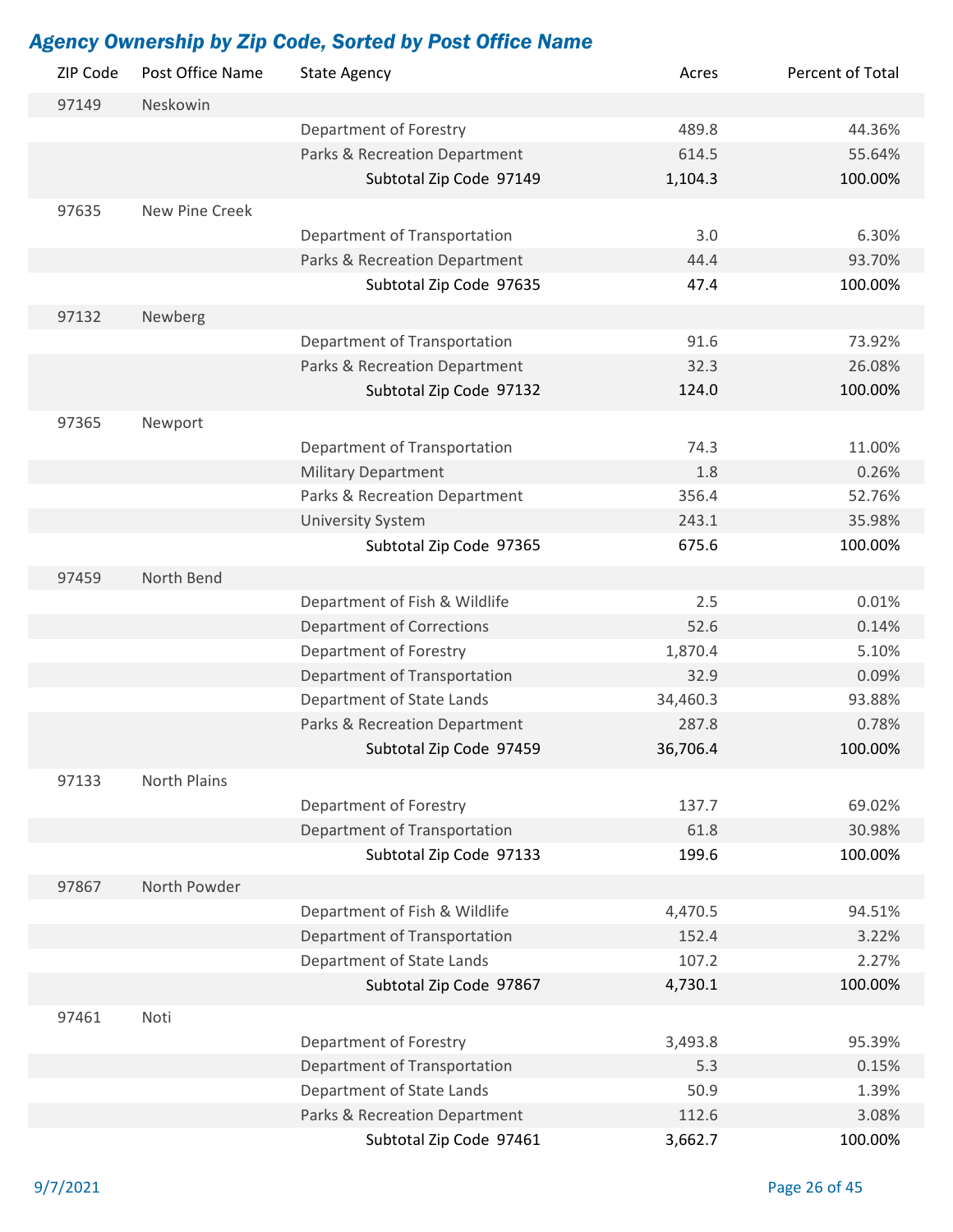| ZIP Code | Post Office Name | <b>State Agency</b>                                    | Acres          | Percent of Total |
|----------|------------------|--------------------------------------------------------|----------------|------------------|
| 97149    | Neskowin         |                                                        |                |                  |
|          |                  | Department of Forestry                                 | 489.8          | 44.36%           |
|          |                  | Parks & Recreation Department                          | 614.5          | 55.64%           |
|          |                  | Subtotal Zip Code 97149                                | 1,104.3        | 100.00%          |
| 97635    | New Pine Creek   |                                                        |                |                  |
|          |                  | Department of Transportation                           | 3.0            | 6.30%            |
|          |                  | Parks & Recreation Department                          | 44.4           | 93.70%           |
|          |                  | Subtotal Zip Code 97635                                | 47.4           | 100.00%          |
| 97132    | Newberg          |                                                        |                |                  |
|          |                  | Department of Transportation                           | 91.6           | 73.92%           |
|          |                  | Parks & Recreation Department                          | 32.3           | 26.08%           |
|          |                  | Subtotal Zip Code 97132                                | 124.0          | 100.00%          |
|          |                  |                                                        |                |                  |
| 97365    | Newport          |                                                        |                |                  |
|          |                  | Department of Transportation                           | 74.3           | 11.00%           |
|          |                  | <b>Military Department</b>                             | 1.8            | 0.26%            |
|          |                  | Parks & Recreation Department                          | 356.4          | 52.76%           |
|          |                  | <b>University System</b>                               | 243.1          | 35.98%           |
|          |                  | Subtotal Zip Code 97365                                | 675.6          | 100.00%          |
| 97459    | North Bend       |                                                        |                |                  |
|          |                  | Department of Fish & Wildlife                          | 2.5            | 0.01%            |
|          |                  | <b>Department of Corrections</b>                       | 52.6           | 0.14%            |
|          |                  | Department of Forestry                                 | 1,870.4        | 5.10%            |
|          |                  | Department of Transportation                           | 32.9           | 0.09%            |
|          |                  | Department of State Lands                              | 34,460.3       | 93.88%           |
|          |                  | Parks & Recreation Department                          | 287.8          | 0.78%            |
|          |                  | Subtotal Zip Code 97459                                | 36,706.4       | 100.00%          |
| 97133    | North Plains     |                                                        |                |                  |
|          |                  | Department of Forestry                                 | 137.7          | 69.02%           |
|          |                  | Department of Transportation                           | 61.8           | 30.98%           |
|          |                  | Subtotal Zip Code 97133                                | 199.6          | 100.00%          |
| 97867    | North Powder     |                                                        |                |                  |
|          |                  | Department of Fish & Wildlife                          | 4,470.5        | 94.51%           |
|          |                  | Department of Transportation                           | 152.4          | 3.22%            |
|          |                  | Department of State Lands                              | 107.2          | 2.27%            |
|          |                  | Subtotal Zip Code 97867                                | 4,730.1        | 100.00%          |
|          |                  |                                                        |                |                  |
| 97461    | Noti             |                                                        |                | 95.39%           |
|          |                  | Department of Forestry<br>Department of Transportation | 3,493.8<br>5.3 | 0.15%            |
|          |                  | Department of State Lands                              | 50.9           | 1.39%            |
|          |                  | Parks & Recreation Department                          | 112.6          | 3.08%            |
|          |                  | Subtotal Zip Code 97461                                | 3,662.7        | 100.00%          |
|          |                  |                                                        |                |                  |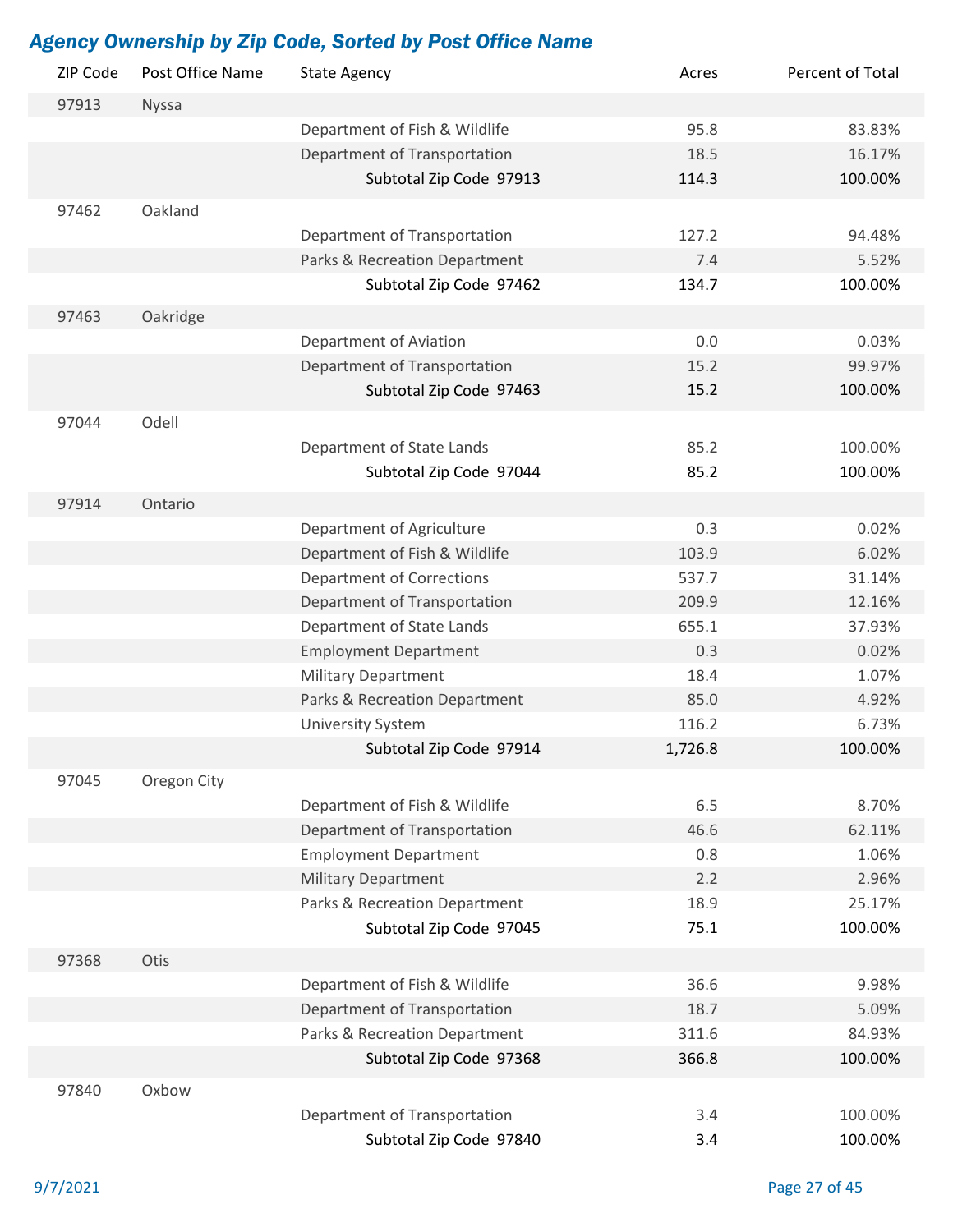| ZIP Code | Post Office Name | <b>State Agency</b>              | Acres   | Percent of Total |
|----------|------------------|----------------------------------|---------|------------------|
| 97913    | Nyssa            |                                  |         |                  |
|          |                  | Department of Fish & Wildlife    | 95.8    | 83.83%           |
|          |                  | Department of Transportation     | 18.5    | 16.17%           |
|          |                  | Subtotal Zip Code 97913          | 114.3   | 100.00%          |
| 97462    | Oakland          |                                  |         |                  |
|          |                  | Department of Transportation     | 127.2   | 94.48%           |
|          |                  | Parks & Recreation Department    | 7.4     | 5.52%            |
|          |                  | Subtotal Zip Code 97462          | 134.7   | 100.00%          |
| 97463    | Oakridge         |                                  |         |                  |
|          |                  | Department of Aviation           | 0.0     | 0.03%            |
|          |                  | Department of Transportation     | 15.2    | 99.97%           |
|          |                  | Subtotal Zip Code 97463          | 15.2    | 100.00%          |
|          |                  |                                  |         |                  |
| 97044    | Odell            |                                  |         |                  |
|          |                  | Department of State Lands        | 85.2    | 100.00%          |
|          |                  | Subtotal Zip Code 97044          | 85.2    | 100.00%          |
| 97914    | Ontario          |                                  |         |                  |
|          |                  | Department of Agriculture        | 0.3     | 0.02%            |
|          |                  | Department of Fish & Wildlife    | 103.9   | 6.02%            |
|          |                  | <b>Department of Corrections</b> | 537.7   | 31.14%           |
|          |                  | Department of Transportation     | 209.9   | 12.16%           |
|          |                  | Department of State Lands        | 655.1   | 37.93%           |
|          |                  | <b>Employment Department</b>     | 0.3     | 0.02%            |
|          |                  | <b>Military Department</b>       | 18.4    | 1.07%            |
|          |                  | Parks & Recreation Department    | 85.0    | 4.92%            |
|          |                  | <b>University System</b>         | 116.2   | 6.73%            |
|          |                  | Subtotal Zip Code 97914          | 1,726.8 | 100.00%          |
| 97045    | Oregon City      |                                  |         |                  |
|          |                  | Department of Fish & Wildlife    | 6.5     | 8.70%            |
|          |                  | Department of Transportation     | 46.6    | 62.11%           |
|          |                  | <b>Employment Department</b>     | 0.8     | 1.06%            |
|          |                  | <b>Military Department</b>       | 2.2     | 2.96%            |
|          |                  | Parks & Recreation Department    | 18.9    | 25.17%           |
|          |                  | Subtotal Zip Code 97045          | 75.1    | 100.00%          |
| 97368    | Otis             |                                  |         |                  |
|          |                  | Department of Fish & Wildlife    | 36.6    | 9.98%            |
|          |                  | Department of Transportation     | 18.7    | 5.09%            |
|          |                  | Parks & Recreation Department    | 311.6   | 84.93%           |
|          |                  | Subtotal Zip Code 97368          | 366.8   | 100.00%          |
|          |                  |                                  |         |                  |
| 97840    | Oxbow            |                                  | 3.4     |                  |
|          |                  | Department of Transportation     |         | 100.00%          |
|          |                  | Subtotal Zip Code 97840          | 3.4     | 100.00%          |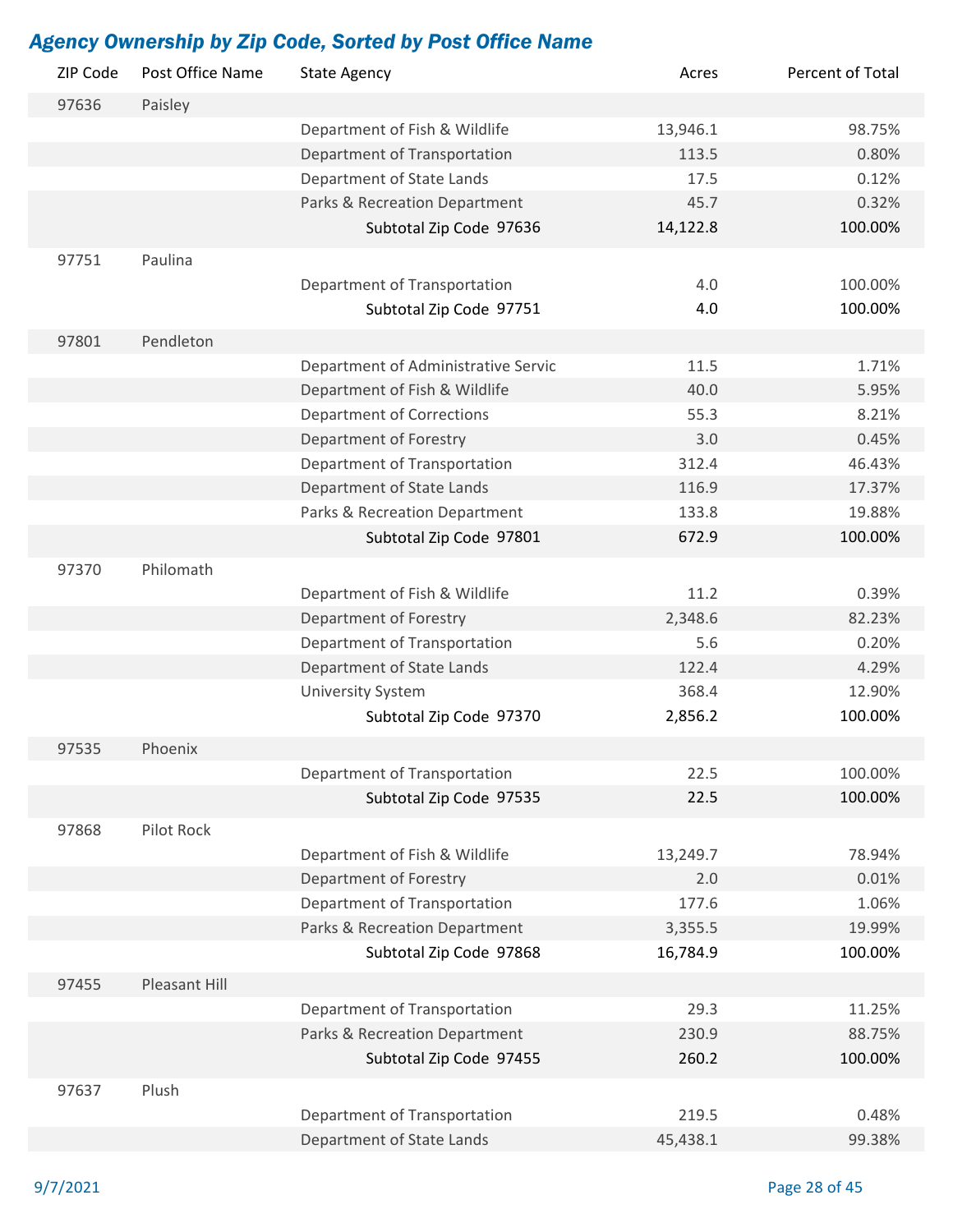| ZIP Code | Post Office Name | <b>State Agency</b>                 | Acres    | Percent of Total |
|----------|------------------|-------------------------------------|----------|------------------|
| 97636    | Paisley          |                                     |          |                  |
|          |                  | Department of Fish & Wildlife       | 13,946.1 | 98.75%           |
|          |                  | Department of Transportation        | 113.5    | 0.80%            |
|          |                  | Department of State Lands           | 17.5     | 0.12%            |
|          |                  | Parks & Recreation Department       | 45.7     | 0.32%            |
|          |                  | Subtotal Zip Code 97636             | 14,122.8 | 100.00%          |
| 97751    | Paulina          |                                     |          |                  |
|          |                  | Department of Transportation        | 4.0      | 100.00%          |
|          |                  | Subtotal Zip Code 97751             | 4.0      | 100.00%          |
|          |                  |                                     |          |                  |
| 97801    | Pendleton        |                                     |          |                  |
|          |                  | Department of Administrative Servic | 11.5     | 1.71%            |
|          |                  | Department of Fish & Wildlife       | 40.0     | 5.95%            |
|          |                  | <b>Department of Corrections</b>    | 55.3     | 8.21%            |
|          |                  | Department of Forestry              | 3.0      | 0.45%            |
|          |                  | Department of Transportation        | 312.4    | 46.43%           |
|          |                  | Department of State Lands           | 116.9    | 17.37%           |
|          |                  | Parks & Recreation Department       | 133.8    | 19.88%           |
|          |                  | Subtotal Zip Code 97801             | 672.9    | 100.00%          |
| 97370    | Philomath        |                                     |          |                  |
|          |                  | Department of Fish & Wildlife       | 11.2     | 0.39%            |
|          |                  | Department of Forestry              | 2,348.6  | 82.23%           |
|          |                  | Department of Transportation        | 5.6      | 0.20%            |
|          |                  | Department of State Lands           | 122.4    | 4.29%            |
|          |                  | <b>University System</b>            | 368.4    | 12.90%           |
|          |                  | Subtotal Zip Code 97370             | 2,856.2  | 100.00%          |
| 97535    | Phoenix          |                                     |          |                  |
|          |                  | Department of Transportation        | 22.5     | 100.00%          |
|          |                  | Subtotal Zip Code 97535             | 22.5     | 100.00%          |
|          |                  |                                     |          |                  |
| 97868    | Pilot Rock       |                                     |          |                  |
|          |                  | Department of Fish & Wildlife       | 13,249.7 | 78.94%           |
|          |                  | Department of Forestry              | 2.0      | 0.01%            |
|          |                  | Department of Transportation        | 177.6    | 1.06%            |
|          |                  | Parks & Recreation Department       | 3,355.5  | 19.99%           |
|          |                  | Subtotal Zip Code 97868             | 16,784.9 | 100.00%          |
| 97455    | Pleasant Hill    |                                     |          |                  |
|          |                  | Department of Transportation        | 29.3     | 11.25%           |
|          |                  | Parks & Recreation Department       | 230.9    | 88.75%           |
|          |                  | Subtotal Zip Code 97455             | 260.2    | 100.00%          |
| 97637    | Plush            |                                     |          |                  |
|          |                  | Department of Transportation        | 219.5    | 0.48%            |
|          |                  | Department of State Lands           | 45,438.1 | 99.38%           |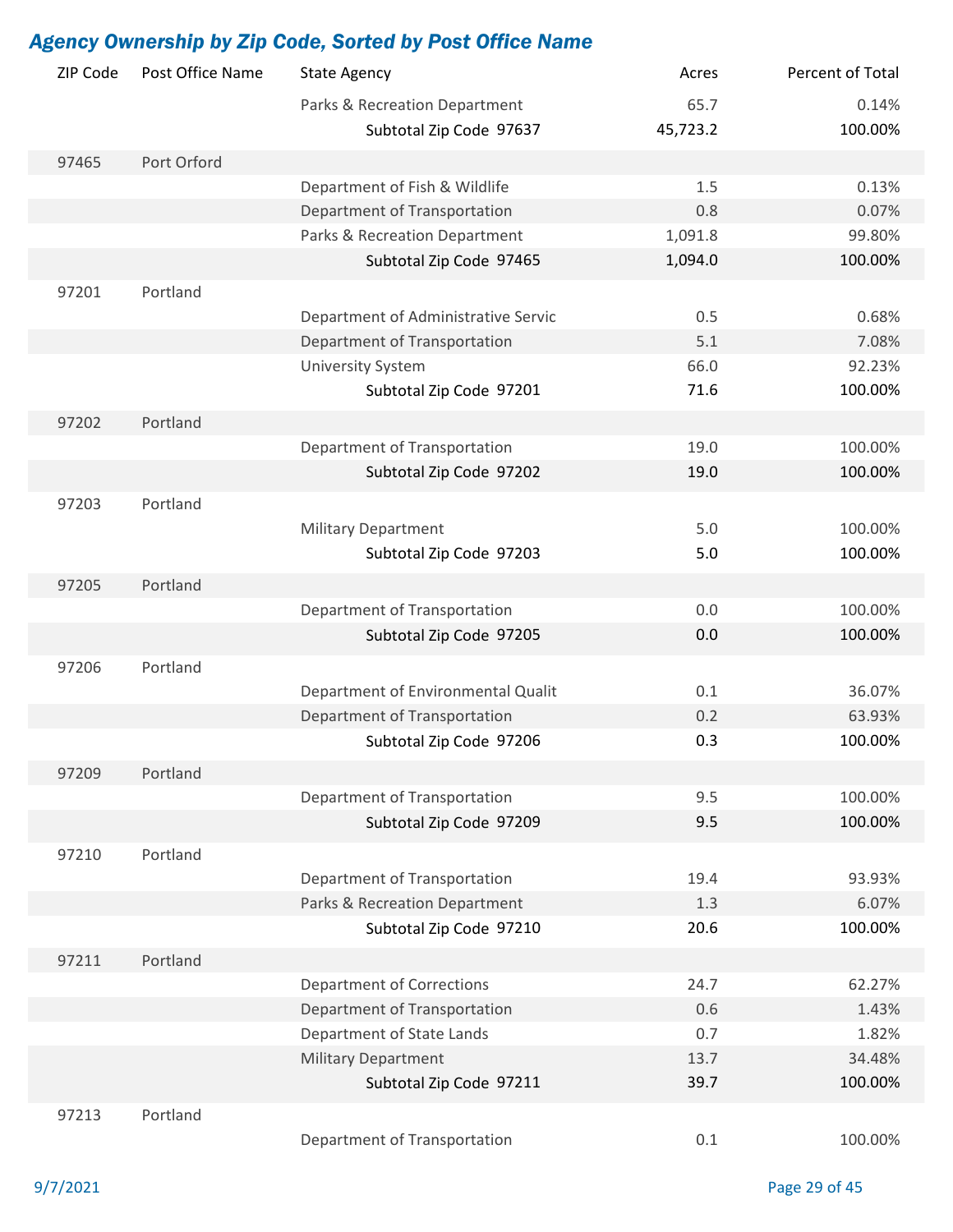|          |                  | <b>Agency Ownership by Zip Code, Sorted by Post Office Name</b> |          |                    |
|----------|------------------|-----------------------------------------------------------------|----------|--------------------|
| ZIP Code | Post Office Name | <b>State Agency</b>                                             | Acres    | Percent of Total   |
|          |                  | Parks & Recreation Department                                   | 65.7     | 0.14%              |
|          |                  | Subtotal Zip Code 97637                                         | 45,723.2 | 100.00%            |
| 97465    | Port Orford      |                                                                 |          |                    |
|          |                  | Department of Fish & Wildlife                                   | 1.5      | 0.13%              |
|          |                  | Department of Transportation                                    | 0.8      | 0.07%              |
|          |                  | Parks & Recreation Department                                   | 1,091.8  | 99.80%             |
|          |                  | Subtotal Zip Code 97465                                         | 1,094.0  | 100.00%            |
| 97201    | Portland         |                                                                 |          |                    |
|          |                  | Department of Administrative Servic                             | 0.5      | 0.68%              |
|          |                  | Department of Transportation                                    | 5.1      | 7.08%              |
|          |                  | <b>University System</b>                                        | 66.0     | 92.23%             |
|          |                  | Subtotal Zip Code 97201                                         | 71.6     | 100.00%            |
| 97202    | Portland         |                                                                 |          |                    |
|          |                  | Department of Transportation                                    | 19.0     | 100.00%            |
|          |                  | Subtotal Zip Code 97202                                         | 19.0     | 100.00%            |
|          |                  |                                                                 |          |                    |
| 97203    | Portland         |                                                                 | 5.0      |                    |
|          |                  | <b>Military Department</b>                                      | 5.0      | 100.00%<br>100.00% |
|          |                  | Subtotal Zip Code 97203                                         |          |                    |
| 97205    | Portland         |                                                                 |          |                    |
|          |                  | Department of Transportation                                    | 0.0      | 100.00%            |
|          |                  | Subtotal Zip Code 97205                                         | 0.0      | 100.00%            |
| 97206    | Portland         |                                                                 |          |                    |
|          |                  | Department of Environmental Qualit                              | 0.1      | 36.07%             |
|          |                  | Department of Transportation                                    | 0.2      | 63.93%             |
|          |                  | Subtotal Zip Code 97206                                         | 0.3      | 100.00%            |
| 97209    | Portland         |                                                                 |          |                    |
|          |                  | Department of Transportation                                    | 9.5      | 100.00%            |
|          |                  | Subtotal Zip Code 97209                                         | 9.5      | 100.00%            |
| 97210    | Portland         |                                                                 |          |                    |
|          |                  | Department of Transportation                                    | 19.4     | 93.93%             |
|          |                  | Parks & Recreation Department                                   | 1.3      | 6.07%              |
|          |                  | Subtotal Zip Code 97210                                         | 20.6     | 100.00%            |
| 97211    | Portland         |                                                                 |          |                    |
|          |                  | <b>Department of Corrections</b>                                | 24.7     | 62.27%             |
|          |                  | Department of Transportation                                    | 0.6      | 1.43%              |
|          |                  | Department of State Lands                                       | 0.7      | 1.82%              |
|          |                  | <b>Military Department</b>                                      | 13.7     | 34.48%             |
|          |                  | Subtotal Zip Code 97211                                         | 39.7     | 100.00%            |
|          |                  |                                                                 |          |                    |
| 97213    | Portland         |                                                                 |          |                    |
|          |                  | Department of Transportation                                    | 0.1      | 100.00%            |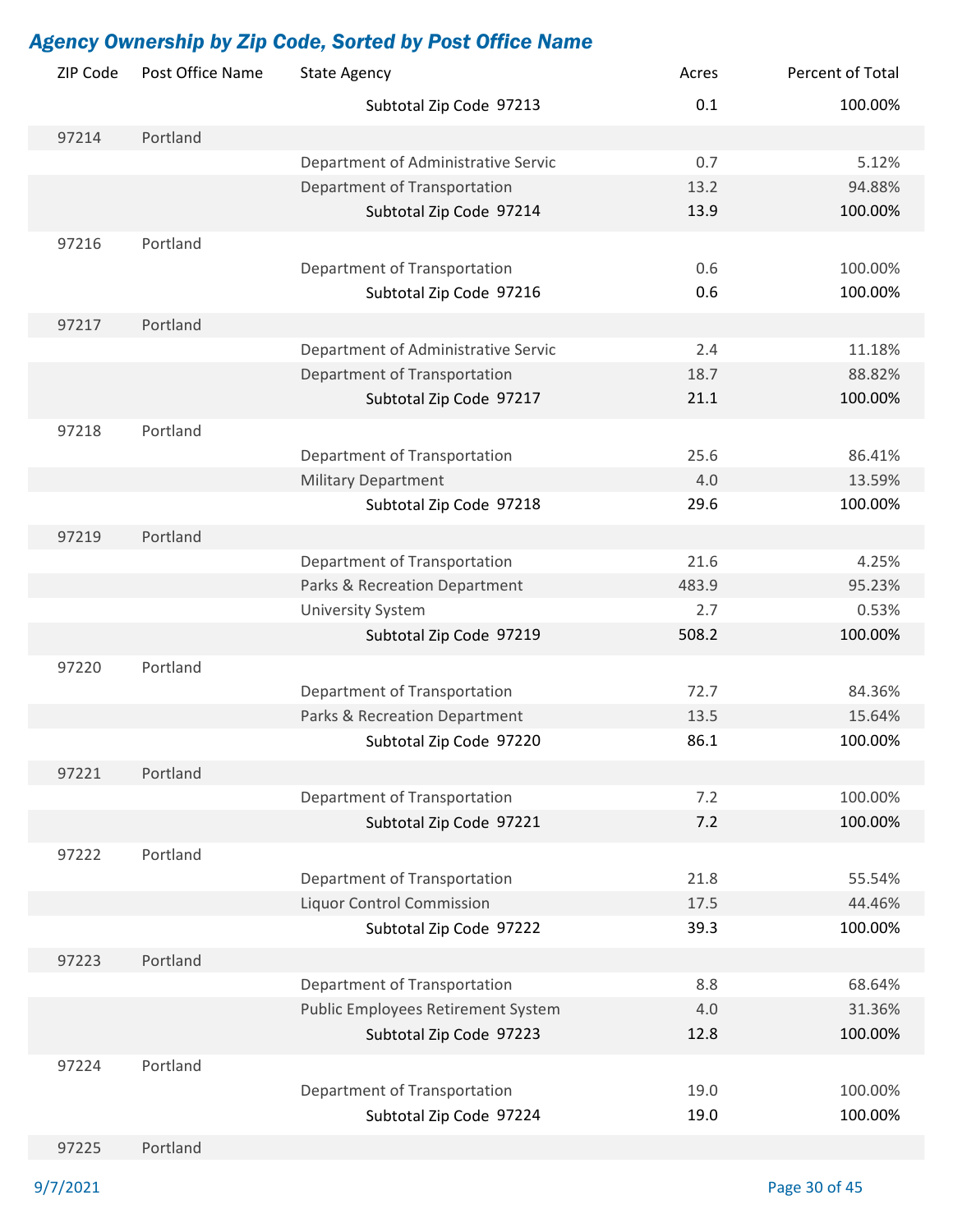| ZIP Code | Post Office Name | <b>State Agency</b>                 | Acres       | Percent of Total  |
|----------|------------------|-------------------------------------|-------------|-------------------|
|          |                  | Subtotal Zip Code 97213             | 0.1         | 100.00%           |
| 97214    | Portland         |                                     |             |                   |
|          |                  | Department of Administrative Servic | 0.7         | 5.12%             |
|          |                  | Department of Transportation        | 13.2        | 94.88%            |
|          |                  | Subtotal Zip Code 97214             | 13.9        | 100.00%           |
| 97216    | Portland         |                                     |             |                   |
|          |                  | Department of Transportation        | 0.6         | 100.00%           |
|          |                  | Subtotal Zip Code 97216             | 0.6         | 100.00%           |
| 97217    | Portland         |                                     |             |                   |
|          |                  | Department of Administrative Servic | 2.4         | 11.18%            |
|          |                  | Department of Transportation        | 18.7        | 88.82%            |
|          |                  | Subtotal Zip Code 97217             | 21.1        | 100.00%           |
|          |                  |                                     |             |                   |
| 97218    | Portland         |                                     |             |                   |
|          |                  | Department of Transportation        | 25.6        | 86.41%            |
|          |                  | <b>Military Department</b>          | 4.0<br>29.6 | 13.59%<br>100.00% |
|          |                  | Subtotal Zip Code 97218             |             |                   |
| 97219    | Portland         |                                     |             |                   |
|          |                  | Department of Transportation        | 21.6        | 4.25%             |
|          |                  | Parks & Recreation Department       | 483.9       | 95.23%            |
|          |                  | <b>University System</b>            | 2.7         | 0.53%             |
|          |                  | Subtotal Zip Code 97219             | 508.2       | 100.00%           |
| 97220    | Portland         |                                     |             |                   |
|          |                  | Department of Transportation        | 72.7        | 84.36%            |
|          |                  | Parks & Recreation Department       | 13.5        | 15.64%            |
|          |                  | Subtotal Zip Code 97220             | 86.1        | 100.00%           |
| 97221    | Portland         |                                     |             |                   |
|          |                  | Department of Transportation        | 7.2         | 100.00%           |
|          |                  | Subtotal Zip Code 97221             | 7.2         | 100.00%           |
| 97222    | Portland         |                                     |             |                   |
|          |                  | Department of Transportation        | 21.8        | 55.54%            |
|          |                  | <b>Liquor Control Commission</b>    | 17.5        | 44.46%            |
|          |                  | Subtotal Zip Code 97222             | 39.3        | 100.00%           |
| 97223    | Portland         |                                     |             |                   |
|          |                  | Department of Transportation        | 8.8         | 68.64%            |
|          |                  | Public Employees Retirement System  | 4.0         | 31.36%            |
|          |                  | Subtotal Zip Code 97223             | 12.8        | 100.00%           |
| 97224    | Portland         |                                     |             |                   |
|          |                  | Department of Transportation        | 19.0        | 100.00%           |
|          |                  | Subtotal Zip Code 97224             | 19.0        | 100.00%           |
|          |                  |                                     |             |                   |
| 97225    | Portland         |                                     |             |                   |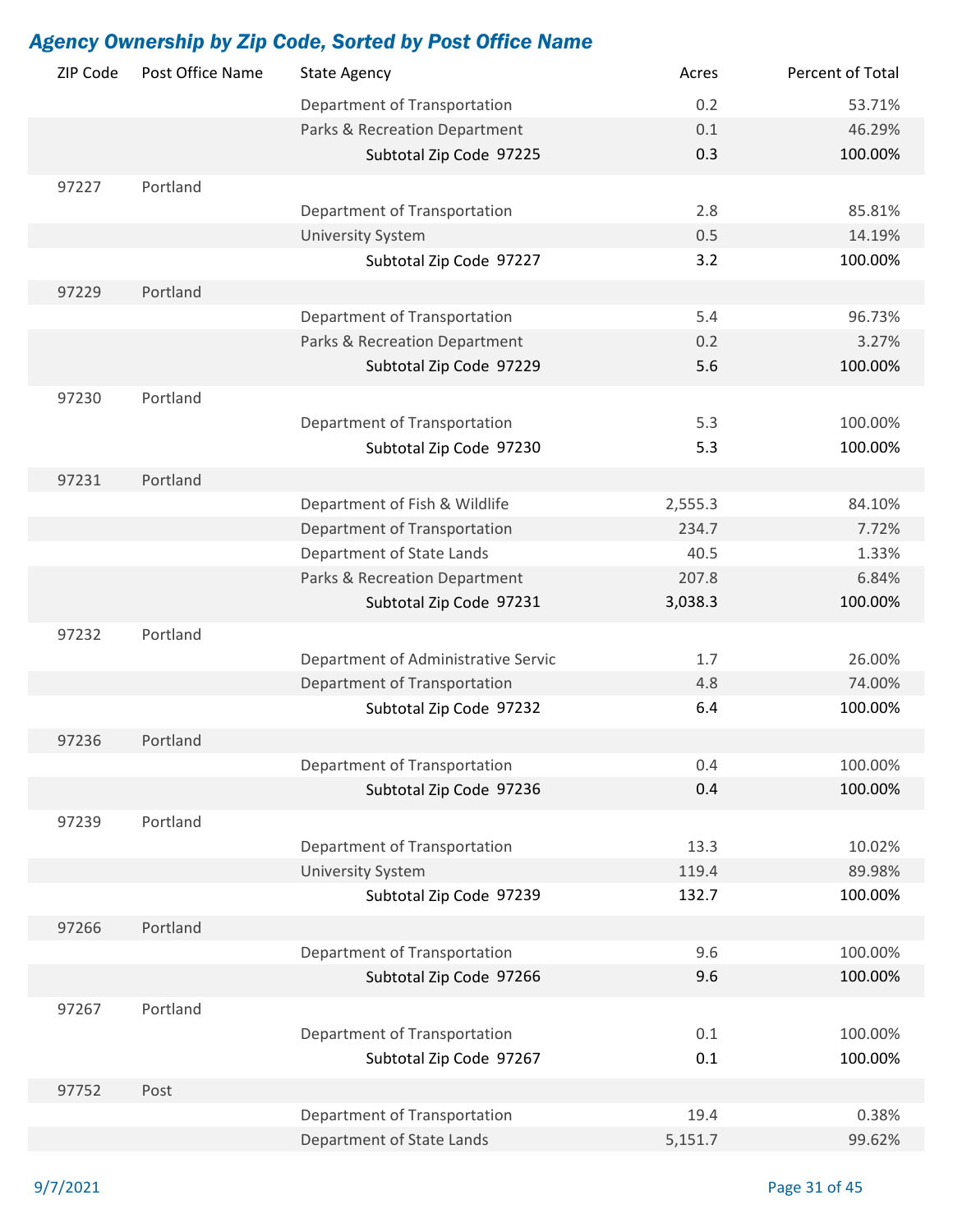| ZIP Code | Post Office Name | <b>State Agency</b>                 | Acres   | Percent of Total |
|----------|------------------|-------------------------------------|---------|------------------|
|          |                  | Department of Transportation        | 0.2     | 53.71%           |
|          |                  | Parks & Recreation Department       | 0.1     | 46.29%           |
|          |                  | Subtotal Zip Code 97225             | 0.3     | 100.00%          |
| 97227    | Portland         |                                     |         |                  |
|          |                  | Department of Transportation        | 2.8     | 85.81%           |
|          |                  | <b>University System</b>            | 0.5     | 14.19%           |
|          |                  | Subtotal Zip Code 97227             | 3.2     | 100.00%          |
| 97229    | Portland         |                                     |         |                  |
|          |                  | Department of Transportation        | 5.4     | 96.73%           |
|          |                  | Parks & Recreation Department       | 0.2     | 3.27%            |
|          |                  | Subtotal Zip Code 97229             | 5.6     | 100.00%          |
|          |                  |                                     |         |                  |
| 97230    | Portland         |                                     |         |                  |
|          |                  | Department of Transportation        | 5.3     | 100.00%          |
|          |                  | Subtotal Zip Code 97230             | 5.3     | 100.00%          |
| 97231    | Portland         |                                     |         |                  |
|          |                  | Department of Fish & Wildlife       | 2,555.3 | 84.10%           |
|          |                  | Department of Transportation        | 234.7   | 7.72%            |
|          |                  | Department of State Lands           | 40.5    | 1.33%            |
|          |                  | Parks & Recreation Department       | 207.8   | 6.84%            |
|          |                  | Subtotal Zip Code 97231             | 3,038.3 | 100.00%          |
| 97232    | Portland         |                                     |         |                  |
|          |                  | Department of Administrative Servic | 1.7     | 26.00%           |
|          |                  | Department of Transportation        | 4.8     | 74.00%           |
|          |                  | Subtotal Zip Code 97232             | 6.4     | 100.00%          |
| 97236    | Portland         |                                     |         |                  |
|          |                  | Department of Transportation        | 0.4     | 100.00%          |
|          |                  | Subtotal Zip Code 97236             | 0.4     | 100.00%          |
| 97239    | Portland         |                                     |         |                  |
|          |                  | Department of Transportation        | 13.3    | 10.02%           |
|          |                  | <b>University System</b>            | 119.4   | 89.98%           |
|          |                  | Subtotal Zip Code 97239             | 132.7   | 100.00%          |
|          |                  |                                     |         |                  |
| 97266    | Portland         |                                     |         |                  |
|          |                  | Department of Transportation        | 9.6     | 100.00%          |
|          |                  | Subtotal Zip Code 97266             | 9.6     | 100.00%          |
| 97267    | Portland         |                                     |         |                  |
|          |                  | Department of Transportation        | 0.1     | 100.00%          |
|          |                  | Subtotal Zip Code 97267             | 0.1     | 100.00%          |
| 97752    | Post             |                                     |         |                  |
|          |                  | Department of Transportation        | 19.4    | 0.38%            |
|          |                  | Department of State Lands           | 5,151.7 | 99.62%           |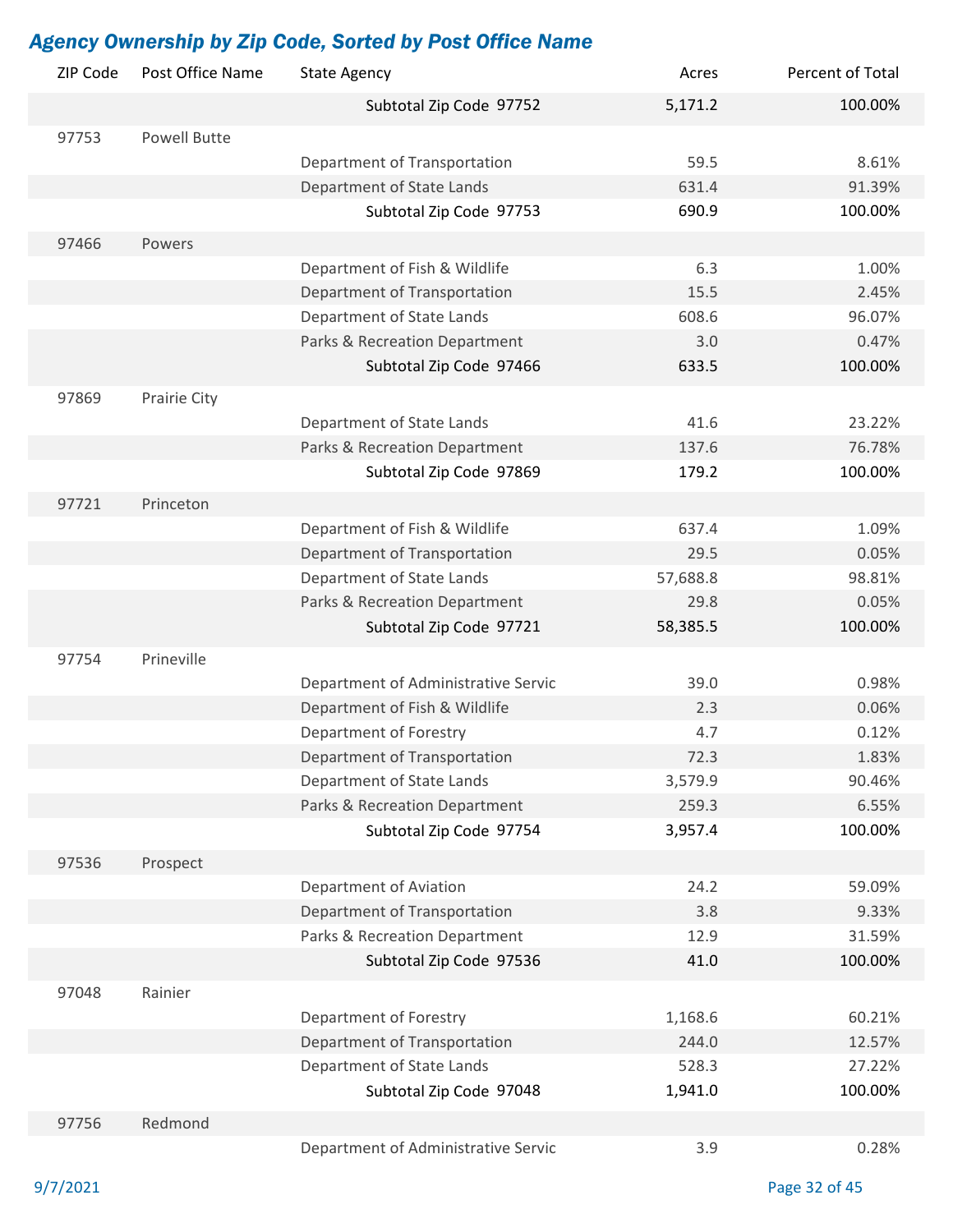| ZIP Code | Post Office Name    | <b>State Agency</b>                 | Acres    | Percent of Total |
|----------|---------------------|-------------------------------------|----------|------------------|
|          |                     | Subtotal Zip Code 97752             | 5,171.2  | 100.00%          |
| 97753    | <b>Powell Butte</b> |                                     |          |                  |
|          |                     | Department of Transportation        | 59.5     | 8.61%            |
|          |                     | Department of State Lands           | 631.4    | 91.39%           |
|          |                     | Subtotal Zip Code 97753             | 690.9    | 100.00%          |
| 97466    | Powers              |                                     |          |                  |
|          |                     | Department of Fish & Wildlife       | 6.3      | 1.00%            |
|          |                     | Department of Transportation        | 15.5     | 2.45%            |
|          |                     | Department of State Lands           | 608.6    | 96.07%           |
|          |                     | Parks & Recreation Department       | 3.0      | 0.47%            |
|          |                     | Subtotal Zip Code 97466             | 633.5    | 100.00%          |
| 97869    | Prairie City        |                                     |          |                  |
|          |                     | Department of State Lands           | 41.6     | 23.22%           |
|          |                     | Parks & Recreation Department       | 137.6    | 76.78%           |
|          |                     | Subtotal Zip Code 97869             | 179.2    | 100.00%          |
| 97721    | Princeton           |                                     |          |                  |
|          |                     | Department of Fish & Wildlife       | 637.4    | 1.09%            |
|          |                     | Department of Transportation        | 29.5     | 0.05%            |
|          |                     | Department of State Lands           | 57,688.8 | 98.81%           |
|          |                     | Parks & Recreation Department       | 29.8     | 0.05%            |
|          |                     | Subtotal Zip Code 97721             | 58,385.5 | 100.00%          |
| 97754    | Prineville          |                                     |          |                  |
|          |                     | Department of Administrative Servic | 39.0     | 0.98%            |
|          |                     | Department of Fish & Wildlife       | 2.3      | 0.06%            |
|          |                     | Department of Forestry              | 4.7      | 0.12%            |
|          |                     | Department of Transportation        | 72.3     | 1.83%            |
|          |                     | Department of State Lands           | 3,579.9  | 90.46%           |
|          |                     | Parks & Recreation Department       | 259.3    | 6.55%            |
|          |                     | Subtotal Zip Code 97754             | 3,957.4  | 100.00%          |
| 97536    | Prospect            |                                     |          |                  |
|          |                     | Department of Aviation              | 24.2     | 59.09%           |
|          |                     | Department of Transportation        | 3.8      | 9.33%            |
|          |                     | Parks & Recreation Department       | 12.9     | 31.59%           |
|          |                     | Subtotal Zip Code 97536             | 41.0     | 100.00%          |
| 97048    | Rainier             |                                     |          |                  |
|          |                     | Department of Forestry              | 1,168.6  | 60.21%           |
|          |                     | Department of Transportation        | 244.0    | 12.57%           |
|          |                     | Department of State Lands           | 528.3    | 27.22%           |
|          |                     | Subtotal Zip Code 97048             | 1,941.0  | 100.00%          |
| 97756    | Redmond             |                                     |          |                  |
|          |                     | Department of Administrative Servic | 3.9      | 0.28%            |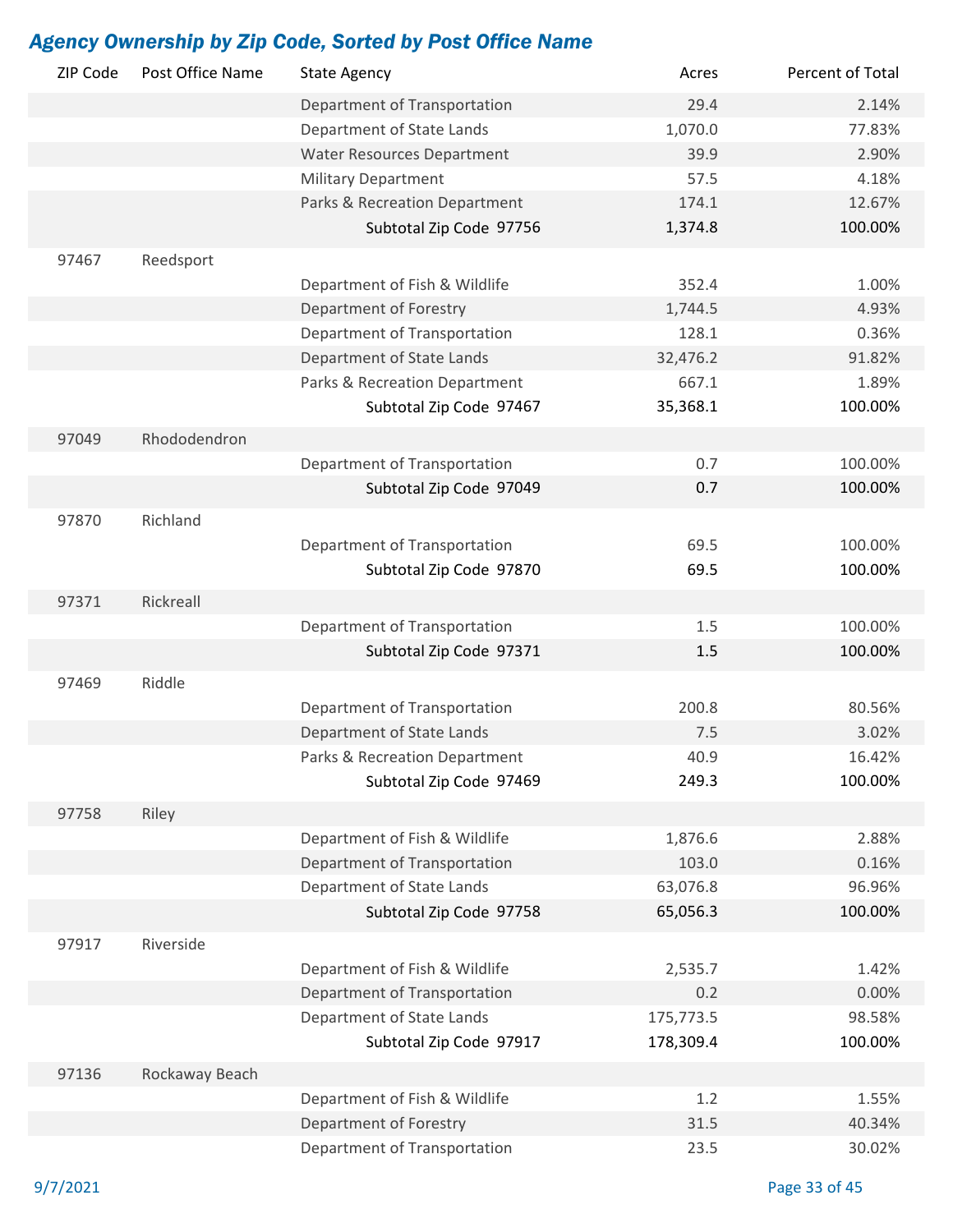| ZIP Code | Post Office Name | <b>State Agency</b>               | Acres     | Percent of Total |
|----------|------------------|-----------------------------------|-----------|------------------|
|          |                  | Department of Transportation      | 29.4      | 2.14%            |
|          |                  | Department of State Lands         | 1,070.0   | 77.83%           |
|          |                  | <b>Water Resources Department</b> | 39.9      | 2.90%            |
|          |                  | <b>Military Department</b>        | 57.5      | 4.18%            |
|          |                  | Parks & Recreation Department     | 174.1     | 12.67%           |
|          |                  | Subtotal Zip Code 97756           | 1,374.8   | 100.00%          |
| 97467    | Reedsport        |                                   |           |                  |
|          |                  | Department of Fish & Wildlife     | 352.4     | 1.00%            |
|          |                  | Department of Forestry            | 1,744.5   | 4.93%            |
|          |                  | Department of Transportation      | 128.1     | 0.36%            |
|          |                  | Department of State Lands         | 32,476.2  | 91.82%           |
|          |                  | Parks & Recreation Department     | 667.1     | 1.89%            |
|          |                  | Subtotal Zip Code 97467           | 35,368.1  | 100.00%          |
|          |                  |                                   |           |                  |
| 97049    | Rhododendron     |                                   |           |                  |
|          |                  | Department of Transportation      | 0.7       | 100.00%          |
|          |                  | Subtotal Zip Code 97049           | 0.7       | 100.00%          |
| 97870    | Richland         |                                   |           |                  |
|          |                  | Department of Transportation      | 69.5      | 100.00%          |
|          |                  | Subtotal Zip Code 97870           | 69.5      | 100.00%          |
| 97371    | Rickreall        |                                   |           |                  |
|          |                  |                                   |           |                  |
|          |                  | Department of Transportation      | 1.5       | 100.00%          |
|          |                  | Subtotal Zip Code 97371           | 1.5       | 100.00%          |
| 97469    | Riddle           |                                   |           |                  |
|          |                  | Department of Transportation      | 200.8     | 80.56%           |
|          |                  | Department of State Lands         | 7.5       | 3.02%            |
|          |                  | Parks & Recreation Department     | 40.9      | 16.42%           |
|          |                  | Subtotal Zip Code 97469           | 249.3     | 100.00%          |
| 97758    | Riley            |                                   |           |                  |
|          |                  | Department of Fish & Wildlife     | 1,876.6   | 2.88%            |
|          |                  | Department of Transportation      | 103.0     | 0.16%            |
|          |                  | Department of State Lands         | 63,076.8  | 96.96%           |
|          |                  | Subtotal Zip Code 97758           | 65,056.3  | 100.00%          |
|          |                  |                                   |           |                  |
| 97917    | Riverside        |                                   |           |                  |
|          |                  | Department of Fish & Wildlife     | 2,535.7   | 1.42%            |
|          |                  | Department of Transportation      | 0.2       | 0.00%            |
|          |                  | Department of State Lands         | 175,773.5 | 98.58%           |
|          |                  | Subtotal Zip Code 97917           | 178,309.4 | 100.00%          |
| 97136    | Rockaway Beach   |                                   |           |                  |
|          |                  | Department of Fish & Wildlife     | 1.2       | 1.55%            |
|          |                  | Department of Forestry            | 31.5      | 40.34%           |
|          |                  | Department of Transportation      | 23.5      | 30.02%           |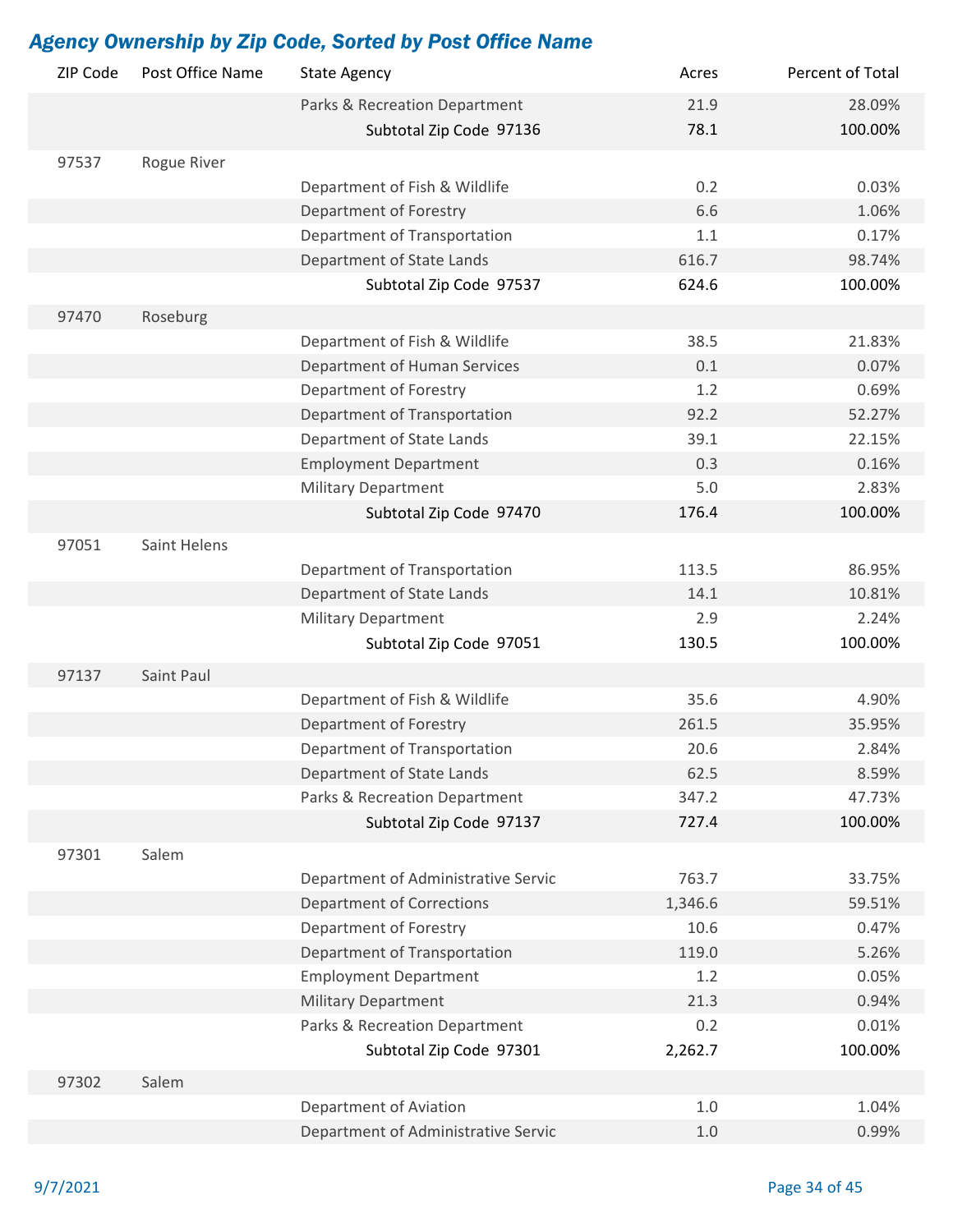| ZIP Code | Post Office Name | <b>State Agency</b>                 | Acres   | Percent of Total |
|----------|------------------|-------------------------------------|---------|------------------|
|          |                  | Parks & Recreation Department       | 21.9    | 28.09%           |
|          |                  | Subtotal Zip Code 97136             | 78.1    | 100.00%          |
| 97537    | Rogue River      |                                     |         |                  |
|          |                  | Department of Fish & Wildlife       | 0.2     | 0.03%            |
|          |                  | Department of Forestry              | 6.6     | 1.06%            |
|          |                  | Department of Transportation        | 1.1     | 0.17%            |
|          |                  | Department of State Lands           | 616.7   | 98.74%           |
|          |                  | Subtotal Zip Code 97537             | 624.6   | 100.00%          |
| 97470    | Roseburg         |                                     |         |                  |
|          |                  | Department of Fish & Wildlife       | 38.5    | 21.83%           |
|          |                  | Department of Human Services        | 0.1     | 0.07%            |
|          |                  | Department of Forestry              | 1.2     | 0.69%            |
|          |                  | Department of Transportation        | 92.2    | 52.27%           |
|          |                  | Department of State Lands           | 39.1    | 22.15%           |
|          |                  | <b>Employment Department</b>        | 0.3     | 0.16%            |
|          |                  | <b>Military Department</b>          | 5.0     | 2.83%            |
|          |                  | Subtotal Zip Code 97470             | 176.4   | 100.00%          |
|          |                  |                                     |         |                  |
| 97051    | Saint Helens     |                                     |         |                  |
|          |                  | Department of Transportation        | 113.5   | 86.95%           |
|          |                  | Department of State Lands           | 14.1    | 10.81%           |
|          |                  | <b>Military Department</b>          | 2.9     | 2.24%            |
|          |                  | Subtotal Zip Code 97051             | 130.5   | 100.00%          |
| 97137    | Saint Paul       |                                     |         |                  |
|          |                  | Department of Fish & Wildlife       | 35.6    | 4.90%            |
|          |                  | Department of Forestry              | 261.5   | 35.95%           |
|          |                  | Department of Transportation        | 20.6    | 2.84%            |
|          |                  | Department of State Lands           | 62.5    | 8.59%            |
|          |                  | Parks & Recreation Department       | 347.2   | 47.73%           |
|          |                  | Subtotal Zip Code 97137             | 727.4   | 100.00%          |
| 97301    | Salem            |                                     |         |                  |
|          |                  | Department of Administrative Servic | 763.7   | 33.75%           |
|          |                  | <b>Department of Corrections</b>    | 1,346.6 | 59.51%           |
|          |                  | Department of Forestry              | 10.6    | 0.47%            |
|          |                  | Department of Transportation        | 119.0   | 5.26%            |
|          |                  | <b>Employment Department</b>        | 1.2     | 0.05%            |
|          |                  | <b>Military Department</b>          | 21.3    | 0.94%            |
|          |                  | Parks & Recreation Department       | 0.2     | 0.01%            |
|          |                  | Subtotal Zip Code 97301             | 2,262.7 | 100.00%          |
| 97302    | Salem            |                                     |         |                  |
|          |                  | Department of Aviation              | 1.0     | 1.04%            |
|          |                  | Department of Administrative Servic | 1.0     | 0.99%            |
|          |                  |                                     |         |                  |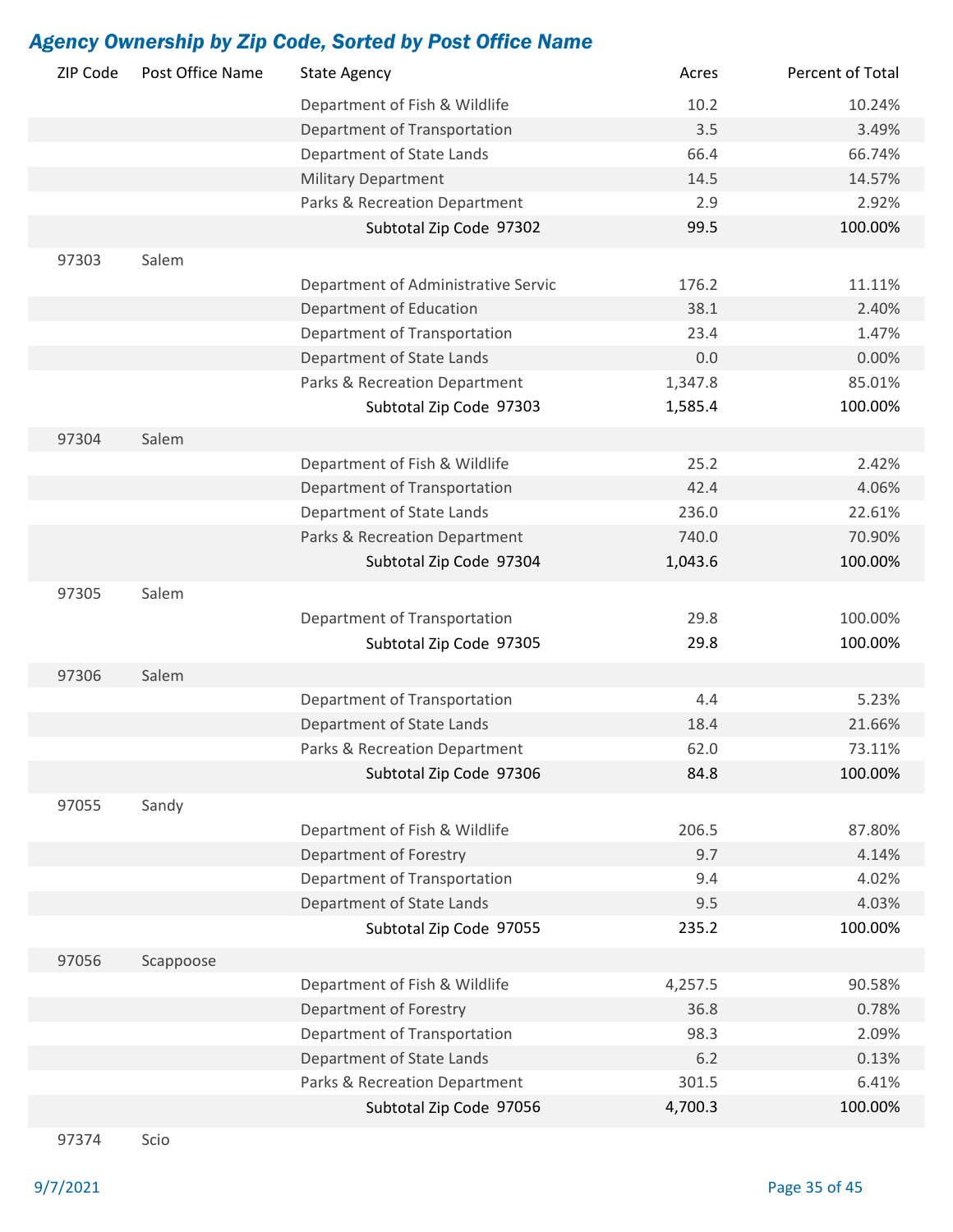| ZIP Code | Post Office Name | <b>State Agency</b>                 | Acres   | Percent of Total |
|----------|------------------|-------------------------------------|---------|------------------|
|          |                  | Department of Fish & Wildlife       | 10.2    | 10.24%           |
|          |                  | Department of Transportation        | 3.5     | 3.49%            |
|          |                  | Department of State Lands           | 66.4    | 66.74%           |
|          |                  | <b>Military Department</b>          | 14.5    | 14.57%           |
|          |                  | Parks & Recreation Department       | 2.9     | 2.92%            |
|          |                  | Subtotal Zip Code 97302             | 99.5    | 100.00%          |
| 97303    | Salem            |                                     |         |                  |
|          |                  | Department of Administrative Servic | 176.2   | 11.11%           |
|          |                  | Department of Education             | 38.1    | 2.40%            |
|          |                  | Department of Transportation        | 23.4    | 1.47%            |
|          |                  | Department of State Lands           | 0.0     | 0.00%            |
|          |                  | Parks & Recreation Department       | 1,347.8 | 85.01%           |
|          |                  | Subtotal Zip Code 97303             | 1,585.4 | 100.00%          |
|          |                  |                                     |         |                  |
| 97304    | Salem            |                                     |         |                  |
|          |                  | Department of Fish & Wildlife       | 25.2    | 2.42%            |
|          |                  | Department of Transportation        | 42.4    | 4.06%            |
|          |                  | Department of State Lands           | 236.0   | 22.61%           |
|          |                  | Parks & Recreation Department       | 740.0   | 70.90%           |
|          |                  | Subtotal Zip Code 97304             | 1,043.6 | 100.00%          |
| 97305    | Salem            |                                     |         |                  |
|          |                  | Department of Transportation        | 29.8    | 100.00%          |
|          |                  | Subtotal Zip Code 97305             | 29.8    | 100.00%          |
| 97306    | Salem            |                                     |         |                  |
|          |                  | Department of Transportation        | 4.4     | 5.23%            |
|          |                  | Department of State Lands           | 18.4    | 21.66%           |
|          |                  | Parks & Recreation Department       | 62.0    | 73.11%           |
|          |                  | Subtotal Zip Code 97306             | 84.8    | 100.00%          |
| 97055    | Sandy            |                                     |         |                  |
|          |                  | Department of Fish & Wildlife       | 206.5   | 87.80%           |
|          |                  | Department of Forestry              | 9.7     | 4.14%            |
|          |                  | Department of Transportation        | 9.4     | 4.02%            |
|          |                  | Department of State Lands           | 9.5     | 4.03%            |
|          |                  | Subtotal Zip Code 97055             | 235.2   | 100.00%          |
|          |                  |                                     |         |                  |
| 97056    | Scappoose        |                                     |         |                  |
|          |                  | Department of Fish & Wildlife       | 4,257.5 | 90.58%           |
|          |                  | Department of Forestry              | 36.8    | 0.78%            |
|          |                  | Department of Transportation        | 98.3    | 2.09%            |
|          |                  | Department of State Lands           | 6.2     | 0.13%            |
|          |                  | Parks & Recreation Department       | 301.5   | 6.41%            |
|          |                  | Subtotal Zip Code 97056             | 4,700.3 | 100.00%          |
|          |                  |                                     |         |                  |

97374 Scio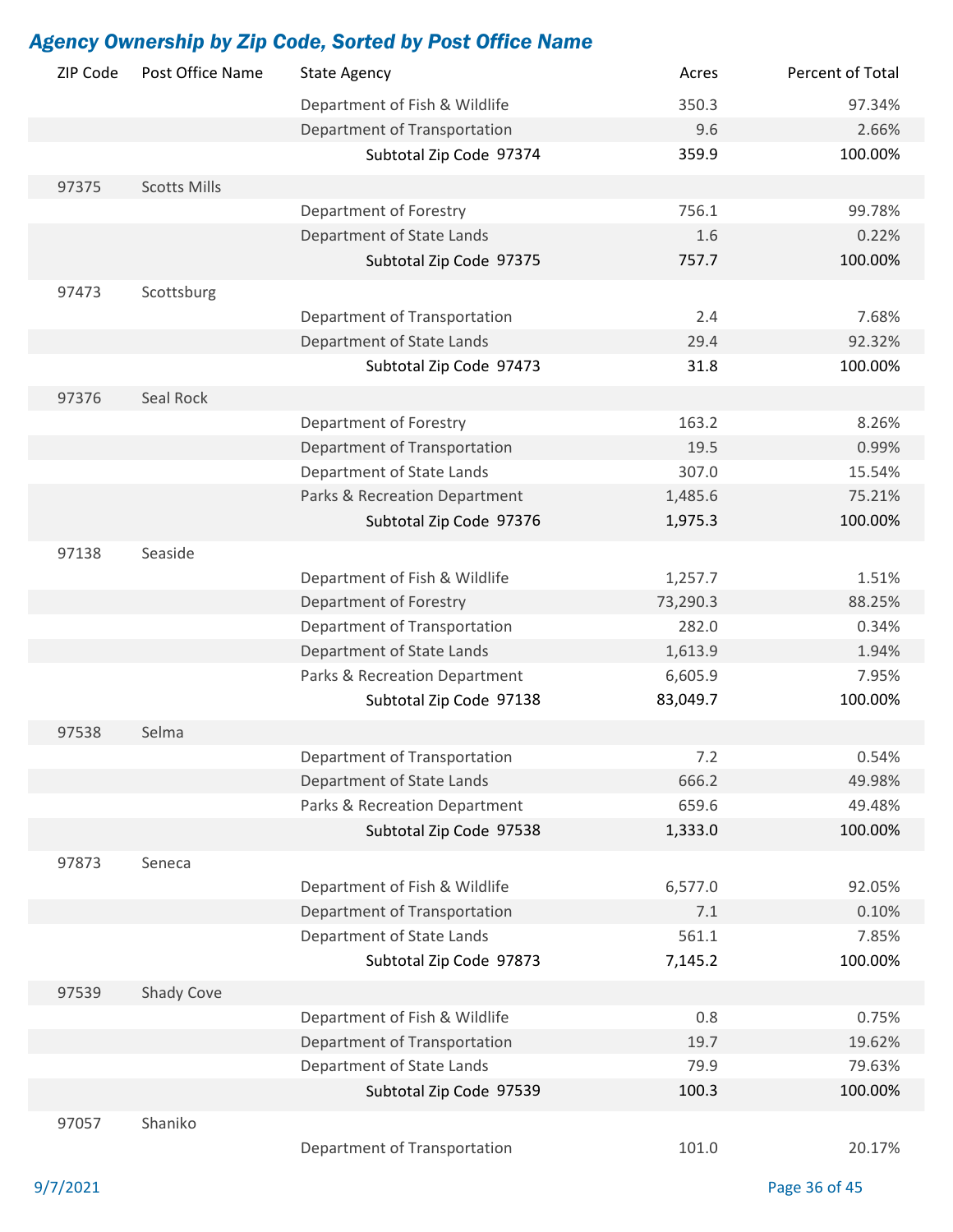| ZIP Code | Post Office Name    | <b>State Agency</b>                                       | Acres    | Percent of Total |
|----------|---------------------|-----------------------------------------------------------|----------|------------------|
|          |                     | Department of Fish & Wildlife                             | 350.3    | 97.34%           |
|          |                     | Department of Transportation                              | 9.6      | 2.66%            |
|          |                     | Subtotal Zip Code 97374                                   | 359.9    | 100.00%          |
| 97375    | <b>Scotts Mills</b> |                                                           |          |                  |
|          |                     | Department of Forestry                                    | 756.1    | 99.78%           |
|          |                     | Department of State Lands                                 | 1.6      | 0.22%            |
|          |                     | Subtotal Zip Code 97375                                   | 757.7    | 100.00%          |
| 97473    | Scottsburg          |                                                           |          |                  |
|          |                     | Department of Transportation                              | 2.4      | 7.68%            |
|          |                     | Department of State Lands                                 | 29.4     | 92.32%           |
|          |                     | Subtotal Zip Code 97473                                   | 31.8     | 100.00%          |
|          |                     |                                                           |          |                  |
| 97376    | Seal Rock           |                                                           |          |                  |
|          |                     | Department of Forestry                                    | 163.2    | 8.26%            |
|          |                     | Department of Transportation                              | 19.5     | 0.99%            |
|          |                     | Department of State Lands                                 | 307.0    | 15.54%           |
|          |                     | Parks & Recreation Department                             | 1,485.6  | 75.21%           |
|          |                     | Subtotal Zip Code 97376                                   | 1,975.3  | 100.00%          |
| 97138    | Seaside             |                                                           |          |                  |
|          |                     | Department of Fish & Wildlife                             | 1,257.7  | 1.51%            |
|          |                     | Department of Forestry                                    | 73,290.3 | 88.25%           |
|          |                     | Department of Transportation                              | 282.0    | 0.34%            |
|          |                     | Department of State Lands                                 | 1,613.9  | 1.94%            |
|          |                     | Parks & Recreation Department                             | 6,605.9  | 7.95%            |
|          |                     | Subtotal Zip Code 97138                                   | 83,049.7 | 100.00%          |
| 97538    | Selma               |                                                           |          |                  |
|          |                     |                                                           | 7.2      | 0.54%            |
|          |                     | Department of Transportation<br>Department of State Lands |          |                  |
|          |                     |                                                           | 666.2    | 49.98%           |
|          |                     | Parks & Recreation Department                             | 659.6    | 49.48%           |
|          |                     | Subtotal Zip Code 97538                                   | 1,333.0  | 100.00%          |
| 97873    | Seneca              |                                                           |          |                  |
|          |                     | Department of Fish & Wildlife                             | 6,577.0  | 92.05%           |
|          |                     | Department of Transportation                              | 7.1      | 0.10%            |
|          |                     | Department of State Lands                                 | 561.1    | 7.85%            |
|          |                     | Subtotal Zip Code 97873                                   | 7,145.2  | 100.00%          |
| 97539    | Shady Cove          |                                                           |          |                  |
|          |                     | Department of Fish & Wildlife                             | 0.8      | 0.75%            |
|          |                     | Department of Transportation                              | 19.7     | 19.62%           |
|          |                     | Department of State Lands                                 | 79.9     | 79.63%           |
|          |                     | Subtotal Zip Code 97539                                   | 100.3    | 100.00%          |
| 97057    | Shaniko             |                                                           |          |                  |
|          |                     |                                                           |          |                  |
|          |                     | Department of Transportation                              | 101.0    | 20.17%           |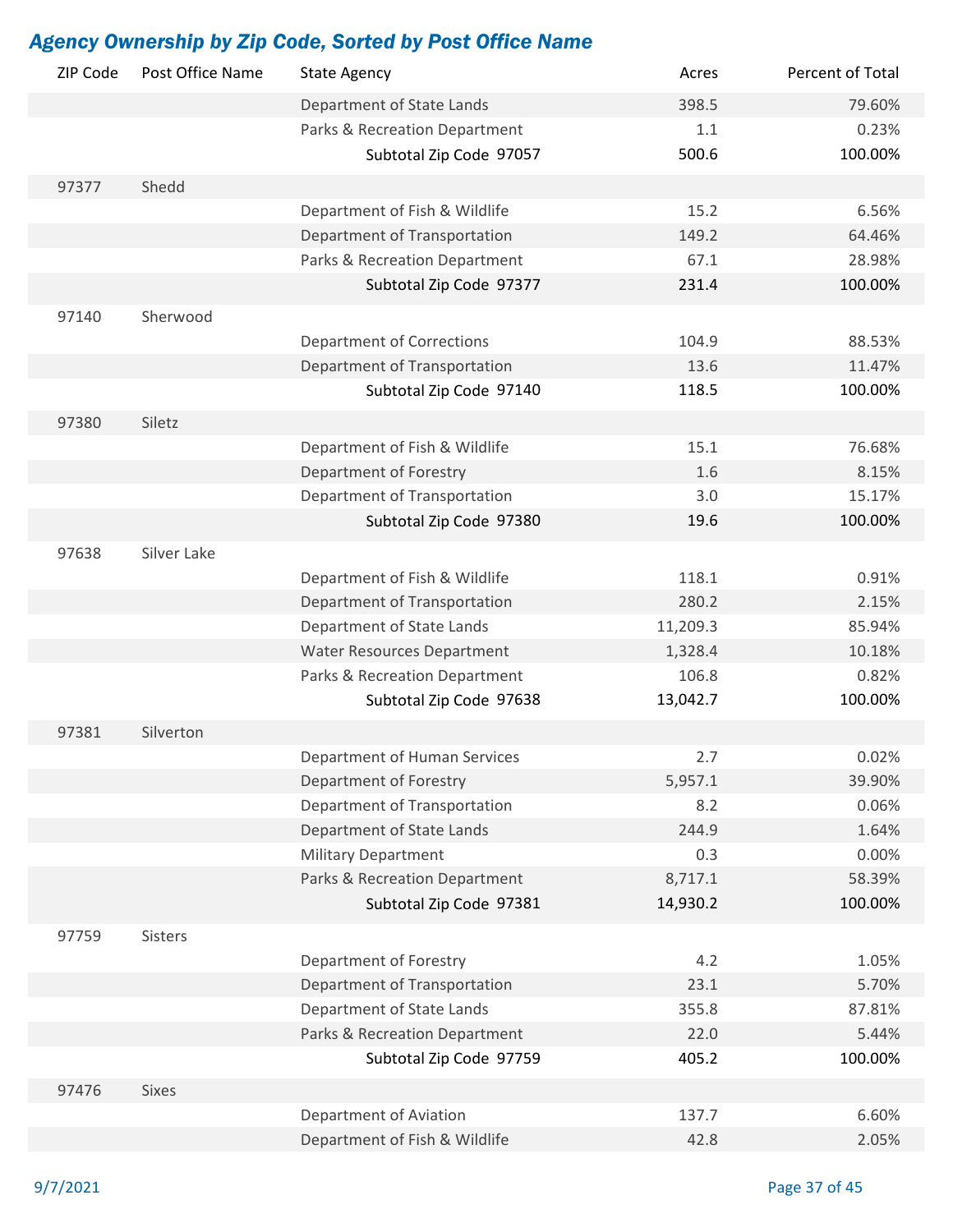| ZIP Code | Post Office Name | <b>State Agency</b>               | Acres    | Percent of Total |
|----------|------------------|-----------------------------------|----------|------------------|
|          |                  | Department of State Lands         | 398.5    | 79.60%           |
|          |                  | Parks & Recreation Department     | 1.1      | 0.23%            |
|          |                  | Subtotal Zip Code 97057           | 500.6    | 100.00%          |
| 97377    | Shedd            |                                   |          |                  |
|          |                  | Department of Fish & Wildlife     | 15.2     | 6.56%            |
|          |                  | Department of Transportation      | 149.2    | 64.46%           |
|          |                  | Parks & Recreation Department     | 67.1     | 28.98%           |
|          |                  | Subtotal Zip Code 97377           | 231.4    | 100.00%          |
| 97140    | Sherwood         |                                   |          |                  |
|          |                  | <b>Department of Corrections</b>  | 104.9    | 88.53%           |
|          |                  | Department of Transportation      | 13.6     | 11.47%           |
|          |                  | Subtotal Zip Code 97140           | 118.5    | 100.00%          |
| 97380    | Siletz           |                                   |          |                  |
|          |                  | Department of Fish & Wildlife     | 15.1     | 76.68%           |
|          |                  | Department of Forestry            | 1.6      | 8.15%            |
|          |                  | Department of Transportation      | 3.0      | 15.17%           |
|          |                  | Subtotal Zip Code 97380           | 19.6     | 100.00%          |
|          |                  |                                   |          |                  |
| 97638    | Silver Lake      |                                   |          |                  |
|          |                  | Department of Fish & Wildlife     | 118.1    | 0.91%            |
|          |                  | Department of Transportation      | 280.2    | 2.15%            |
|          |                  | Department of State Lands         | 11,209.3 | 85.94%           |
|          |                  | <b>Water Resources Department</b> | 1,328.4  | 10.18%           |
|          |                  | Parks & Recreation Department     | 106.8    | 0.82%            |
|          |                  | Subtotal Zip Code 97638           | 13,042.7 | 100.00%          |
| 97381    | Silverton        |                                   |          |                  |
|          |                  | Department of Human Services      | 2.7      | 0.02%            |
|          |                  | Department of Forestry            | 5,957.1  | 39.90%           |
|          |                  | Department of Transportation      | 8.2      | 0.06%            |
|          |                  | Department of State Lands         | 244.9    | 1.64%            |
|          |                  | <b>Military Department</b>        | 0.3      | 0.00%            |
|          |                  | Parks & Recreation Department     | 8,717.1  | 58.39%           |
|          |                  | Subtotal Zip Code 97381           | 14,930.2 | 100.00%          |
| 97759    | Sisters          |                                   |          |                  |
|          |                  | Department of Forestry            | 4.2      | 1.05%            |
|          |                  | Department of Transportation      | 23.1     | 5.70%            |
|          |                  | Department of State Lands         | 355.8    | 87.81%           |
|          |                  | Parks & Recreation Department     | 22.0     | 5.44%            |
|          |                  | Subtotal Zip Code 97759           | 405.2    | 100.00%          |
| 97476    | <b>Sixes</b>     |                                   |          |                  |
|          |                  | Department of Aviation            | 137.7    | 6.60%            |
|          |                  | Department of Fish & Wildlife     | 42.8     | 2.05%            |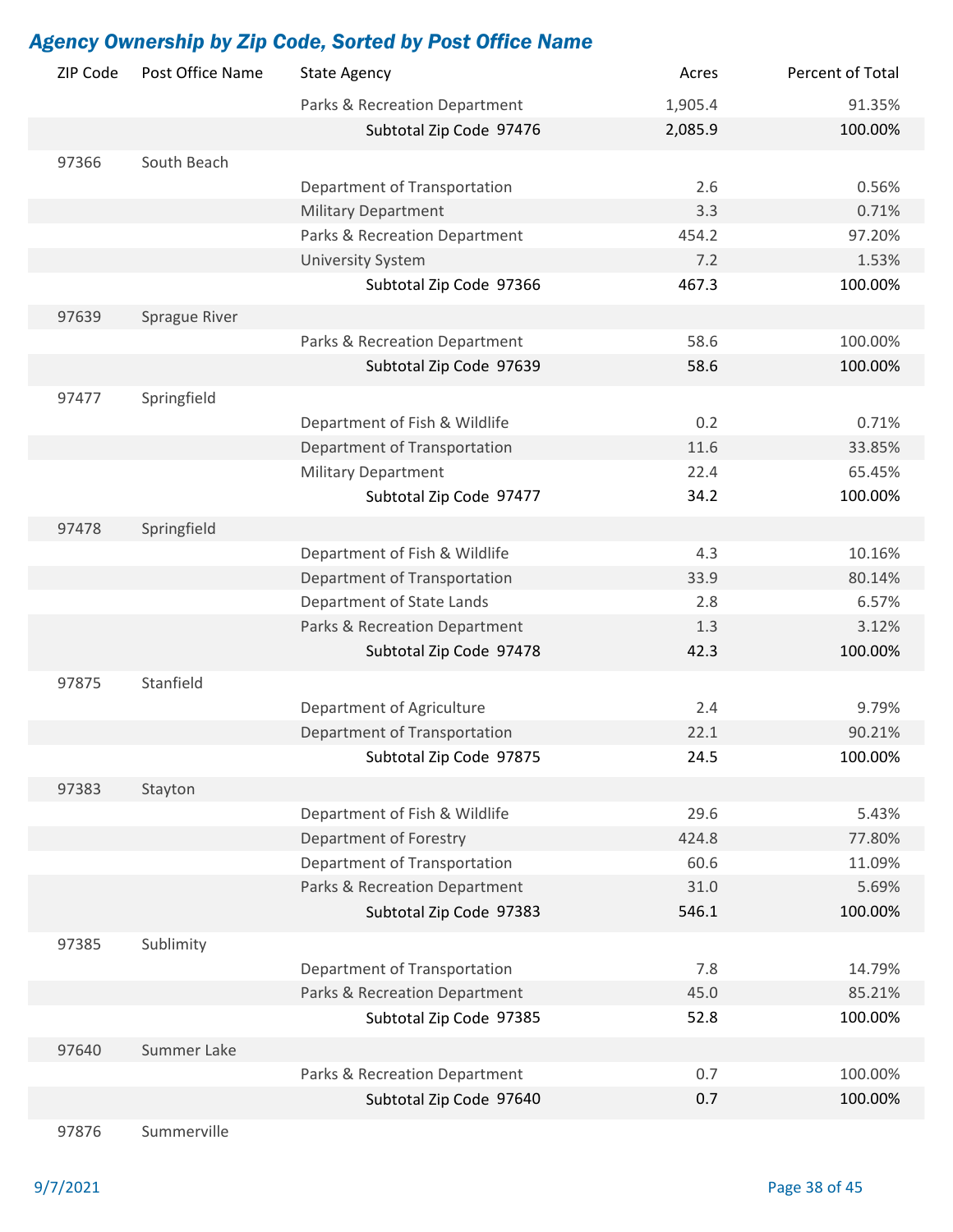| ZIP Code | Post Office Name | <b>State Agency</b>           | Acres      | Percent of Total   |
|----------|------------------|-------------------------------|------------|--------------------|
|          |                  | Parks & Recreation Department | 1,905.4    | 91.35%             |
|          |                  | Subtotal Zip Code 97476       | 2,085.9    | 100.00%            |
| 97366    | South Beach      |                               |            |                    |
|          |                  | Department of Transportation  | 2.6        | 0.56%              |
|          |                  | <b>Military Department</b>    | 3.3        | 0.71%              |
|          |                  | Parks & Recreation Department | 454.2      | 97.20%             |
|          |                  | <b>University System</b>      | 7.2        | 1.53%              |
|          |                  | Subtotal Zip Code 97366       | 467.3      | 100.00%            |
| 97639    | Sprague River    |                               |            |                    |
|          |                  | Parks & Recreation Department | 58.6       | 100.00%            |
|          |                  | Subtotal Zip Code 97639       | 58.6       | 100.00%            |
|          |                  |                               |            |                    |
| 97477    | Springfield      |                               |            |                    |
|          |                  | Department of Fish & Wildlife | 0.2        | 0.71%              |
|          |                  | Department of Transportation  | 11.6       | 33.85%             |
|          |                  | <b>Military Department</b>    | 22.4       | 65.45%             |
|          |                  | Subtotal Zip Code 97477       | 34.2       | 100.00%            |
| 97478    | Springfield      |                               |            |                    |
|          |                  | Department of Fish & Wildlife | 4.3        | 10.16%             |
|          |                  | Department of Transportation  | 33.9       | 80.14%             |
|          |                  | Department of State Lands     | 2.8        | 6.57%              |
|          |                  | Parks & Recreation Department | 1.3        | 3.12%              |
|          |                  | Subtotal Zip Code 97478       | 42.3       | 100.00%            |
| 97875    | Stanfield        |                               |            |                    |
|          |                  | Department of Agriculture     | 2.4        | 9.79%              |
|          |                  | Department of Transportation  | 22.1       | 90.21%             |
|          |                  | Subtotal Zip Code 97875       | 24.5       | 100.00%            |
| 97383    | Stayton          |                               |            |                    |
|          |                  | Department of Fish & Wildlife | 29.6       | 5.43%              |
|          |                  | Department of Forestry        | 424.8      | 77.80%             |
|          |                  | Department of Transportation  | 60.6       | 11.09%             |
|          |                  | Parks & Recreation Department | 31.0       | 5.69%              |
|          |                  | Subtotal Zip Code 97383       | 546.1      | 100.00%            |
| 97385    | Sublimity        |                               |            |                    |
|          |                  | Department of Transportation  | 7.8        | 14.79%             |
|          |                  | Parks & Recreation Department | 45.0       | 85.21%             |
|          |                  | Subtotal Zip Code 97385       | 52.8       | 100.00%            |
|          |                  |                               |            |                    |
| 97640    | Summer Lake      |                               |            |                    |
|          |                  | Parks & Recreation Department | 0.7<br>0.7 | 100.00%<br>100.00% |
|          |                  | Subtotal Zip Code 97640       |            |                    |
| 97876    | Summerville      |                               |            |                    |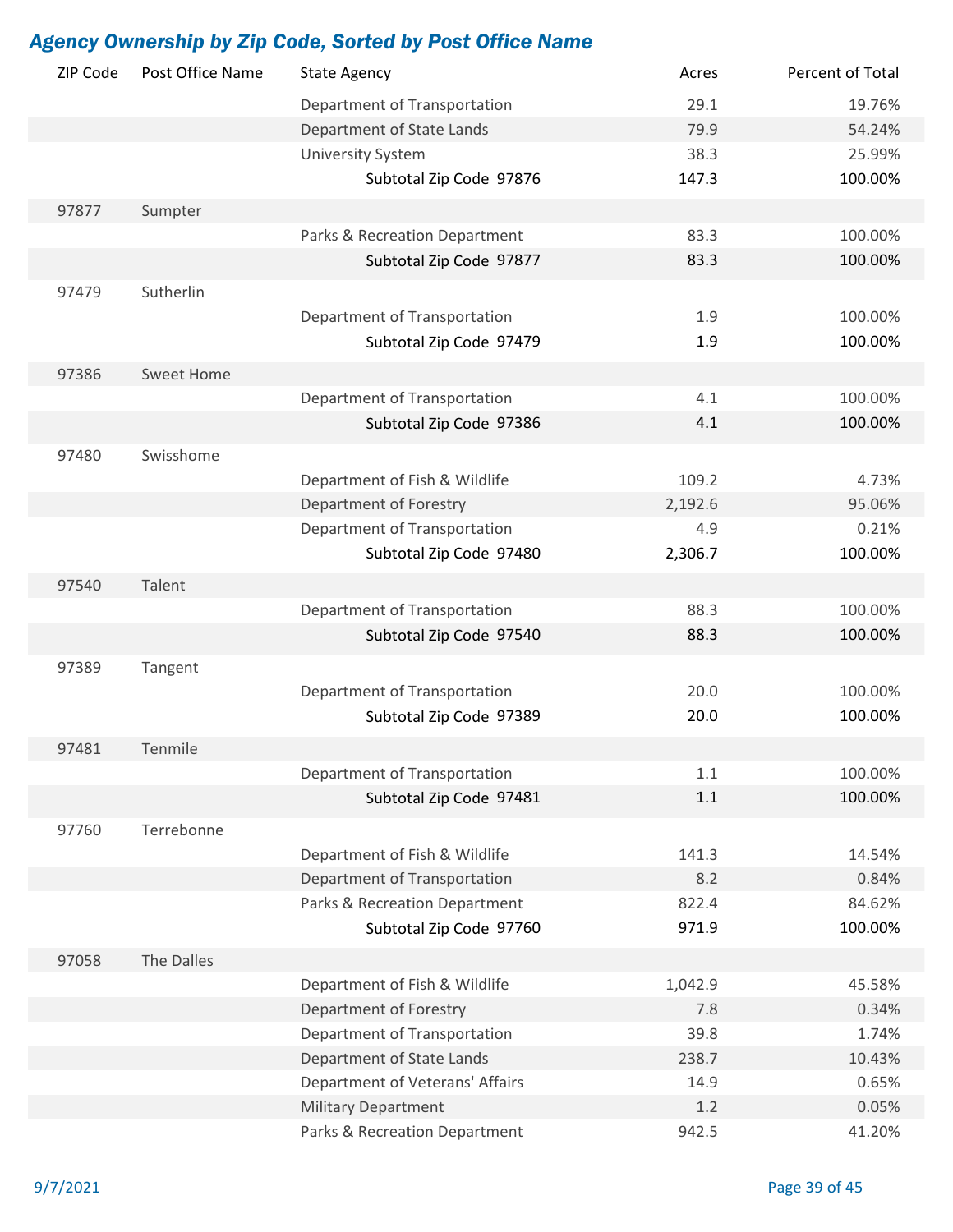| 29.1<br>Department of Transportation<br>19.76%<br>Department of State Lands<br>79.9<br>54.24%<br><b>University System</b><br>38.3<br>25.99%<br>100.00%<br>Subtotal Zip Code 97876<br>147.3<br>97877<br>Sumpter<br>Parks & Recreation Department<br>83.3<br>100.00%<br>Subtotal Zip Code 97877<br>83.3<br>100.00%<br>Sutherlin<br>97479<br>Department of Transportation<br>1.9<br>100.00%<br>Subtotal Zip Code 97479<br>1.9<br>100.00%<br>97386<br><b>Sweet Home</b><br>Department of Transportation<br>4.1<br>100.00%<br>Subtotal Zip Code 97386<br>100.00%<br>4.1<br>Swisshome<br>97480<br>109.2<br>Department of Fish & Wildlife<br>4.73%<br>Department of Forestry<br>2,192.6<br>95.06%<br>Department of Transportation<br>4.9<br>0.21%<br>Subtotal Zip Code 97480<br>2,306.7<br>100.00%<br>Talent<br>97540<br>Department of Transportation<br>88.3<br>100.00%<br>88.3<br>Subtotal Zip Code 97540<br>100.00%<br>97389<br>Tangent<br>Department of Transportation<br>20.0<br>100.00%<br>20.0<br>Subtotal Zip Code 97389<br>100.00%<br>Tenmile<br>97481<br>Department of Transportation<br>1.1<br>100.00%<br>Subtotal Zip Code 97481<br>100.00%<br>1.1<br>Terrebonne<br>97760<br>Department of Fish & Wildlife<br>141.3<br>14.54%<br>Department of Transportation<br>8.2<br>0.84%<br>Parks & Recreation Department<br>822.4<br>84.62%<br>971.9<br>100.00%<br>Subtotal Zip Code 97760<br>The Dalles<br>97058<br>Department of Fish & Wildlife<br>1,042.9<br>45.58%<br>Department of Forestry<br>7.8<br>0.34%<br>Department of Transportation<br>39.8<br>1.74%<br>Department of State Lands<br>238.7<br>10.43%<br>Department of Veterans' Affairs<br>14.9<br>0.65%<br><b>Military Department</b><br>1.2<br>0.05% | ZIP Code | Post Office Name | <b>State Agency</b> | Acres | Percent of Total |
|-----------------------------------------------------------------------------------------------------------------------------------------------------------------------------------------------------------------------------------------------------------------------------------------------------------------------------------------------------------------------------------------------------------------------------------------------------------------------------------------------------------------------------------------------------------------------------------------------------------------------------------------------------------------------------------------------------------------------------------------------------------------------------------------------------------------------------------------------------------------------------------------------------------------------------------------------------------------------------------------------------------------------------------------------------------------------------------------------------------------------------------------------------------------------------------------------------------------------------------------------------------------------------------------------------------------------------------------------------------------------------------------------------------------------------------------------------------------------------------------------------------------------------------------------------------------------------------------------------------------------------------------------------------------------------------------------------------------|----------|------------------|---------------------|-------|------------------|
|                                                                                                                                                                                                                                                                                                                                                                                                                                                                                                                                                                                                                                                                                                                                                                                                                                                                                                                                                                                                                                                                                                                                                                                                                                                                                                                                                                                                                                                                                                                                                                                                                                                                                                                 |          |                  |                     |       |                  |
|                                                                                                                                                                                                                                                                                                                                                                                                                                                                                                                                                                                                                                                                                                                                                                                                                                                                                                                                                                                                                                                                                                                                                                                                                                                                                                                                                                                                                                                                                                                                                                                                                                                                                                                 |          |                  |                     |       |                  |
|                                                                                                                                                                                                                                                                                                                                                                                                                                                                                                                                                                                                                                                                                                                                                                                                                                                                                                                                                                                                                                                                                                                                                                                                                                                                                                                                                                                                                                                                                                                                                                                                                                                                                                                 |          |                  |                     |       |                  |
|                                                                                                                                                                                                                                                                                                                                                                                                                                                                                                                                                                                                                                                                                                                                                                                                                                                                                                                                                                                                                                                                                                                                                                                                                                                                                                                                                                                                                                                                                                                                                                                                                                                                                                                 |          |                  |                     |       |                  |
|                                                                                                                                                                                                                                                                                                                                                                                                                                                                                                                                                                                                                                                                                                                                                                                                                                                                                                                                                                                                                                                                                                                                                                                                                                                                                                                                                                                                                                                                                                                                                                                                                                                                                                                 |          |                  |                     |       |                  |
|                                                                                                                                                                                                                                                                                                                                                                                                                                                                                                                                                                                                                                                                                                                                                                                                                                                                                                                                                                                                                                                                                                                                                                                                                                                                                                                                                                                                                                                                                                                                                                                                                                                                                                                 |          |                  |                     |       |                  |
|                                                                                                                                                                                                                                                                                                                                                                                                                                                                                                                                                                                                                                                                                                                                                                                                                                                                                                                                                                                                                                                                                                                                                                                                                                                                                                                                                                                                                                                                                                                                                                                                                                                                                                                 |          |                  |                     |       |                  |
|                                                                                                                                                                                                                                                                                                                                                                                                                                                                                                                                                                                                                                                                                                                                                                                                                                                                                                                                                                                                                                                                                                                                                                                                                                                                                                                                                                                                                                                                                                                                                                                                                                                                                                                 |          |                  |                     |       |                  |
|                                                                                                                                                                                                                                                                                                                                                                                                                                                                                                                                                                                                                                                                                                                                                                                                                                                                                                                                                                                                                                                                                                                                                                                                                                                                                                                                                                                                                                                                                                                                                                                                                                                                                                                 |          |                  |                     |       |                  |
|                                                                                                                                                                                                                                                                                                                                                                                                                                                                                                                                                                                                                                                                                                                                                                                                                                                                                                                                                                                                                                                                                                                                                                                                                                                                                                                                                                                                                                                                                                                                                                                                                                                                                                                 |          |                  |                     |       |                  |
|                                                                                                                                                                                                                                                                                                                                                                                                                                                                                                                                                                                                                                                                                                                                                                                                                                                                                                                                                                                                                                                                                                                                                                                                                                                                                                                                                                                                                                                                                                                                                                                                                                                                                                                 |          |                  |                     |       |                  |
|                                                                                                                                                                                                                                                                                                                                                                                                                                                                                                                                                                                                                                                                                                                                                                                                                                                                                                                                                                                                                                                                                                                                                                                                                                                                                                                                                                                                                                                                                                                                                                                                                                                                                                                 |          |                  |                     |       |                  |
|                                                                                                                                                                                                                                                                                                                                                                                                                                                                                                                                                                                                                                                                                                                                                                                                                                                                                                                                                                                                                                                                                                                                                                                                                                                                                                                                                                                                                                                                                                                                                                                                                                                                                                                 |          |                  |                     |       |                  |
|                                                                                                                                                                                                                                                                                                                                                                                                                                                                                                                                                                                                                                                                                                                                                                                                                                                                                                                                                                                                                                                                                                                                                                                                                                                                                                                                                                                                                                                                                                                                                                                                                                                                                                                 |          |                  |                     |       |                  |
|                                                                                                                                                                                                                                                                                                                                                                                                                                                                                                                                                                                                                                                                                                                                                                                                                                                                                                                                                                                                                                                                                                                                                                                                                                                                                                                                                                                                                                                                                                                                                                                                                                                                                                                 |          |                  |                     |       |                  |
|                                                                                                                                                                                                                                                                                                                                                                                                                                                                                                                                                                                                                                                                                                                                                                                                                                                                                                                                                                                                                                                                                                                                                                                                                                                                                                                                                                                                                                                                                                                                                                                                                                                                                                                 |          |                  |                     |       |                  |
|                                                                                                                                                                                                                                                                                                                                                                                                                                                                                                                                                                                                                                                                                                                                                                                                                                                                                                                                                                                                                                                                                                                                                                                                                                                                                                                                                                                                                                                                                                                                                                                                                                                                                                                 |          |                  |                     |       |                  |
|                                                                                                                                                                                                                                                                                                                                                                                                                                                                                                                                                                                                                                                                                                                                                                                                                                                                                                                                                                                                                                                                                                                                                                                                                                                                                                                                                                                                                                                                                                                                                                                                                                                                                                                 |          |                  |                     |       |                  |
|                                                                                                                                                                                                                                                                                                                                                                                                                                                                                                                                                                                                                                                                                                                                                                                                                                                                                                                                                                                                                                                                                                                                                                                                                                                                                                                                                                                                                                                                                                                                                                                                                                                                                                                 |          |                  |                     |       |                  |
|                                                                                                                                                                                                                                                                                                                                                                                                                                                                                                                                                                                                                                                                                                                                                                                                                                                                                                                                                                                                                                                                                                                                                                                                                                                                                                                                                                                                                                                                                                                                                                                                                                                                                                                 |          |                  |                     |       |                  |
|                                                                                                                                                                                                                                                                                                                                                                                                                                                                                                                                                                                                                                                                                                                                                                                                                                                                                                                                                                                                                                                                                                                                                                                                                                                                                                                                                                                                                                                                                                                                                                                                                                                                                                                 |          |                  |                     |       |                  |
|                                                                                                                                                                                                                                                                                                                                                                                                                                                                                                                                                                                                                                                                                                                                                                                                                                                                                                                                                                                                                                                                                                                                                                                                                                                                                                                                                                                                                                                                                                                                                                                                                                                                                                                 |          |                  |                     |       |                  |
|                                                                                                                                                                                                                                                                                                                                                                                                                                                                                                                                                                                                                                                                                                                                                                                                                                                                                                                                                                                                                                                                                                                                                                                                                                                                                                                                                                                                                                                                                                                                                                                                                                                                                                                 |          |                  |                     |       |                  |
|                                                                                                                                                                                                                                                                                                                                                                                                                                                                                                                                                                                                                                                                                                                                                                                                                                                                                                                                                                                                                                                                                                                                                                                                                                                                                                                                                                                                                                                                                                                                                                                                                                                                                                                 |          |                  |                     |       |                  |
|                                                                                                                                                                                                                                                                                                                                                                                                                                                                                                                                                                                                                                                                                                                                                                                                                                                                                                                                                                                                                                                                                                                                                                                                                                                                                                                                                                                                                                                                                                                                                                                                                                                                                                                 |          |                  |                     |       |                  |
|                                                                                                                                                                                                                                                                                                                                                                                                                                                                                                                                                                                                                                                                                                                                                                                                                                                                                                                                                                                                                                                                                                                                                                                                                                                                                                                                                                                                                                                                                                                                                                                                                                                                                                                 |          |                  |                     |       |                  |
|                                                                                                                                                                                                                                                                                                                                                                                                                                                                                                                                                                                                                                                                                                                                                                                                                                                                                                                                                                                                                                                                                                                                                                                                                                                                                                                                                                                                                                                                                                                                                                                                                                                                                                                 |          |                  |                     |       |                  |
|                                                                                                                                                                                                                                                                                                                                                                                                                                                                                                                                                                                                                                                                                                                                                                                                                                                                                                                                                                                                                                                                                                                                                                                                                                                                                                                                                                                                                                                                                                                                                                                                                                                                                                                 |          |                  |                     |       |                  |
|                                                                                                                                                                                                                                                                                                                                                                                                                                                                                                                                                                                                                                                                                                                                                                                                                                                                                                                                                                                                                                                                                                                                                                                                                                                                                                                                                                                                                                                                                                                                                                                                                                                                                                                 |          |                  |                     |       |                  |
|                                                                                                                                                                                                                                                                                                                                                                                                                                                                                                                                                                                                                                                                                                                                                                                                                                                                                                                                                                                                                                                                                                                                                                                                                                                                                                                                                                                                                                                                                                                                                                                                                                                                                                                 |          |                  |                     |       |                  |
|                                                                                                                                                                                                                                                                                                                                                                                                                                                                                                                                                                                                                                                                                                                                                                                                                                                                                                                                                                                                                                                                                                                                                                                                                                                                                                                                                                                                                                                                                                                                                                                                                                                                                                                 |          |                  |                     |       |                  |
|                                                                                                                                                                                                                                                                                                                                                                                                                                                                                                                                                                                                                                                                                                                                                                                                                                                                                                                                                                                                                                                                                                                                                                                                                                                                                                                                                                                                                                                                                                                                                                                                                                                                                                                 |          |                  |                     |       |                  |
|                                                                                                                                                                                                                                                                                                                                                                                                                                                                                                                                                                                                                                                                                                                                                                                                                                                                                                                                                                                                                                                                                                                                                                                                                                                                                                                                                                                                                                                                                                                                                                                                                                                                                                                 |          |                  |                     |       |                  |
|                                                                                                                                                                                                                                                                                                                                                                                                                                                                                                                                                                                                                                                                                                                                                                                                                                                                                                                                                                                                                                                                                                                                                                                                                                                                                                                                                                                                                                                                                                                                                                                                                                                                                                                 |          |                  |                     |       |                  |
|                                                                                                                                                                                                                                                                                                                                                                                                                                                                                                                                                                                                                                                                                                                                                                                                                                                                                                                                                                                                                                                                                                                                                                                                                                                                                                                                                                                                                                                                                                                                                                                                                                                                                                                 |          |                  |                     |       |                  |
|                                                                                                                                                                                                                                                                                                                                                                                                                                                                                                                                                                                                                                                                                                                                                                                                                                                                                                                                                                                                                                                                                                                                                                                                                                                                                                                                                                                                                                                                                                                                                                                                                                                                                                                 |          |                  |                     |       |                  |
|                                                                                                                                                                                                                                                                                                                                                                                                                                                                                                                                                                                                                                                                                                                                                                                                                                                                                                                                                                                                                                                                                                                                                                                                                                                                                                                                                                                                                                                                                                                                                                                                                                                                                                                 |          |                  |                     |       |                  |
|                                                                                                                                                                                                                                                                                                                                                                                                                                                                                                                                                                                                                                                                                                                                                                                                                                                                                                                                                                                                                                                                                                                                                                                                                                                                                                                                                                                                                                                                                                                                                                                                                                                                                                                 |          |                  |                     |       |                  |
|                                                                                                                                                                                                                                                                                                                                                                                                                                                                                                                                                                                                                                                                                                                                                                                                                                                                                                                                                                                                                                                                                                                                                                                                                                                                                                                                                                                                                                                                                                                                                                                                                                                                                                                 |          |                  |                     |       |                  |
|                                                                                                                                                                                                                                                                                                                                                                                                                                                                                                                                                                                                                                                                                                                                                                                                                                                                                                                                                                                                                                                                                                                                                                                                                                                                                                                                                                                                                                                                                                                                                                                                                                                                                                                 |          |                  |                     |       |                  |
|                                                                                                                                                                                                                                                                                                                                                                                                                                                                                                                                                                                                                                                                                                                                                                                                                                                                                                                                                                                                                                                                                                                                                                                                                                                                                                                                                                                                                                                                                                                                                                                                                                                                                                                 |          |                  |                     |       |                  |
| Parks & Recreation Department<br>942.5<br>41.20%                                                                                                                                                                                                                                                                                                                                                                                                                                                                                                                                                                                                                                                                                                                                                                                                                                                                                                                                                                                                                                                                                                                                                                                                                                                                                                                                                                                                                                                                                                                                                                                                                                                                |          |                  |                     |       |                  |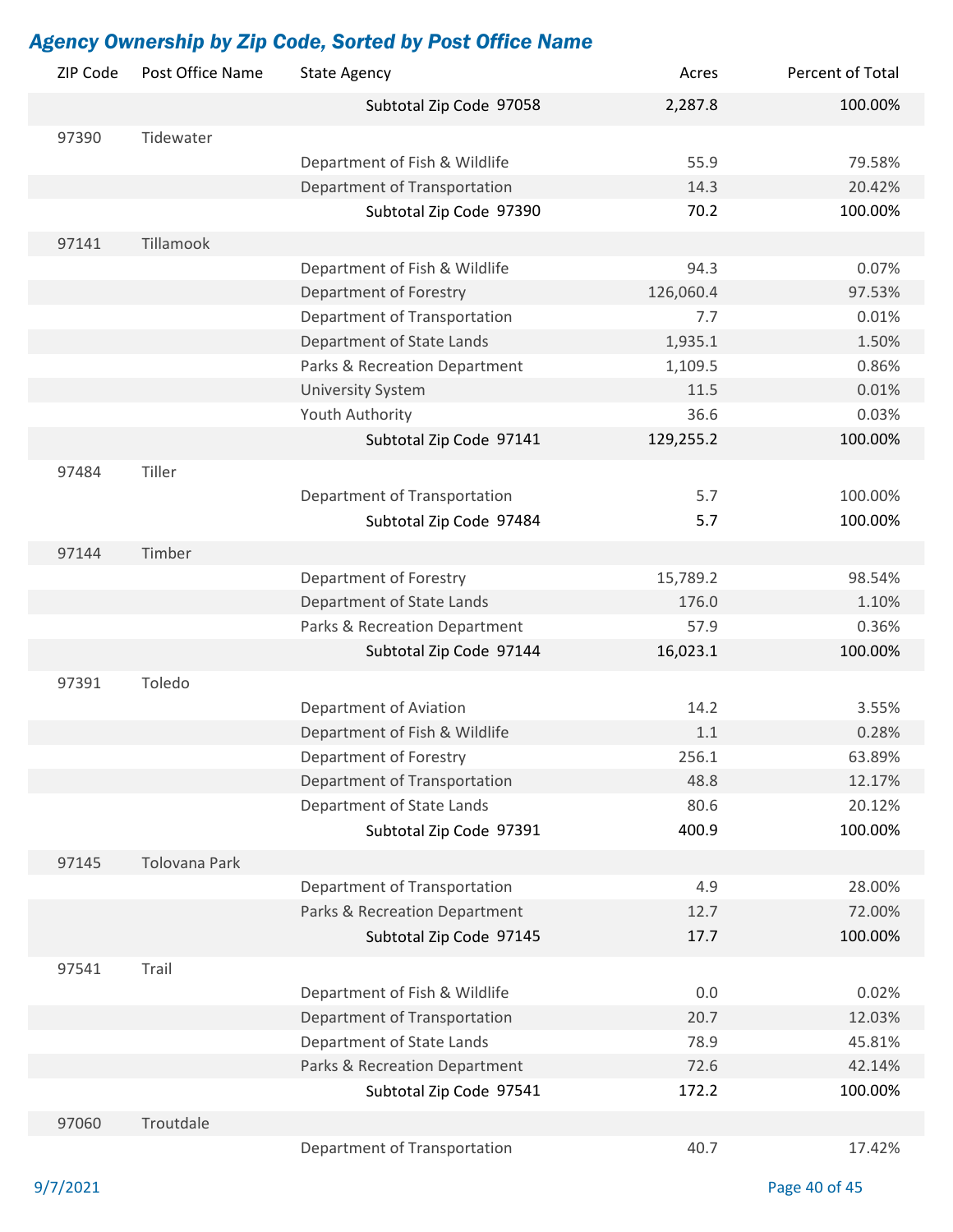| ZIP Code | Post Office Name | <b>State Agency</b>           | Acres     | Percent of Total |
|----------|------------------|-------------------------------|-----------|------------------|
|          |                  | Subtotal Zip Code 97058       | 2,287.8   | 100.00%          |
| 97390    | Tidewater        |                               |           |                  |
|          |                  | Department of Fish & Wildlife | 55.9      | 79.58%           |
|          |                  | Department of Transportation  | 14.3      | 20.42%           |
|          |                  | Subtotal Zip Code 97390       | 70.2      | 100.00%          |
| 97141    | Tillamook        |                               |           |                  |
|          |                  | Department of Fish & Wildlife | 94.3      | 0.07%            |
|          |                  | Department of Forestry        | 126,060.4 | 97.53%           |
|          |                  | Department of Transportation  | 7.7       | 0.01%            |
|          |                  | Department of State Lands     | 1,935.1   | 1.50%            |
|          |                  | Parks & Recreation Department | 1,109.5   | 0.86%            |
|          |                  | <b>University System</b>      | 11.5      | 0.01%            |
|          |                  | Youth Authority               | 36.6      | 0.03%            |
|          |                  | Subtotal Zip Code 97141       | 129,255.2 | 100.00%          |
|          | Tiller           |                               |           |                  |
| 97484    |                  |                               |           |                  |
|          |                  | Department of Transportation  | 5.7       | 100.00%          |
|          |                  | Subtotal Zip Code 97484       | 5.7       | 100.00%          |
| 97144    | Timber           |                               |           |                  |
|          |                  | Department of Forestry        | 15,789.2  | 98.54%           |
|          |                  | Department of State Lands     | 176.0     | 1.10%            |
|          |                  | Parks & Recreation Department | 57.9      | 0.36%            |
|          |                  | Subtotal Zip Code 97144       | 16,023.1  | 100.00%          |
| 97391    | Toledo           |                               |           |                  |
|          |                  | Department of Aviation        | 14.2      | 3.55%            |
|          |                  | Department of Fish & Wildlife | 1.1       | 0.28%            |
|          |                  | Department of Forestry        | 256.1     | 63.89%           |
|          |                  | Department of Transportation  | 48.8      | 12.17%           |
|          |                  | Department of State Lands     | 80.6      | 20.12%           |
|          |                  | Subtotal Zip Code 97391       | 400.9     | 100.00%          |
| 97145    | Tolovana Park    |                               |           |                  |
|          |                  | Department of Transportation  | 4.9       | 28.00%           |
|          |                  | Parks & Recreation Department | 12.7      | 72.00%           |
|          |                  | Subtotal Zip Code 97145       | 17.7      | 100.00%          |
|          |                  |                               |           |                  |
| 97541    | Trail            |                               |           |                  |
|          |                  | Department of Fish & Wildlife | 0.0       | 0.02%            |
|          |                  | Department of Transportation  | 20.7      | 12.03%           |
|          |                  | Department of State Lands     | 78.9      | 45.81%           |
|          |                  | Parks & Recreation Department | 72.6      | 42.14%           |
|          |                  | Subtotal Zip Code 97541       | 172.2     | 100.00%          |
| 97060    | Troutdale        |                               |           |                  |
|          |                  | Department of Transportation  | 40.7      | 17.42%           |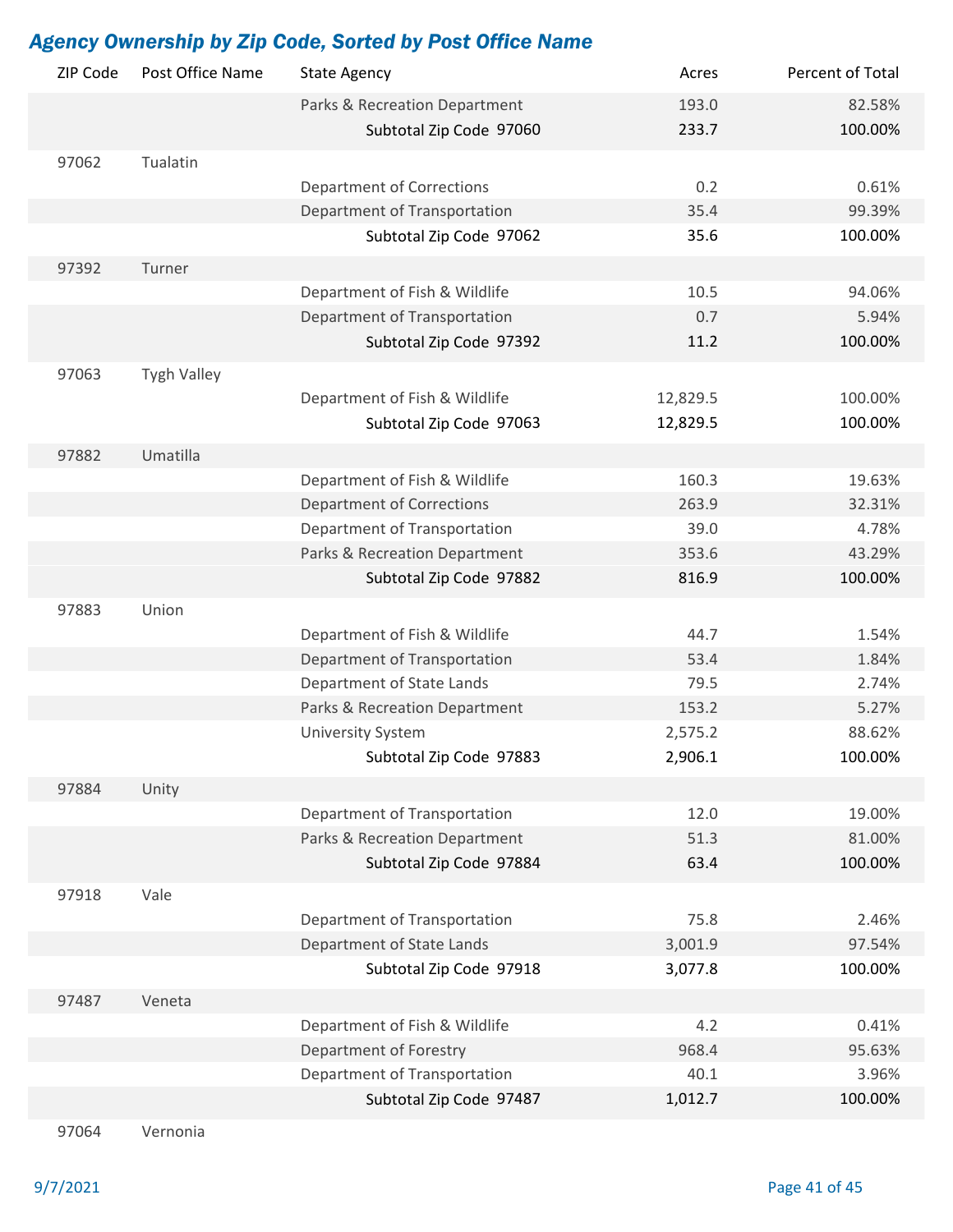| ZIP Code | Post Office Name   | <b>State Agency</b>              | Acres    | Percent of Total |
|----------|--------------------|----------------------------------|----------|------------------|
|          |                    | Parks & Recreation Department    | 193.0    | 82.58%           |
|          |                    | Subtotal Zip Code 97060          | 233.7    | 100.00%          |
| 97062    | Tualatin           |                                  |          |                  |
|          |                    | <b>Department of Corrections</b> | 0.2      | 0.61%            |
|          |                    | Department of Transportation     | 35.4     | 99.39%           |
|          |                    | Subtotal Zip Code 97062          | 35.6     | 100.00%          |
|          |                    |                                  |          |                  |
| 97392    | Turner             |                                  |          |                  |
|          |                    | Department of Fish & Wildlife    | 10.5     | 94.06%           |
|          |                    | Department of Transportation     | 0.7      | 5.94%            |
|          |                    | Subtotal Zip Code 97392          | 11.2     | 100.00%          |
| 97063    | <b>Tygh Valley</b> |                                  |          |                  |
|          |                    | Department of Fish & Wildlife    | 12,829.5 | 100.00%          |
|          |                    | Subtotal Zip Code 97063          | 12,829.5 | 100.00%          |
| 97882    | Umatilla           |                                  |          |                  |
|          |                    | Department of Fish & Wildlife    | 160.3    | 19.63%           |
|          |                    | <b>Department of Corrections</b> | 263.9    | 32.31%           |
|          |                    | Department of Transportation     | 39.0     | 4.78%            |
|          |                    | Parks & Recreation Department    | 353.6    | 43.29%           |
|          |                    | Subtotal Zip Code 97882          | 816.9    | 100.00%          |
|          |                    |                                  |          |                  |
| 97883    | Union              |                                  |          |                  |
|          |                    | Department of Fish & Wildlife    | 44.7     | 1.54%            |
|          |                    | Department of Transportation     | 53.4     | 1.84%            |
|          |                    | Department of State Lands        | 79.5     | 2.74%            |
|          |                    | Parks & Recreation Department    | 153.2    | 5.27%            |
|          |                    | <b>University System</b>         | 2,575.2  | 88.62%           |
|          |                    | Subtotal Zip Code 97883          | 2,906.1  | 100.00%          |
| 97884    | Unity              |                                  |          |                  |
|          |                    | Department of Transportation     | 12.0     | 19.00%           |
|          |                    | Parks & Recreation Department    | 51.3     | 81.00%           |
|          |                    | Subtotal Zip Code 97884          | 63.4     | 100.00%          |
| 97918    | Vale               |                                  |          |                  |
|          |                    | Department of Transportation     | 75.8     | 2.46%            |
|          |                    | Department of State Lands        |          | 97.54%           |
|          |                    |                                  | 3,001.9  |                  |
|          |                    | Subtotal Zip Code 97918          | 3,077.8  | 100.00%          |
| 97487    | Veneta             |                                  |          |                  |
|          |                    | Department of Fish & Wildlife    | 4.2      | 0.41%            |
|          |                    | Department of Forestry           | 968.4    | 95.63%           |
|          |                    | Department of Transportation     | 40.1     | 3.96%            |
|          |                    | Subtotal Zip Code 97487          | 1,012.7  | 100.00%          |
| 97064    | Vernonia           |                                  |          |                  |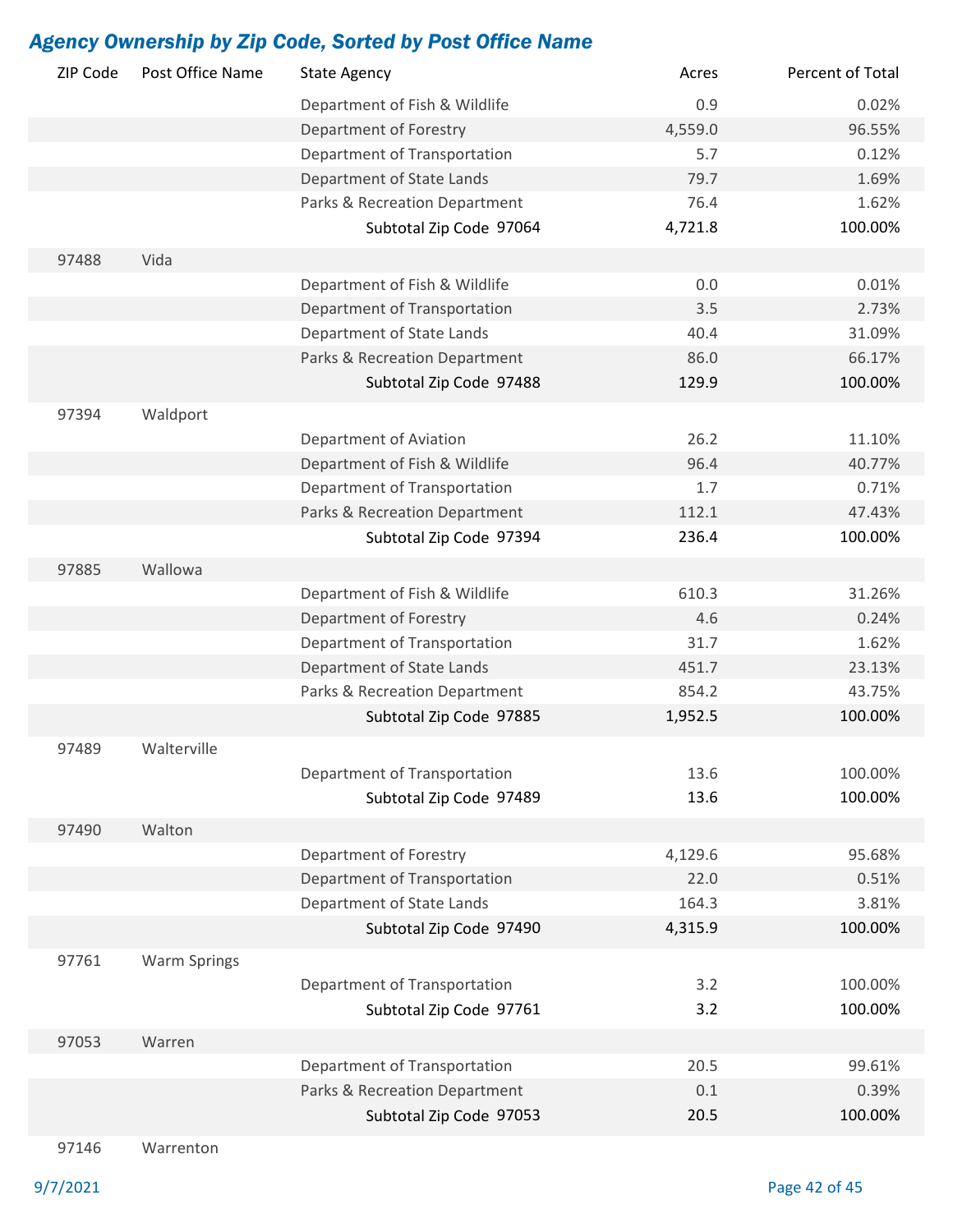| ZIP Code | Post Office Name    | <b>State Agency</b>           | Acres   | Percent of Total |
|----------|---------------------|-------------------------------|---------|------------------|
|          |                     | Department of Fish & Wildlife | 0.9     | 0.02%            |
|          |                     | Department of Forestry        | 4,559.0 | 96.55%           |
|          |                     | Department of Transportation  | 5.7     | 0.12%            |
|          |                     | Department of State Lands     | 79.7    | 1.69%            |
|          |                     | Parks & Recreation Department | 76.4    | 1.62%            |
|          |                     | Subtotal Zip Code 97064       | 4,721.8 | 100.00%          |
| 97488    | Vida                |                               |         |                  |
|          |                     | Department of Fish & Wildlife | 0.0     | 0.01%            |
|          |                     | Department of Transportation  | 3.5     | 2.73%            |
|          |                     | Department of State Lands     | 40.4    | 31.09%           |
|          |                     | Parks & Recreation Department | 86.0    | 66.17%           |
|          |                     | Subtotal Zip Code 97488       | 129.9   | 100.00%          |
|          |                     |                               |         |                  |
| 97394    | Waldport            |                               |         |                  |
|          |                     | Department of Aviation        | 26.2    | 11.10%           |
|          |                     | Department of Fish & Wildlife | 96.4    | 40.77%           |
|          |                     | Department of Transportation  | 1.7     | 0.71%            |
|          |                     | Parks & Recreation Department | 112.1   | 47.43%           |
|          |                     | Subtotal Zip Code 97394       | 236.4   | 100.00%          |
| 97885    | Wallowa             |                               |         |                  |
|          |                     | Department of Fish & Wildlife | 610.3   | 31.26%           |
|          |                     | Department of Forestry        | 4.6     | 0.24%            |
|          |                     | Department of Transportation  | 31.7    | 1.62%            |
|          |                     | Department of State Lands     | 451.7   | 23.13%           |
|          |                     | Parks & Recreation Department | 854.2   | 43.75%           |
|          |                     | Subtotal Zip Code 97885       | 1,952.5 | 100.00%          |
| 97489    | Walterville         |                               |         |                  |
|          |                     | Department of Transportation  | 13.6    | 100.00%          |
|          |                     | Subtotal Zip Code 97489       | 13.6    | 100.00%          |
|          |                     |                               |         |                  |
| 97490    | Walton              |                               |         |                  |
|          |                     | Department of Forestry        | 4,129.6 | 95.68%           |
|          |                     | Department of Transportation  | 22.0    | 0.51%            |
|          |                     | Department of State Lands     | 164.3   | 3.81%            |
|          |                     | Subtotal Zip Code 97490       | 4,315.9 | 100.00%          |
| 97761    | <b>Warm Springs</b> |                               |         |                  |
|          |                     | Department of Transportation  | 3.2     | 100.00%          |
|          |                     | Subtotal Zip Code 97761       | 3.2     | 100.00%          |
| 97053    | Warren              |                               |         |                  |
|          |                     | Department of Transportation  | 20.5    | 99.61%           |
|          |                     | Parks & Recreation Department | 0.1     | 0.39%            |
|          |                     | Subtotal Zip Code 97053       | 20.5    | 100.00%          |
|          |                     |                               |         |                  |

97146 Warrenton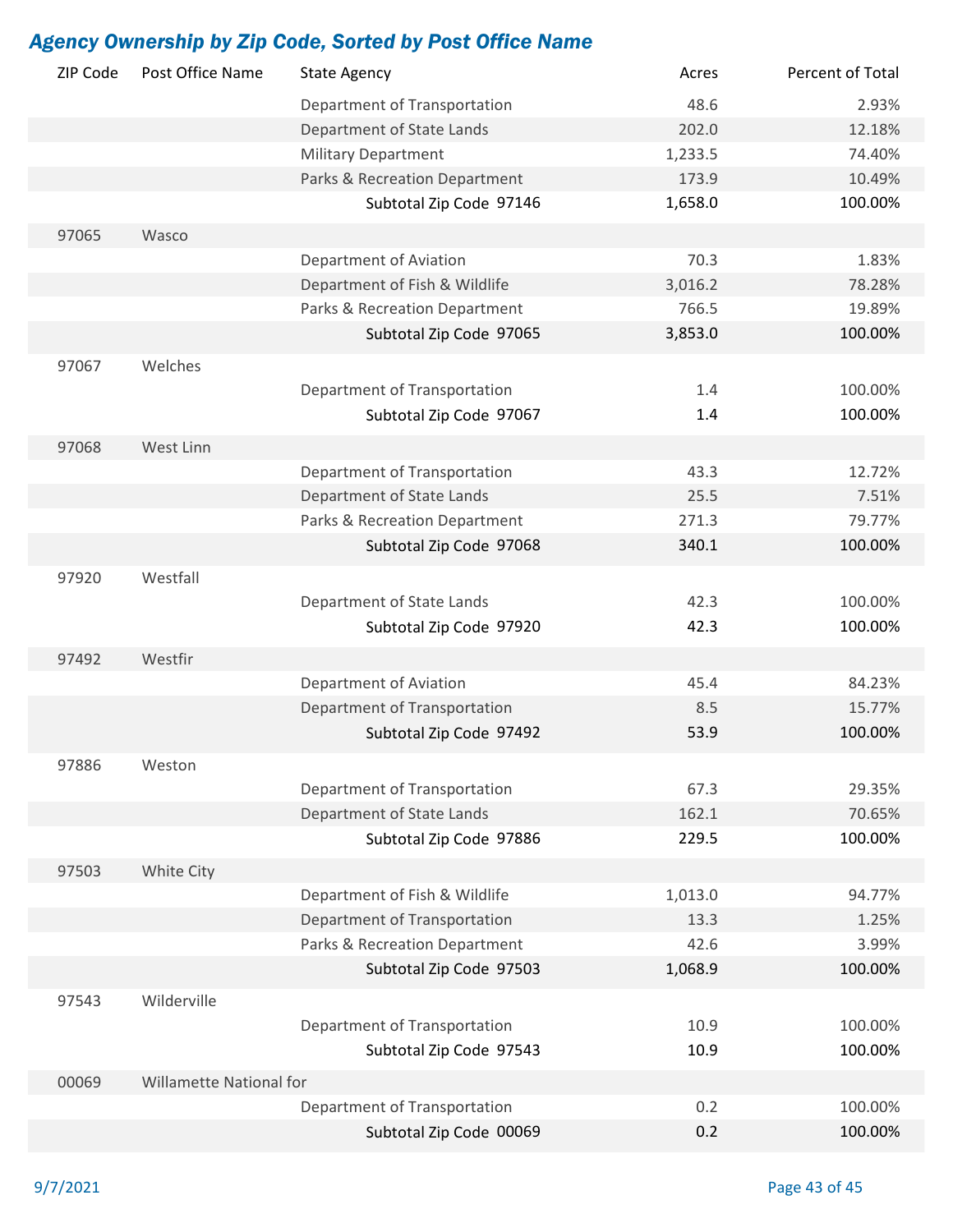| ZIP Code | Post Office Name               | <b>State Agency</b>           | Acres   | Percent of Total |
|----------|--------------------------------|-------------------------------|---------|------------------|
|          |                                | Department of Transportation  | 48.6    | 2.93%            |
|          |                                | Department of State Lands     | 202.0   | 12.18%           |
|          |                                | <b>Military Department</b>    | 1,233.5 | 74.40%           |
|          |                                | Parks & Recreation Department | 173.9   | 10.49%           |
|          |                                | Subtotal Zip Code 97146       | 1,658.0 | 100.00%          |
| 97065    | Wasco                          |                               |         |                  |
|          |                                | Department of Aviation        | 70.3    | 1.83%            |
|          |                                | Department of Fish & Wildlife | 3,016.2 | 78.28%           |
|          |                                | Parks & Recreation Department | 766.5   | 19.89%           |
|          |                                | Subtotal Zip Code 97065       | 3,853.0 | 100.00%          |
|          |                                |                               |         |                  |
| 97067    | Welches                        |                               |         |                  |
|          |                                | Department of Transportation  | 1.4     | 100.00%          |
|          |                                | Subtotal Zip Code 97067       | 1.4     | 100.00%          |
| 97068    | West Linn                      |                               |         |                  |
|          |                                | Department of Transportation  | 43.3    | 12.72%           |
|          |                                | Department of State Lands     | 25.5    | 7.51%            |
|          |                                | Parks & Recreation Department | 271.3   | 79.77%           |
|          |                                | Subtotal Zip Code 97068       | 340.1   | 100.00%          |
| 97920    | Westfall                       |                               |         |                  |
|          |                                | Department of State Lands     | 42.3    | 100.00%          |
|          |                                | Subtotal Zip Code 97920       | 42.3    | 100.00%          |
| 97492    | Westfir                        |                               |         |                  |
|          |                                | Department of Aviation        | 45.4    | 84.23%           |
|          |                                |                               | 8.5     | 15.77%           |
|          |                                | Department of Transportation  |         | 100.00%          |
|          |                                | Subtotal Zip Code 97492       | 53.9    |                  |
| 97886    | Weston                         |                               |         |                  |
|          |                                | Department of Transportation  | 67.3    | 29.35%           |
|          |                                | Department of State Lands     | 162.1   | 70.65%           |
|          |                                | Subtotal Zip Code 97886       | 229.5   | 100.00%          |
| 97503    | White City                     |                               |         |                  |
|          |                                | Department of Fish & Wildlife | 1,013.0 | 94.77%           |
|          |                                | Department of Transportation  | 13.3    | 1.25%            |
|          |                                | Parks & Recreation Department | 42.6    | 3.99%            |
|          |                                | Subtotal Zip Code 97503       | 1,068.9 | 100.00%          |
| 97543    | Wilderville                    |                               |         |                  |
|          |                                | Department of Transportation  | 10.9    | 100.00%          |
|          |                                | Subtotal Zip Code 97543       | 10.9    | 100.00%          |
|          |                                |                               |         |                  |
| 00069    | <b>Willamette National for</b> |                               |         |                  |
|          |                                | Department of Transportation  | 0.2     | 100.00%          |
|          |                                | Subtotal Zip Code 00069       | 0.2     | 100.00%          |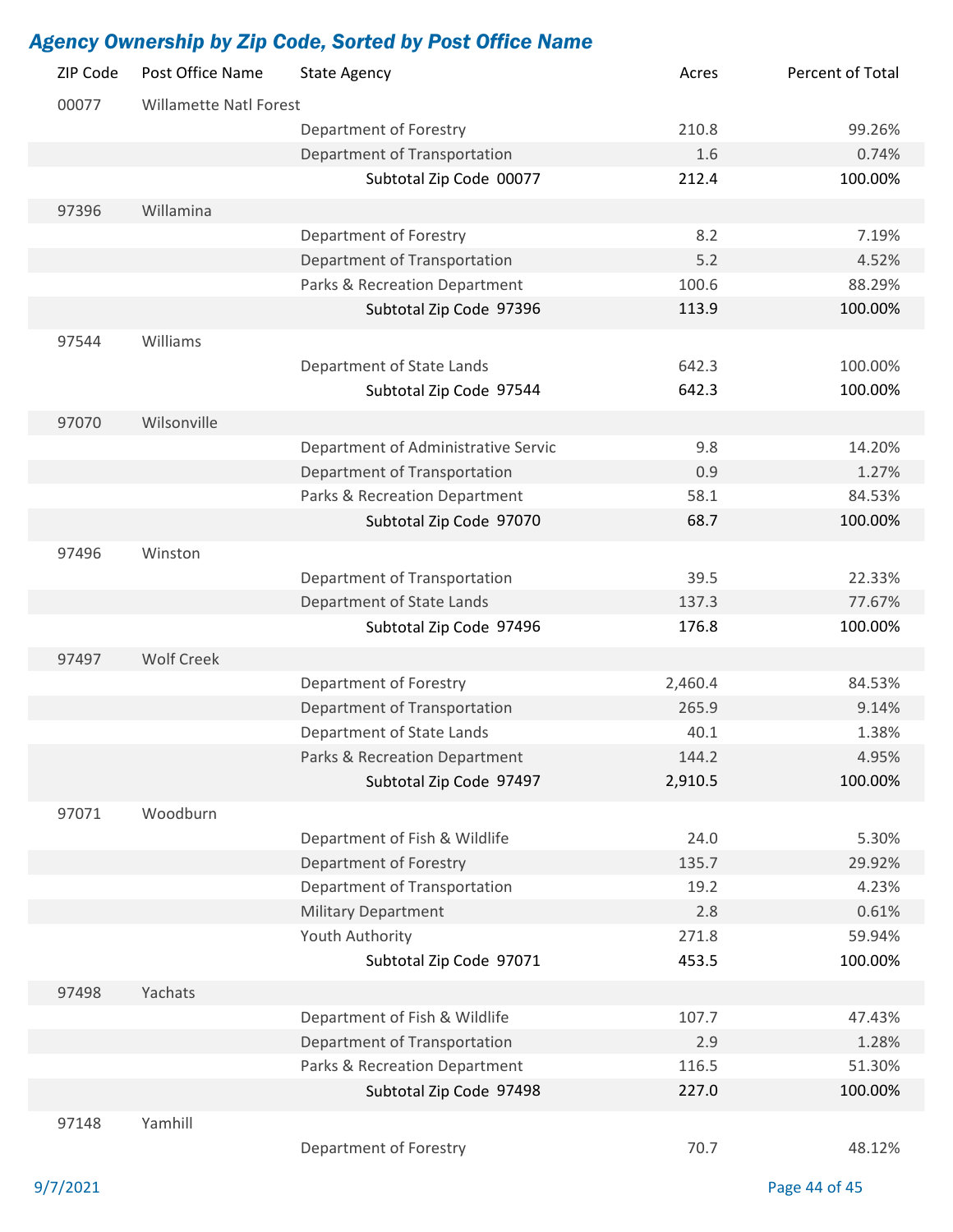| ZIP Code | Post Office Name              | <b>State Agency</b>                                           | Acres   | Percent of Total |
|----------|-------------------------------|---------------------------------------------------------------|---------|------------------|
| 00077    | <b>Willamette Natl Forest</b> |                                                               |         |                  |
|          |                               | Department of Forestry                                        | 210.8   | 99.26%           |
|          |                               | Department of Transportation                                  | 1.6     | 0.74%            |
|          |                               | Subtotal Zip Code 00077                                       | 212.4   | 100.00%          |
| 97396    | Willamina                     |                                                               |         |                  |
|          |                               | Department of Forestry                                        | 8.2     | 7.19%            |
|          |                               | Department of Transportation                                  | 5.2     | 4.52%            |
|          |                               | Parks & Recreation Department                                 | 100.6   | 88.29%           |
|          |                               | Subtotal Zip Code 97396                                       | 113.9   | 100.00%          |
| 97544    | Williams                      |                                                               |         |                  |
|          |                               | Department of State Lands                                     | 642.3   | 100.00%          |
|          |                               | Subtotal Zip Code 97544                                       | 642.3   | 100.00%          |
|          | Wilsonville                   |                                                               |         |                  |
| 97070    |                               |                                                               | 9.8     | 14.20%           |
|          |                               | Department of Administrative Servic                           | 0.9     | 1.27%            |
|          |                               | Department of Transportation<br>Parks & Recreation Department | 58.1    | 84.53%           |
|          |                               |                                                               | 68.7    |                  |
|          |                               | Subtotal Zip Code 97070                                       |         | 100.00%          |
| 97496    | Winston                       |                                                               |         |                  |
|          |                               | Department of Transportation                                  | 39.5    | 22.33%           |
|          |                               | Department of State Lands                                     | 137.3   | 77.67%           |
|          |                               | Subtotal Zip Code 97496                                       | 176.8   | 100.00%          |
| 97497    | <b>Wolf Creek</b>             |                                                               |         |                  |
|          |                               | Department of Forestry                                        | 2,460.4 | 84.53%           |
|          |                               | Department of Transportation                                  | 265.9   | 9.14%            |
|          |                               | Department of State Lands                                     | 40.1    | 1.38%            |
|          |                               | Parks & Recreation Department                                 | 144.2   | 4.95%            |
|          |                               | Subtotal Zip Code 97497                                       | 2,910.5 | 100.00%          |
| 97071    | Woodburn                      |                                                               |         |                  |
|          |                               | Department of Fish & Wildlife                                 | 24.0    | 5.30%            |
|          |                               | Department of Forestry                                        | 135.7   | 29.92%           |
|          |                               | Department of Transportation                                  | 19.2    | 4.23%            |
|          |                               | <b>Military Department</b>                                    | 2.8     | 0.61%            |
|          |                               | Youth Authority                                               | 271.8   | 59.94%           |
|          |                               | Subtotal Zip Code 97071                                       | 453.5   | 100.00%          |
| 97498    | Yachats                       |                                                               |         |                  |
|          |                               | Department of Fish & Wildlife                                 | 107.7   | 47.43%           |
|          |                               | Department of Transportation                                  | 2.9     | 1.28%            |
|          |                               | Parks & Recreation Department                                 | 116.5   | 51.30%           |
|          |                               | Subtotal Zip Code 97498                                       | 227.0   | 100.00%          |
| 97148    | Yamhill                       |                                                               |         |                  |
|          |                               | Department of Forestry                                        | 70.7    | 48.12%           |